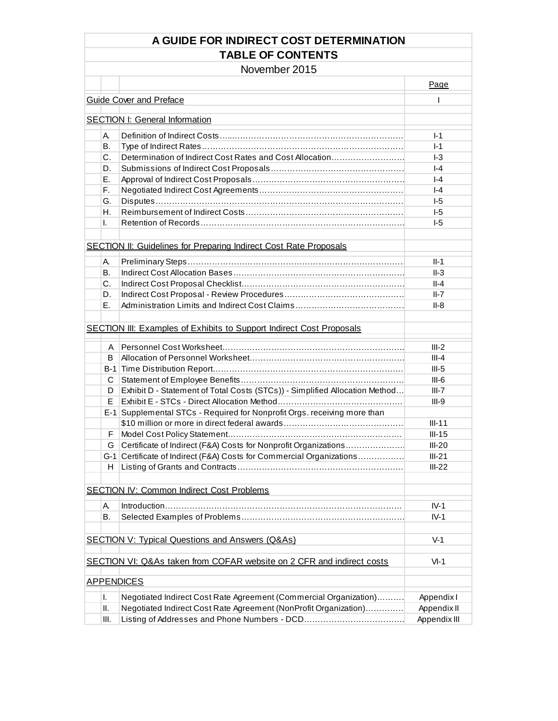### **A GUIDE FOR INDIRECT COST DETERMINATION TABLE OF CONTENTS**

November 2015

|         |                                                                             | Page         |
|---------|-----------------------------------------------------------------------------|--------------|
|         | <b>Guide Cover and Preface</b>                                              | T            |
|         | <b>SECTION I: General Information</b>                                       |              |
|         |                                                                             |              |
| А.      |                                                                             | $I-1$        |
| В.      |                                                                             | $I-1$        |
| $C_{-}$ | Determination of Indirect Cost Rates and Cost Allocation                    | $-3$         |
| D.      |                                                                             | $ -4$        |
| Е.      |                                                                             | $ -4$        |
| F.      |                                                                             | $ -4$        |
| G.      |                                                                             | $I-5$        |
| Η.      |                                                                             | $I-5$        |
| L.      |                                                                             | $I-5$        |
|         |                                                                             |              |
|         | <b>SECTION II: Guidelines for Preparing Indirect Cost Rate Proposals</b>    |              |
|         |                                                                             |              |
| А.      |                                                                             | $II-1$       |
| В.      |                                                                             | $II-3$       |
| C.      |                                                                             | $II-4$       |
| D.      |                                                                             | $II-7$       |
| Ε.      |                                                                             | II-8         |
|         |                                                                             |              |
|         | <b>SECTION III: Examples of Exhibits to Support Indirect Cost Proposals</b> |              |
| A       |                                                                             | $III-2$      |
|         |                                                                             |              |
| B       |                                                                             | $III - 4$    |
|         |                                                                             | $III-5$      |
| C       |                                                                             | $III-6$      |
| D       | Exhibit D - Statement of Total Costs (STCs)) - Simplified Allocation Method | $III-7$      |
| E       |                                                                             | $III-9$      |
|         | E-1 Supplemental STCs - Required for Nonprofit Orgs. receiving more than    |              |
|         |                                                                             | $III-11$     |
| F       |                                                                             | $III-15$     |
| G       | Certificate of Indirect (F&A) Costs for Nonprofit Organizations             | $III-20$     |
|         | G-1 Certificate of Indirect (F&A) Costs for Commercial Organizations        | $III-21$     |
| H       |                                                                             | $III-22$     |
|         |                                                                             |              |
|         | <b>SECTION IV: Common Indirect Cost Problems</b>                            |              |
| А.      |                                                                             | $IV-1$       |
| Β.      |                                                                             | $IV-1$       |
|         |                                                                             |              |
|         | <b>SECTION V: Typical Questions and Answers (Q&amp;As)</b>                  | $V-1$        |
|         |                                                                             |              |
|         | SECTION VI: Q&As taken from COFAR website on 2 CFR and indirect costs       | $VI-1$       |
|         |                                                                             |              |
|         | <b>APPENDICES</b>                                                           |              |
|         |                                                                             |              |
| I.      | Negotiated Indirect Cost Rate Agreement (Commercial Organization)           | Appendix I   |
| Ш.      | Negotiated Indirect Cost Rate Agreement (NonProfit Organization)            | Appendix II  |
| III.    |                                                                             | Appendix III |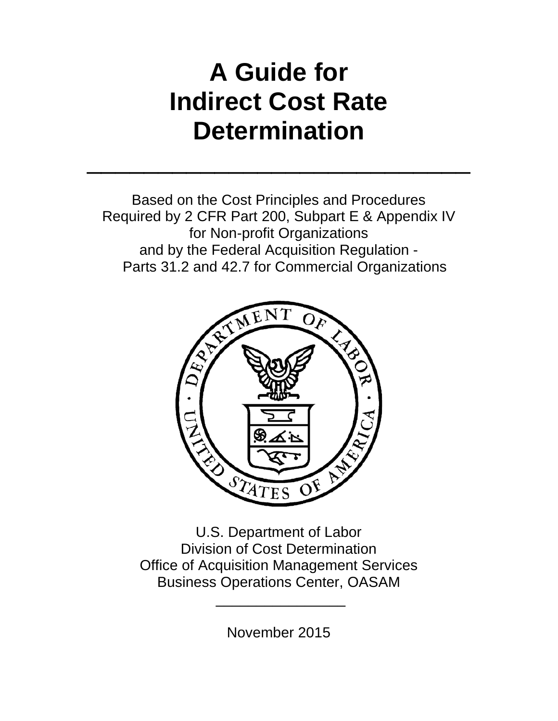# **A Guide for Indirect Cost Rate Determination**

 $\mathcal{L}_\text{max}$  and  $\mathcal{L}_\text{max}$  and  $\mathcal{L}_\text{max}$  and  $\mathcal{L}_\text{max}$  and  $\mathcal{L}_\text{max}$ 

Based on the Cost Principles and Procedures Required by 2 CFR Part 200, Subpart E & Appendix IV for Non-profit Organizations and by the Federal Acquisition Regulation - Parts 31.2 and 42.7 for Commercial Organizations



U.S. Department of Labor Division of Cost Determination Office of Acquisition Management Services Business Operations Center, OASAM

November 2015

\_\_\_\_\_\_\_\_\_\_\_\_\_\_\_\_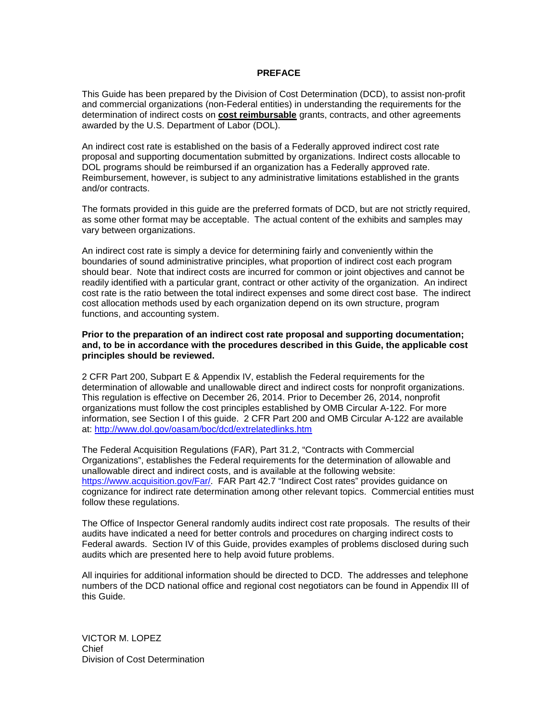#### **PREFACE**

This Guide has been prepared by the Division of Cost Determination (DCD), to assist non-profit and commercial organizations (non-Federal entities) in understanding the requirements for the determination of indirect costs on **cost reimbursable** grants, contracts, and other agreements awarded by the U.S. Department of Labor (DOL).

An indirect cost rate is established on the basis of a Federally approved indirect cost rate proposal and supporting documentation submitted by organizations. Indirect costs allocable to DOL programs should be reimbursed if an organization has a Federally approved rate. Reimbursement, however, is subject to any administrative limitations established in the grants and/or contracts.

The formats provided in this guide are the preferred formats of DCD, but are not strictly required, as some other format may be acceptable. The actual content of the exhibits and samples may vary between organizations.

An indirect cost rate is simply a device for determining fairly and conveniently within the boundaries of sound administrative principles, what proportion of indirect cost each program should bear. Note that indirect costs are incurred for common or joint objectives and cannot be readily identified with a particular grant, contract or other activity of the organization. An indirect cost rate is the ratio between the total indirect expenses and some direct cost base. The indirect cost allocation methods used by each organization depend on its own structure, program functions, and accounting system.

#### **Prior to the preparation of an indirect cost rate proposal and supporting documentation; and, to be in accordance with the procedures described in this Guide, the applicable cost principles should be reviewed.**

2 CFR Part 200, Subpart E & Appendix IV, establish the Federal requirements for the determination of allowable and unallowable direct and indirect costs for nonprofit organizations. This regulation is effective on December 26, 2014. Prior to December 26, 2014, nonprofit organizations must follow the cost principles established by OMB Circular A-122. For more information, see Section I of this guide. 2 CFR Part 200 and OMB Circular A-122 are available at:<http://www.dol.gov/oasam/boc/dcd/extrelatedlinks.htm>

The Federal Acquisition Regulations (FAR), Part 31.2, "Contracts with Commercial Organizations", establishes the Federal requirements for the determination of allowable and unallowable direct and indirect costs, and is available at the following website: [https://www.acquisition.gov/Far/.](https://www.acquisition.gov/Far/) FAR Part 42.7 "Indirect Cost rates" provides guidance on cognizance for indirect rate determination among other relevant topics. Commercial entities must follow these regulations.

The Office of Inspector General randomly audits indirect cost rate proposals. The results of their audits have indicated a need for better controls and procedures on charging indirect costs to Federal awards. Section IV of this Guide, provides examples of problems disclosed during such audits which are presented here to help avoid future problems.

All inquiries for additional information should be directed to DCD. The addresses and telephone numbers of the DCD national office and regional cost negotiators can be found in Appendix III of this Guide.

VICTOR M. LOPEZ Chief Division of Cost Determination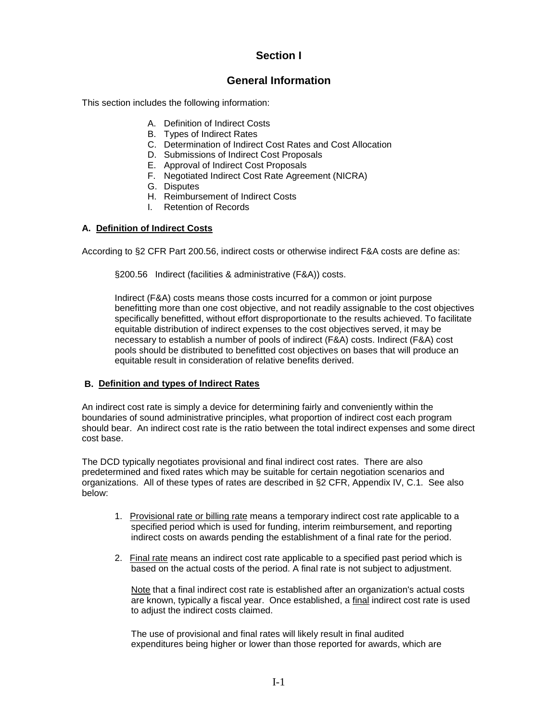### **Section I**

### **General Information**

This section includes the following information:

- A. Definition of Indirect Costs
- B. Types of Indirect Rates
- C. Determination of Indirect Cost Rates and Cost Allocation
- D. Submissions of Indirect Cost Proposals
- E. Approval of Indirect Cost Proposals
- F. Negotiated Indirect Cost Rate Agreement (NICRA)
- G. Disputes
- H. Reimbursement of Indirect Costs
- I. Retention of Records

### **A. Definition of Indirect Costs**

According to §2 CFR Part 200.56, indirect costs or otherwise indirect F&A costs are define as:

§200.56 Indirect (facilities & administrative (F&A)) costs.

Indirect (F&A) costs means those costs incurred for a common or joint purpose benefitting more than one cost objective, and not readily assignable to the cost objectives specifically benefitted, without effort disproportionate to the results achieved. To facilitate equitable distribution of indirect expenses to the cost objectives served, it may be necessary to establish a number of pools of indirect (F&A) costs. Indirect (F&A) cost pools should be distributed to benefitted cost objectives on bases that will produce an equitable result in consideration of relative benefits derived.

#### **B. Definition and types of Indirect Rates**

An indirect cost rate is simply a device for determining fairly and conveniently within the boundaries of sound administrative principles, what proportion of indirect cost each program should bear. An indirect cost rate is the ratio between the total indirect expenses and some direct cost base.

The DCD typically negotiates provisional and final indirect cost rates. There are also predetermined and fixed rates which may be suitable for certain negotiation scenarios and organizations. All of these types of rates are described in §2 CFR, Appendix IV, C.1. See also below:

- 1. Provisional rate or billing rate means a temporary indirect cost rate applicable to a specified period which is used for funding, interim reimbursement, and reporting indirect costs on awards pending the establishment of a final rate for the period.
- 2. Final rate means an indirect cost rate applicable to a specified past period which is based on the actual costs of the period. A final rate is not subject to adjustment.

Note that a final indirect cost rate is established after an organization's actual costs are known, typically a fiscal year. Once established, a final indirect cost rate is used to adjust the indirect costs claimed.

The use of provisional and final rates will likely result in final audited expenditures being higher or lower than those reported for awards, which are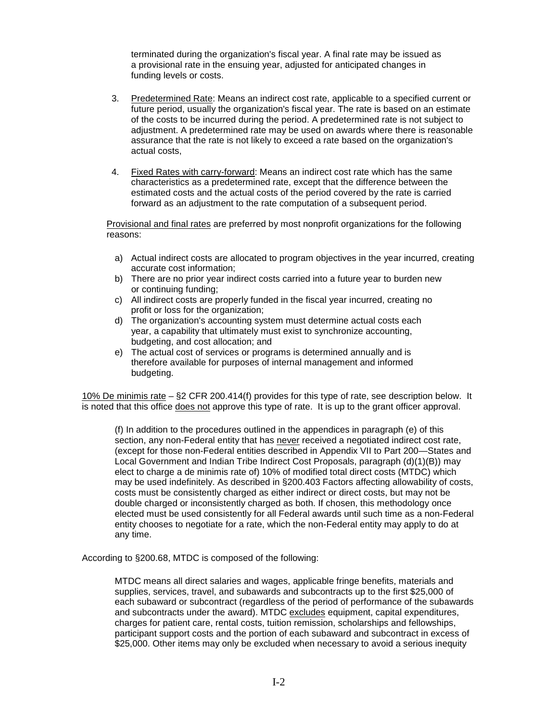terminated during the organization's fiscal year. A final rate may be issued as a provisional rate in the ensuing year, adjusted for anticipated changes in funding levels or costs.

- 3. Predetermined Rate: Means an indirect cost rate, applicable to a specified current or future period, usually the organization's fiscal year. The rate is based on an estimate of the costs to be incurred during the period. A predetermined rate is not subject to adjustment. A predetermined rate may be used on awards where there is reasonable assurance that the rate is not likely to exceed a rate based on the organization's actual costs,
- 4. Fixed Rates with carry-forward: Means an indirect cost rate which has the same characteristics as a predetermined rate, except that the difference between the estimated costs and the actual costs of the period covered by the rate is carried forward as an adjustment to the rate computation of a subsequent period.

Provisional and final rates are preferred by most nonprofit organizations for the following reasons:

- a) Actual indirect costs are allocated to program objectives in the year incurred, creating accurate cost information;
- b) There are no prior year indirect costs carried into a future year to burden new or continuing funding;
- c) All indirect costs are properly funded in the fiscal year incurred, creating no profit or loss for the organization;
- d) The organization's accounting system must determine actual costs each year, a capability that ultimately must exist to synchronize accounting, budgeting, and cost allocation; and
- e) The actual cost of services or programs is determined annually and is therefore available for purposes of internal management and informed budgeting.

10% De minimis rate – §2 CFR 200.414(f) provides for this type of rate, see description below. It is noted that this office does not approve this type of rate. It is up to the grant officer approval.

(f) In addition to the procedures outlined in the appendices in paragraph (e) of this section, any non-Federal entity that has never received a negotiated indirect cost rate, (except for those non-Federal entities described in Appendix VII to Part 200—States and Local Government and Indian Tribe Indirect Cost Proposals, paragraph (d)(1)(B)) may elect to charge a de minimis rate of) 10% of modified total direct costs (MTDC) which may be used indefinitely. As described in §200.403 Factors affecting allowability of costs, costs must be consistently charged as either indirect or direct costs, but may not be double charged or inconsistently charged as both. If chosen, this methodology once elected must be used consistently for all Federal awards until such time as a non-Federal entity chooses to negotiate for a rate, which the non-Federal entity may apply to do at any time.

According to §200.68, MTDC is composed of the following:

MTDC means all direct salaries and wages, applicable fringe benefits, materials and supplies, services, travel, and subawards and subcontracts up to the first \$25,000 of each subaward or subcontract (regardless of the period of performance of the subawards and subcontracts under the award). MTDC excludes equipment, capital expenditures, charges for patient care, rental costs, tuition remission, scholarships and fellowships, participant support costs and the portion of each subaward and subcontract in excess of \$25,000. Other items may only be excluded when necessary to avoid a serious inequity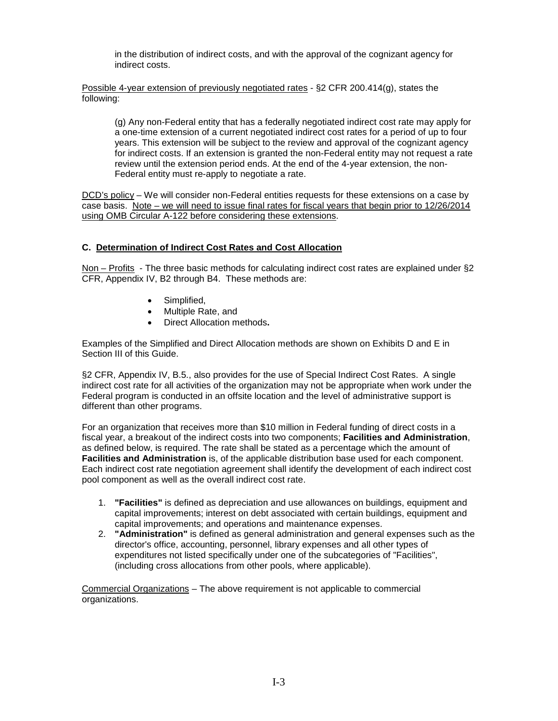in the distribution of indirect costs, and with the approval of the cognizant agency for indirect costs.

Possible 4-year extension of previously negotiated rates - §2 CFR 200.414(g), states the following:

(g) Any non-Federal entity that has a federally negotiated indirect cost rate may apply for a one-time extension of a current negotiated indirect cost rates for a period of up to four years. This extension will be subject to the review and approval of the cognizant agency for indirect costs. If an extension is granted the non-Federal entity may not request a rate review until the extension period ends. At the end of the 4-year extension, the non-Federal entity must re-apply to negotiate a rate.

DCD's policy – We will consider non-Federal entities requests for these extensions on a case by case basis. Note – we will need to issue final rates for fiscal years that begin prior to 12/26/2014 using OMB Circular A-122 before considering these extensions.

#### **C. Determination of Indirect Cost Rates and Cost Allocation**

Non – Profits - The three basic methods for calculating indirect cost rates are explained under §2 CFR, Appendix IV, B2 through B4. These methods are:

- Simplified,
- Multiple Rate, and
- Direct Allocation methods**.**

Examples of the Simplified and Direct Allocation methods are shown on Exhibits D and E in Section III of this Guide.

§2 CFR, Appendix IV, B.5., also provides for the use of Special Indirect Cost Rates. A single indirect cost rate for all activities of the organization may not be appropriate when work under the Federal program is conducted in an offsite location and the level of administrative support is different than other programs.

For an organization that receives more than \$10 million in Federal funding of direct costs in a fiscal year, a breakout of the indirect costs into two components; **Facilities and Administration**, as defined below, is required. The rate shall be stated as a percentage which the amount of **Facilities and Administration** is, of the applicable distribution base used for each component. Each indirect cost rate negotiation agreement shall identify the development of each indirect cost pool component as well as the overall indirect cost rate.

- 1. **"Facilities"** is defined as depreciation and use allowances on buildings, equipment and capital improvements; interest on debt associated with certain buildings, equipment and capital improvements; and operations and maintenance expenses.
- 2. **"Administration"** is defined as general administration and general expenses such as the director's office, accounting, personnel, library expenses and all other types of expenditures not listed specifically under one of the subcategories of "Facilities", (including cross allocations from other pools, where applicable).

Commercial Organizations – The above requirement is not applicable to commercial organizations.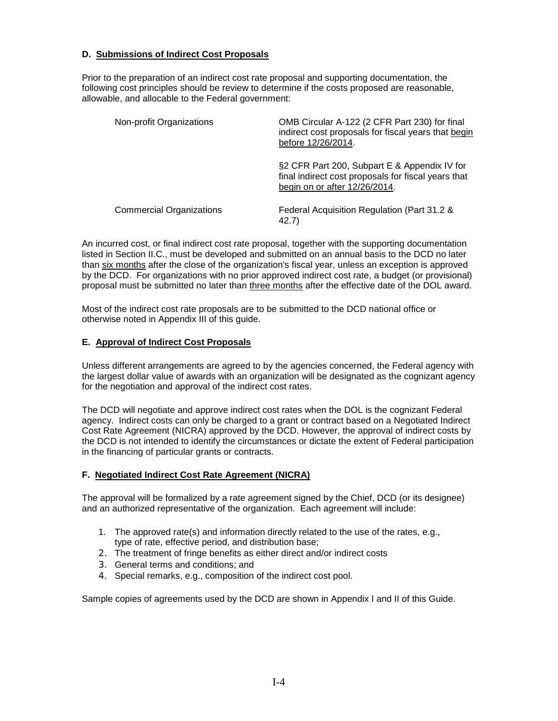#### **D. Submissions of Indirect Cost Proposals**

Prior to the preparation of an indirect cost rate proposal and supporting documentation, the following cost principles should be review to determine if the costs proposed are reasonable, allowable, and allocable to the Federal government:

| Non-profit Organizations        | OMB Circular A-122 (2 CFR Part 230) for final<br>indirect cost proposals for fiscal years that begin<br>before 12/26/2014.           |
|---------------------------------|--------------------------------------------------------------------------------------------------------------------------------------|
|                                 | §2 CFR Part 200, Subpart E & Appendix IV for<br>final indirect cost proposals for fiscal years that<br>begin on or after 12/26/2014. |
| <b>Commercial Organizations</b> | Federal Acquisition Regulation (Part 31.2 &<br>42.7)                                                                                 |

An incurred cost, or final indirect cost rate proposal, together with the supporting documentation listed in Section II.C., must be developed and submitted on an annual basis to the DCD no later than six months after the close of the organization's fiscal year, unless an exception is approved by the DCD. For organizations with no prior approved indirect cost rate, a budget (or provisional) proposal must be submitted no later than three months after the effective date of the DOL award.

Most of the indirect cost rate proposals are to be submitted to the DCD national office or otherwise noted in Appendix III of this guide.

#### **E. Approval of Indirect Cost Proposals**

Unless different arrangements are agreed to by the agencies concerned, the Federal agency with the largest dollar value of awards with an organization will be designated as the cognizant agency for the negotiation and approval of the indirect cost rates.

The DCD will negotiate and approve indirect cost rates when the DOL is the cognizant Federal agency. Indirect costs can only be charged to a grant or contract based on a Negotiated Indirect Cost Rate Agreement (NICRA) approved by the DCD. However, the approval of indirect costs by the DCD is not intended to identify the circumstances or dictate the extent of Federal participation in the financing of particular grants or contracts.

#### **F. Negotiated Indirect Cost Rate Agreement (NICRA)**

The approval will be formalized by a rate agreement signed by the Chief, DCD (or its designee) and an authorized representative of the organization. Each agreement will include:

- 1. The approved rate(s) and information directly related to the use of the rates, e.g., type of rate, effective period, and distribution base;
- 2. The treatment of fringe benefits as either direct and/or indirect costs
- 3. General terms and conditions; and
- 4. Special remarks, e.g., composition of the indirect cost pool.

Sample copies of agreements used by the DCD are shown in Appendix I and II of this Guide.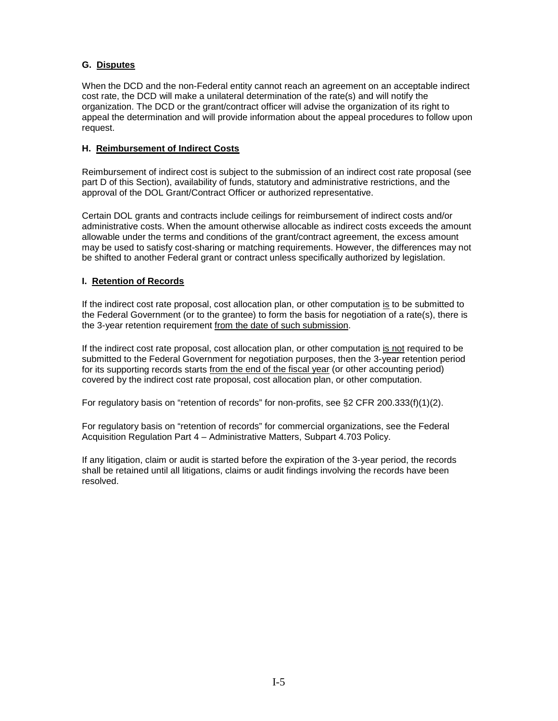### **G. Disputes**

When the DCD and the non-Federal entity cannot reach an agreement on an acceptable indirect cost rate, the DCD will make a unilateral determination of the rate(s) and will notify the organization. The DCD or the grant/contract officer will advise the organization of its right to appeal the determination and will provide information about the appeal procedures to follow upon request.

#### **H. Reimbursement of Indirect Costs**

Reimbursement of indirect cost is subject to the submission of an indirect cost rate proposal (see part D of this Section), availability of funds, statutory and administrative restrictions, and the approval of the DOL Grant/Contract Officer or authorized representative.

Certain DOL grants and contracts include ceilings for reimbursement of indirect costs and/or administrative costs. When the amount otherwise allocable as indirect costs exceeds the amount allowable under the terms and conditions of the grant/contract agreement, the excess amount may be used to satisfy cost-sharing or matching requirements. However, the differences may not be shifted to another Federal grant or contract unless specifically authorized by legislation.

#### **I. Retention of Records**

If the indirect cost rate proposal, cost allocation plan, or other computation is to be submitted to the Federal Government (or to the grantee) to form the basis for negotiation of a rate(s), there is the 3-year retention requirement from the date of such submission.

If the indirect cost rate proposal, cost allocation plan, or other computation is not required to be submitted to the Federal Government for negotiation purposes, then the 3-year retention period for its supporting records starts from the end of the fiscal year (or other accounting period) covered by the indirect cost rate proposal, cost allocation plan, or other computation.

For regulatory basis on "retention of records" for non-profits, see §2 CFR 200.333(f)(1)(2).

For regulatory basis on "retention of records" for commercial organizations, see the Federal Acquisition Regulation Part 4 – Administrative Matters, Subpart 4.703 Policy.

If any litigation, claim or audit is started before the expiration of the 3-year period, the records shall be retained until all litigations, claims or audit findings involving the records have been resolved.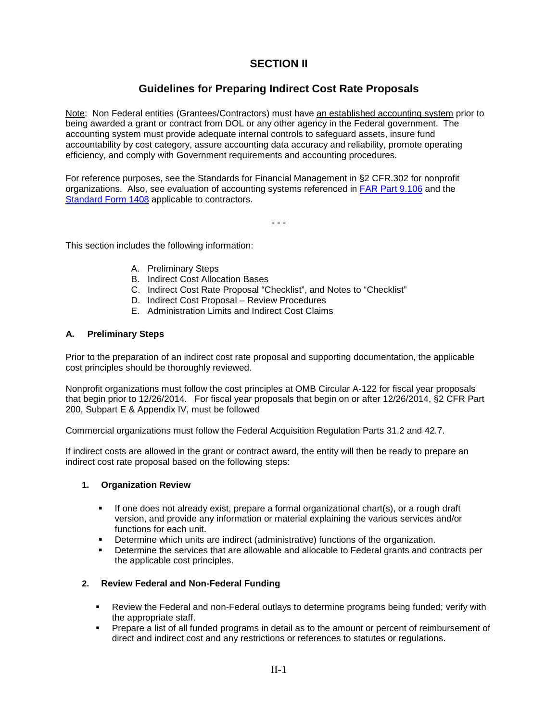### **SECTION II**

### **Guidelines for Preparing Indirect Cost Rate Proposals**

Note: Non Federal entities (Grantees/Contractors) must have an established accounting system prior to being awarded a grant or contract from DOL or any other agency in the Federal government. The accounting system must provide adequate internal controls to safeguard assets, insure fund accountability by cost category, assure accounting data accuracy and reliability, promote operating efficiency, and comply with Government requirements and accounting procedures.

For reference purposes, see the Standards for Financial Management in §2 CFR.302 for nonprofit organizations. Also, see evaluation of accounting systems referenced in [FAR Part 9.106](http://arnet.gov/far/current/html/Subpart%209_1.html) and the [Standard Form 1408](http://arnet.gov/far/current/html/FormsStandard40.html) applicable to contractors.

- - -

This section includes the following information:

- A. Preliminary Steps
- B. Indirect Cost Allocation Bases
- C. Indirect Cost Rate Proposal "Checklist", and Notes to "Checklist"
- D. Indirect Cost Proposal Review Procedures
- E. Administration Limits and Indirect Cost Claims

#### **A. Preliminary Steps**

Prior to the preparation of an indirect cost rate proposal and supporting documentation, the applicable cost principles should be thoroughly reviewed.

Nonprofit organizations must follow the cost principles at OMB Circular A-122 for fiscal year proposals that begin prior to 12/26/2014. For fiscal year proposals that begin on or after 12/26/2014, §2 CFR Part 200, Subpart E & Appendix IV, must be followed

Commercial organizations must follow the Federal Acquisition Regulation Parts 31.2 and 42.7.

If indirect costs are allowed in the grant or contract award, the entity will then be ready to prepare an indirect cost rate proposal based on the following steps:

#### **1. Organization Review**

- If one does not already exist, prepare a formal organizational chart(s), or a rough draft version, and provide any information or material explaining the various services and/or functions for each unit.
- **Determine which units are indirect (administrative) functions of the organization.**<br>Determine the services that are allowable and allocable to Eederal grants and co
- Determine the services that are allowable and allocable to Federal grants and contracts per the applicable cost principles.

#### **2. Review Federal and Non-Federal Funding**

- Review the Federal and non-Federal outlays to determine programs being funded; verify with the appropriate staff.
- Prepare a list of all funded programs in detail as to the amount or percent of reimbursement of direct and indirect cost and any restrictions or references to statutes or regulations.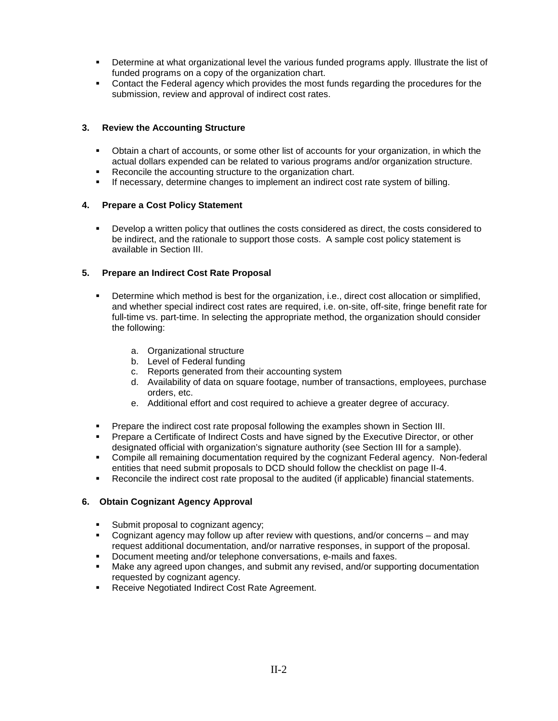- Determine at what organizational level the various funded programs apply. Illustrate the list of funded programs on a copy of the organization chart.
- Contact the Federal agency which provides the most funds regarding the procedures for the submission, review and approval of indirect cost rates.

#### **3. Review the Accounting Structure**

- Obtain a chart of accounts, or some other list of accounts for your organization, in which the actual dollars expended can be related to various programs and/or organization structure.
- **Reconcile the accounting structure to the organization chart.**
- If necessary, determine changes to implement an indirect cost rate system of billing.

#### **4. Prepare a Cost Policy Statement**

 Develop a written policy that outlines the costs considered as direct, the costs considered to be indirect, and the rationale to support those costs. A sample cost policy statement is available in Section III.

#### **5. Prepare an Indirect Cost Rate Proposal**

- Determine which method is best for the organization, i.e., direct cost allocation or simplified, and whether special indirect cost rates are required, i.e. on-site, off-site, fringe benefit rate for full-time vs. part-time. In selecting the appropriate method, the organization should consider the following:
	- a. Organizational structure
	- b. Level of Federal funding
	- c. Reports generated from their accounting system
	- d. Availability of data on square footage, number of transactions, employees, purchase orders, etc.
	- e. Additional effort and cost required to achieve a greater degree of accuracy.
- Prepare the indirect cost rate proposal following the examples shown in Section III.
- Prepare a Certificate of Indirect Costs and have signed by the Executive Director, or other designated official with organization's signature authority (see Section III for a sample).
- Compile all remaining documentation required by the cognizant Federal agency. Non-federal entities that need submit proposals to DCD should follow the checklist on page II-4.
- Reconcile the indirect cost rate proposal to the audited (if applicable) financial statements.

#### **6. Obtain Cognizant Agency Approval**

- Submit proposal to cognizant agency;
- Cognizant agency may follow up after review with questions, and/or concerns and may request additional documentation, and/or narrative responses, in support of the proposal.
- Document meeting and/or telephone conversations, e-mails and faxes.
- Make any agreed upon changes, and submit any revised, and/or supporting documentation requested by cognizant agency.
- **Receive Negotiated Indirect Cost Rate Agreement.**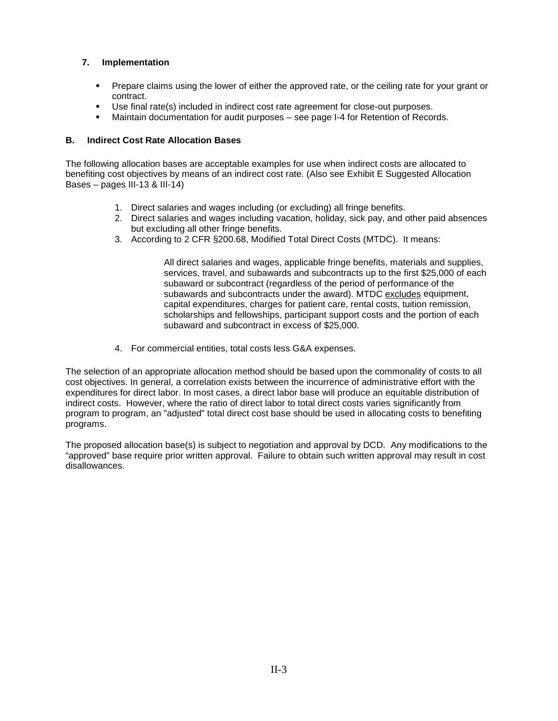### **7. Implementation**

- **Prepare claims using the lower of either the approved rate, or the ceiling rate for your grant or** contract.
- Use final rate(s) included in indirect cost rate agreement for close-out purposes.
- Maintain documentation for audit purposes see page I-4 for Retention of Records.

### **B. Indirect Cost Rate Allocation Bases**

The following allocation bases are acceptable examples for use when indirect costs are allocated to benefiting cost objectives by means of an indirect cost rate. (Also see Exhibit E Suggested Allocation Bases – pages III-13 & III-14)

- 1. Direct salaries and wages including (or excluding) all fringe benefits.
- 2. Direct salaries and wages including vacation, holiday, sick pay, and other paid absences but excluding all other fringe benefits.
- 3. According to 2 CFR §200.68, Modified Total Direct Costs (MTDC). It means:

All direct salaries and wages, applicable fringe benefits, materials and supplies, services, travel, and subawards and subcontracts up to the first \$25,000 of each subaward or subcontract (regardless of the period of performance of the subawards and subcontracts under the award). MTDC excludes equipment, capital expenditures, charges for patient care, rental costs, tuition remission, scholarships and fellowships, participant support costs and the portion of each subaward and subcontract in excess of \$25,000.

4. For commercial entities, total costs less G&A expenses.

The selection of an appropriate allocation method should be based upon the commonality of costs to all cost objectives. In general, a correlation exists between the incurrence of administrative effort with the expenditures for direct labor. In most cases, a direct labor base will produce an equitable distribution of indirect costs. However, where the ratio of direct labor to total direct costs varies significantly from program to program, an "adjusted" total direct cost base should be used in allocating costs to benefiting programs.

The proposed allocation base(s) is subject to negotiation and approval by DCD. Any modifications to the "approved" base require prior written approval. Failure to obtain such written approval may result in cost disallowances.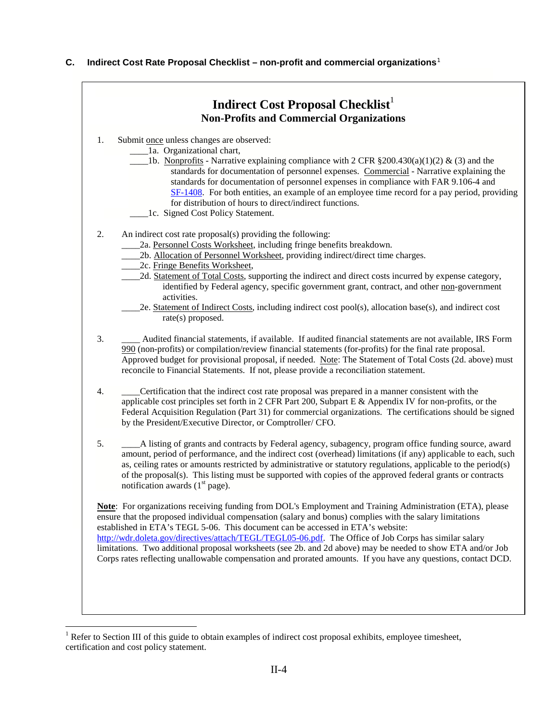#### **C. Indirect Cost Rate Proposal Checklist – non-profit and commercial organizations**[1](#page-11-0)

<span id="page-11-0"></span>

 $1$  Refer to Section III of this guide to obtain examples of indirect cost proposal exhibits, employee timesheet, certification and cost policy statement.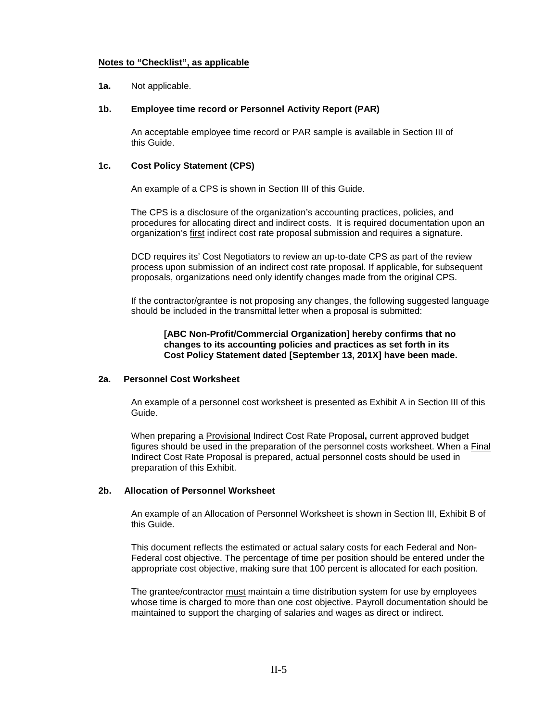#### **Notes to "Checklist", as applicable**

#### **1a.** Not applicable.

#### **1b. Employee time record or Personnel Activity Report (PAR)**

An acceptable employee time record or PAR sample is available in Section III of this Guide.

#### **1c. Cost Policy Statement (CPS)**

An example of a CPS is shown in Section III of this Guide.

The CPS is a disclosure of the organization's accounting practices, policies, and procedures for allocating direct and indirect costs. It is required documentation upon an organization's first indirect cost rate proposal submission and requires a signature.

DCD requires its' Cost Negotiators to review an up-to-date CPS as part of the review process upon submission of an indirect cost rate proposal. If applicable, for subsequent proposals, organizations need only identify changes made from the original CPS.

If the contractor/grantee is not proposing any changes, the following suggested language should be included in the transmittal letter when a proposal is submitted:

#### **[ABC Non-Profit/Commercial Organization] hereby confirms that no changes to its accounting policies and practices as set forth in its Cost Policy Statement dated [September 13, 201X] have been made.**

#### **2a. Personnel Cost Worksheet**

An example of a personnel cost worksheet is presented as Exhibit A in Section III of this Guide.

When preparing a Provisional Indirect Cost Rate Proposal**,** current approved budget figures should be used in the preparation of the personnel costs worksheet. When a Final Indirect Cost Rate Proposal is prepared, actual personnel costs should be used in preparation of this Exhibit.

#### **2b. Allocation of Personnel Worksheet**

An example of an Allocation of Personnel Worksheet is shown in Section III, Exhibit B of this Guide.

This document reflects the estimated or actual salary costs for each Federal and Non-Federal cost objective. The percentage of time per position should be entered under the appropriate cost objective, making sure that 100 percent is allocated for each position.

The grantee/contractor must maintain a time distribution system for use by employees whose time is charged to more than one cost objective. Payroll documentation should be maintained to support the charging of salaries and wages as direct or indirect.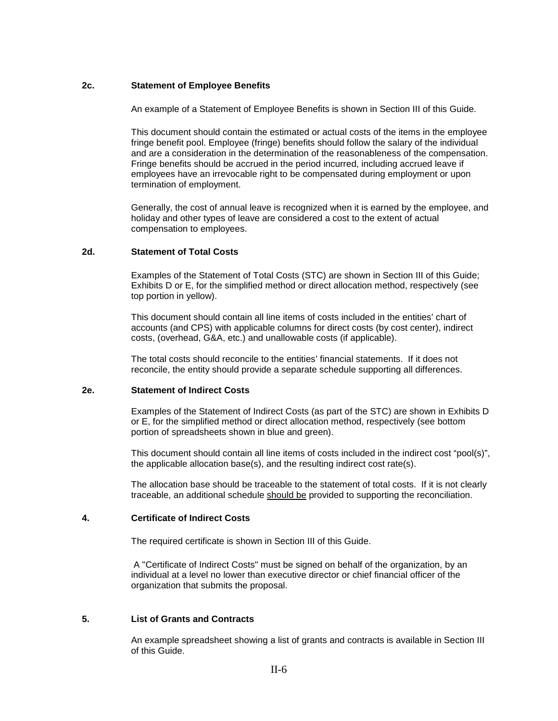#### **2c. Statement of Employee Benefits**

An example of a Statement of Employee Benefits is shown in Section III of this Guide.

This document should contain the estimated or actual costs of the items in the employee fringe benefit pool. Employee (fringe) benefits should follow the salary of the individual and are a consideration in the determination of the reasonableness of the compensation. Fringe benefits should be accrued in the period incurred, including accrued leave if employees have an irrevocable right to be compensated during employment or upon termination of employment.

Generally, the cost of annual leave is recognized when it is earned by the employee, and holiday and other types of leave are considered a cost to the extent of actual compensation to employees.

#### **2d. Statement of Total Costs**

Examples of the Statement of Total Costs (STC) are shown in Section III of this Guide; Exhibits D or E, for the simplified method or direct allocation method, respectively (see top portion in yellow).

This document should contain all line items of costs included in the entities' chart of accounts (and CPS) with applicable columns for direct costs (by cost center), indirect costs, (overhead, G&A, etc.) and unallowable costs (if applicable).

The total costs should reconcile to the entities' financial statements. If it does not reconcile, the entity should provide a separate schedule supporting all differences.

#### **2e. Statement of Indirect Costs**

Examples of the Statement of Indirect Costs (as part of the STC) are shown in Exhibits D or E, for the simplified method or direct allocation method, respectively (see bottom portion of spreadsheets shown in blue and green).

This document should contain all line items of costs included in the indirect cost "pool(s)", the applicable allocation base(s), and the resulting indirect cost rate(s).

The allocation base should be traceable to the statement of total costs. If it is not clearly traceable, an additional schedule should be provided to supporting the reconciliation.

#### **4. Certificate of Indirect Costs**

The required certificate is shown in Section III of this Guide.

A "Certificate of Indirect Costs" must be signed on behalf of the organization, by an individual at a level no lower than executive director or chief financial officer of the organization that submits the proposal.

#### **5. List of Grants and Contracts**

An example spreadsheet showing a list of grants and contracts is available in Section III of this Guide.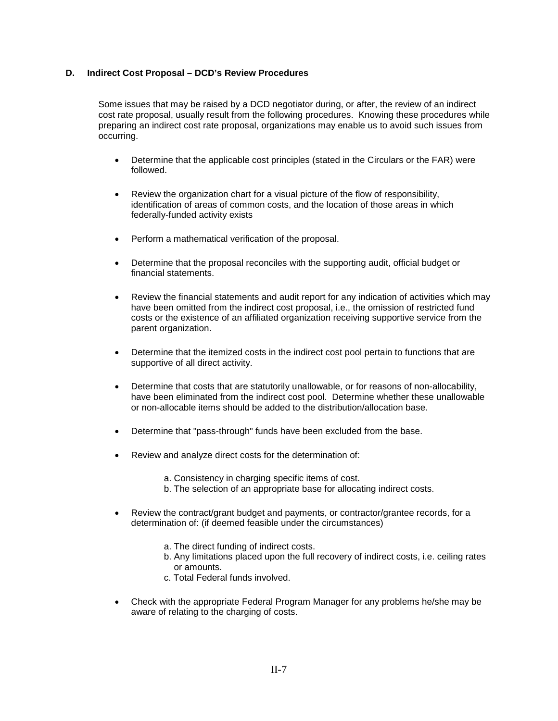#### **D. Indirect Cost Proposal – DCD's Review Procedures**

Some issues that may be raised by a DCD negotiator during, or after, the review of an indirect cost rate proposal, usually result from the following procedures. Knowing these procedures while preparing an indirect cost rate proposal, organizations may enable us to avoid such issues from occurring.

- Determine that the applicable cost principles (stated in the Circulars or the FAR) were followed.
- Review the organization chart for a visual picture of the flow of responsibility, identification of areas of common costs, and the location of those areas in which federally-funded activity exists
- Perform a mathematical verification of the proposal.
- Determine that the proposal reconciles with the supporting audit, official budget or financial statements.
- Review the financial statements and audit report for any indication of activities which may have been omitted from the indirect cost proposal, i.e., the omission of restricted fund costs or the existence of an affiliated organization receiving supportive service from the parent organization.
- Determine that the itemized costs in the indirect cost pool pertain to functions that are supportive of all direct activity.
- Determine that costs that are statutorily unallowable, or for reasons of non-allocability, have been eliminated from the indirect cost pool. Determine whether these unallowable or non-allocable items should be added to the distribution/allocation base.
- Determine that "pass-through" funds have been excluded from the base.
- Review and analyze direct costs for the determination of:
	- a. Consistency in charging specific items of cost.
	- b. The selection of an appropriate base for allocating indirect costs.
- Review the contract/grant budget and payments, or contractor/grantee records, for a determination of: (if deemed feasible under the circumstances)
	- a. The direct funding of indirect costs.
	- b. Any limitations placed upon the full recovery of indirect costs, i.e. ceiling rates or amounts.
	- c. Total Federal funds involved.
- Check with the appropriate Federal Program Manager for any problems he/she may be aware of relating to the charging of costs.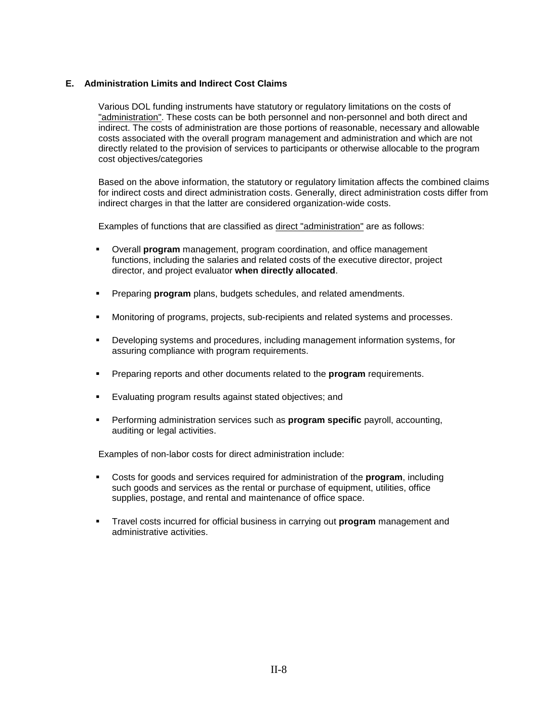#### **E. Administration Limits and Indirect Cost Claims**

Various DOL funding instruments have statutory or regulatory limitations on the costs of "administration". These costs can be both personnel and non-personnel and both direct and indirect. The costs of administration are those portions of reasonable, necessary and allowable costs associated with the overall program management and administration and which are not directly related to the provision of services to participants or otherwise allocable to the program cost objectives/categories

Based on the above information, the statutory or regulatory limitation affects the combined claims for indirect costs and direct administration costs. Generally, direct administration costs differ from indirect charges in that the latter are considered organization-wide costs.

Examples of functions that are classified as direct "administration" are as follows:

- Overall **program** management, program coordination, and office management functions, including the salaries and related costs of the executive director, project director, and project evaluator **when directly allocated**.
- Preparing **program** plans, budgets schedules, and related amendments.
- Monitoring of programs, projects, sub-recipients and related systems and processes.
- Developing systems and procedures, including management information systems, for assuring compliance with program requirements.
- Preparing reports and other documents related to the **program** requirements.
- Evaluating program results against stated objectives; and
- Performing administration services such as **program specific** payroll, accounting, auditing or legal activities.

Examples of non-labor costs for direct administration include:

- Costs for goods and services required for administration of the **program**, including such goods and services as the rental or purchase of equipment, utilities, office supplies, postage, and rental and maintenance of office space.
- Travel costs incurred for official business in carrying out **program** management and administrative activities.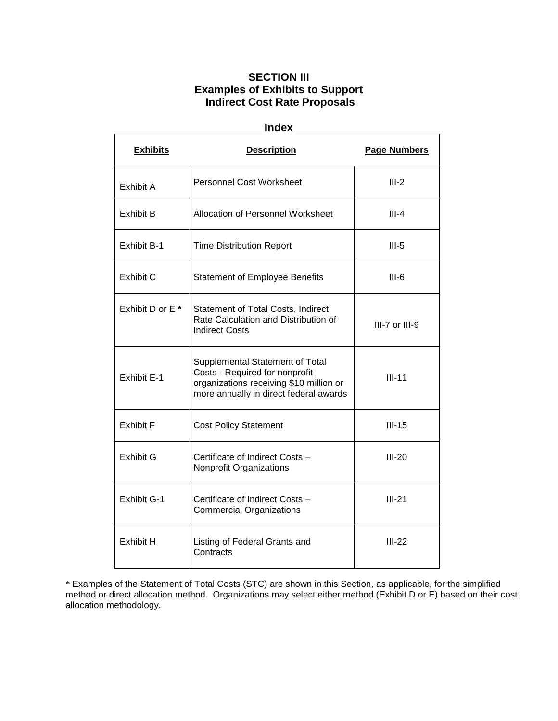### **SECTION III Examples of Exhibits to Support Indirect Cost Rate Proposals**

| <b>Index</b>                |                                                                                                                                                        |                     |  |  |  |  |  |
|-----------------------------|--------------------------------------------------------------------------------------------------------------------------------------------------------|---------------------|--|--|--|--|--|
| <b>Exhibits</b>             | <b>Description</b>                                                                                                                                     | <b>Page Numbers</b> |  |  |  |  |  |
| Exhibit A                   | <b>Personnel Cost Worksheet</b>                                                                                                                        | $III-2$             |  |  |  |  |  |
| Exhibit B                   | Allocation of Personnel Worksheet                                                                                                                      | $III - 4$           |  |  |  |  |  |
| Exhibit B-1                 | <b>Time Distribution Report</b>                                                                                                                        | $III-5$             |  |  |  |  |  |
| <b>Exhibit C</b>            | <b>Statement of Employee Benefits</b>                                                                                                                  | $III-6$             |  |  |  |  |  |
| Exhibit D or E <sup>*</sup> | Statement of Total Costs, Indirect<br>Rate Calculation and Distribution of<br><b>Indirect Costs</b>                                                    | III-7 or III-9      |  |  |  |  |  |
| <b>Exhibit E-1</b>          | Supplemental Statement of Total<br>Costs - Required for nonprofit<br>organizations receiving \$10 million or<br>more annually in direct federal awards | $III-11$            |  |  |  |  |  |
| <b>Exhibit F</b>            | <b>Cost Policy Statement</b>                                                                                                                           | $III-15$            |  |  |  |  |  |
| Exhibit G                   | Certificate of Indirect Costs -<br>Nonprofit Organizations                                                                                             | $III-20$            |  |  |  |  |  |
| Exhibit G-1                 | Certificate of Indirect Costs -<br><b>Commercial Organizations</b>                                                                                     | $III-21$            |  |  |  |  |  |
| <b>Exhibit H</b>            | Listing of Federal Grants and<br>Contracts                                                                                                             | $III-22$            |  |  |  |  |  |

\* Examples of the Statement of Total Costs (STC) are shown in this Section, as applicable, for the simplified method or direct allocation method. Organizations may select either method (Exhibit D or E) based on their cost allocation methodology.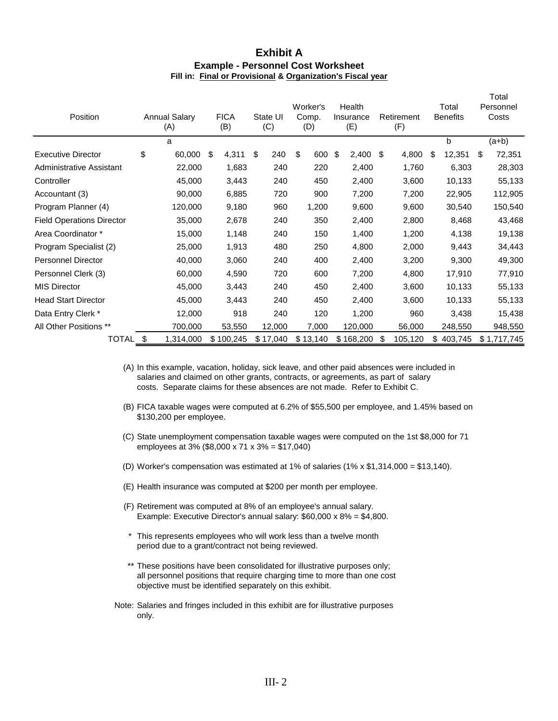### **Exhibit A Example - Personnel Cost Worksheet Fill in: Final or Provisional & Organization's Fiscal year**

| Position                         | <b>Annual Salary</b><br>(A) |           | <b>FICA</b><br>State UI<br>(C)<br>(B) |           |           | Worker's<br>Comp.<br>(D) |    | Health<br>Insurance<br>(E) |    | Retirement<br>(F) |    | Total<br><b>Benefits</b> |    | Total<br>Personnel<br>Costs |    |             |
|----------------------------------|-----------------------------|-----------|---------------------------------------|-----------|-----------|--------------------------|----|----------------------------|----|-------------------|----|--------------------------|----|-----------------------------|----|-------------|
|                                  |                             | a         |                                       |           |           |                          |    |                            |    |                   |    |                          |    | b                           |    | $(a+b)$     |
| <b>Executive Director</b>        | \$                          | 60,000    | \$                                    | 4,311     | \$<br>240 |                          | \$ | 600                        | \$ | 2,400             | \$ | 4,800                    | \$ | 12,351                      | \$ | 72,351      |
| Administrative Assistant         |                             | 22,000    |                                       | 1,683     |           | 240                      |    | 220                        |    | 2,400             |    | 1,760                    |    | 6,303                       |    | 28,303      |
| Controller                       |                             | 45,000    |                                       | 3,443     |           | 240                      |    | 450                        |    | 2,400             |    | 3,600                    |    | 10,133                      |    | 55,133      |
| Accountant (3)                   |                             | 90,000    |                                       | 6,885     |           | 720                      |    | 900                        |    | 7,200             |    | 7,200                    |    | 22,905                      |    | 112,905     |
| Program Planner (4)              |                             | 120,000   |                                       | 9,180     |           | 960                      |    | 1,200                      |    | 9,600             |    | 9,600                    |    | 30,540                      |    | 150,540     |
| <b>Field Operations Director</b> |                             | 35,000    |                                       | 2,678     |           | 240                      |    | 350                        |    | 2,400             |    | 2,800                    |    | 8,468                       |    | 43,468      |
| Area Coordinator *               |                             | 15,000    |                                       | 1,148     |           | 240                      |    | 150                        |    | 1,400             |    | 1,200                    |    | 4,138                       |    | 19,138      |
| Program Specialist (2)           |                             | 25,000    |                                       | 1,913     |           | 480                      |    | 250                        |    | 4,800             |    | 2,000                    |    | 9,443                       |    | 34,443      |
| <b>Personnel Director</b>        |                             | 40,000    |                                       | 3,060     |           | 240                      |    | 400                        |    | 2,400             |    | 3,200                    |    | 9,300                       |    | 49,300      |
| Personnel Clerk (3)              |                             | 60,000    |                                       | 4,590     |           | 720                      |    | 600                        |    | 7,200             |    | 4,800                    |    | 17,910                      |    | 77,910      |
| <b>MIS Director</b>              |                             | 45,000    |                                       | 3,443     |           | 240                      |    | 450                        |    | 2,400             |    | 3,600                    |    | 10,133                      |    | 55,133      |
| <b>Head Start Director</b>       |                             | 45,000    |                                       | 3,443     |           | 240                      |    | 450                        |    | 2,400             |    | 3,600                    |    | 10,133                      |    | 55,133      |
| Data Entry Clerk *               |                             | 12,000    |                                       | 918       |           | 240                      |    | 120                        |    | 1,200             |    | 960                      |    | 3,438                       |    | 15,438      |
| All Other Positions **           |                             | 700,000   |                                       | 53,550    | 12,000    |                          |    | 7,000                      |    | 120,000           |    | 56,000                   |    | 248,550                     |    | 948,550     |
| <b>TOTAL</b>                     | \$                          | 1,314,000 |                                       | \$100,245 | \$17,040  |                          |    | \$13,140                   |    | \$168,200         | S  | 105,120                  | \$ | 403,745                     |    | \$1,717,745 |

(A) In this example, vacation, holiday, sick leave, and other paid absences were included in salaries and claimed on other grants, contracts, or agreements, as part of salary costs. Separate claims for these absences are not made. Refer to Exhibit C.

- (B) FICA taxable wages were computed at 6.2% of \$55,500 per employee, and 1.45% based on \$130,200 per employee.
- (C) State unemployment compensation taxable wages were computed on the 1st \$8,000 for 71 employees at 3% (\$8,000 x 71 x 3% = \$17,040)
- (D) Worker's compensation was estimated at 1% of salaries  $(1\% \times $1,314,000 = $13,140)$ .
- (E) Health insurance was computed at \$200 per month per employee.
- (F) Retirement was computed at 8% of an employee's annual salary. Example: Executive Director's annual salary: \$60,000 x 8% = \$4,800.
- \* This represents employees who will work less than a twelve month period due to a grant/contract not being reviewed.
- \*\* These positions have been consolidated for illustrative purposes only; all personnel positions that require charging time to more than one cost objective must be identified separately on this exhibit.
- Note: Salaries and fringes included in this exhibit are for illustrative purposes only.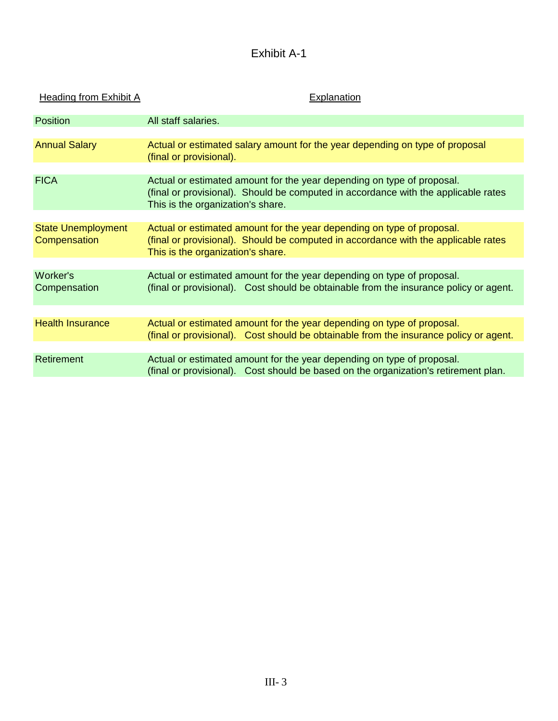# Exhibit A-1

| <b>Heading from Exhibit A</b>             | <b>Explanation</b>                                                                                                                                                                                |
|-------------------------------------------|---------------------------------------------------------------------------------------------------------------------------------------------------------------------------------------------------|
| Position                                  | All staff salaries.                                                                                                                                                                               |
|                                           |                                                                                                                                                                                                   |
| <b>Annual Salary</b>                      | Actual or estimated salary amount for the year depending on type of proposal<br>(final or provisional).                                                                                           |
|                                           |                                                                                                                                                                                                   |
| <b>FICA</b>                               | Actual or estimated amount for the year depending on type of proposal.<br>(final or provisional). Should be computed in accordance with the applicable rates<br>This is the organization's share. |
|                                           |                                                                                                                                                                                                   |
| <b>State Unemployment</b><br>Compensation | Actual or estimated amount for the year depending on type of proposal.<br>(final or provisional). Should be computed in accordance with the applicable rates<br>This is the organization's share. |
|                                           |                                                                                                                                                                                                   |
| Worker's<br>Compensation                  | Actual or estimated amount for the year depending on type of proposal.<br>(final or provisional). Cost should be obtainable from the insurance policy or agent.                                   |
|                                           |                                                                                                                                                                                                   |
| <b>Health Insurance</b>                   | Actual or estimated amount for the year depending on type of proposal.<br>(final or provisional). Cost should be obtainable from the insurance policy or agent.                                   |
| Retirement                                | Actual or estimated amount for the year depending on type of proposal.<br>(final or provisional). Cost should be based on the organization's retirement plan.                                     |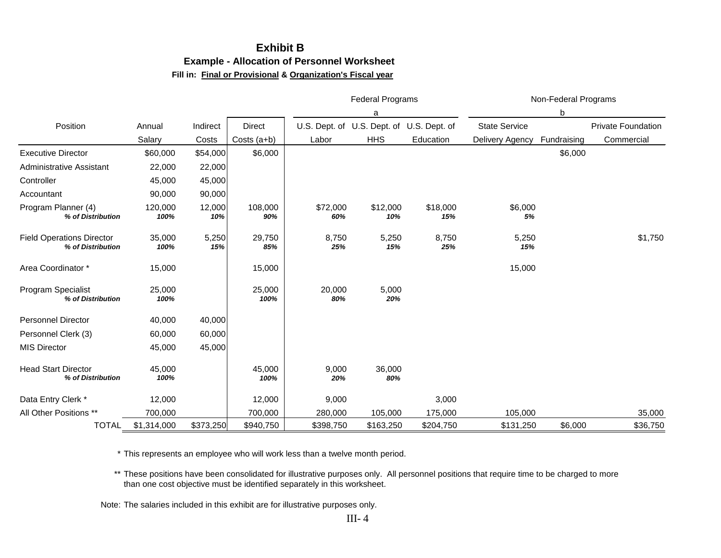### **Exhibit B Example - Allocation of Personnel Worksheet Fill in: Final or Provisional & Organization's Fiscal year**

|                                                       |                 |               |                |                 | <b>Federal Programs</b>                   |                 |                      | Non-Federal Programs |                           |
|-------------------------------------------------------|-----------------|---------------|----------------|-----------------|-------------------------------------------|-----------------|----------------------|----------------------|---------------------------|
|                                                       |                 |               |                |                 | a                                         |                 |                      | b                    |                           |
| Position                                              | Annual          | Indirect      | <b>Direct</b>  |                 | U.S. Dept. of U.S. Dept. of U.S. Dept. of |                 | <b>State Service</b> |                      | <b>Private Foundation</b> |
|                                                       | Salary          | Costs         | Costs $(a+b)$  | Labor           | <b>HHS</b>                                | Education       | Delivery Agency      | Fundraising          | Commercial                |
| <b>Executive Director</b>                             | \$60,000        | \$54,000      | \$6,000        |                 |                                           |                 |                      | \$6,000              |                           |
| <b>Administrative Assistant</b>                       | 22,000          | 22,000        |                |                 |                                           |                 |                      |                      |                           |
| Controller                                            | 45,000          | 45,000        |                |                 |                                           |                 |                      |                      |                           |
| Accountant                                            | 90,000          | 90,000        |                |                 |                                           |                 |                      |                      |                           |
| Program Planner (4)<br>% of Distribution              | 120,000<br>100% | 12,000<br>10% | 108,000<br>90% | \$72,000<br>60% | \$12,000<br>10%                           | \$18,000<br>15% | \$6,000<br>5%        |                      |                           |
| <b>Field Operations Director</b><br>% of Distribution | 35,000<br>100%  | 5,250<br>15%  | 29,750<br>85%  | 8,750<br>25%    | 5,250<br>15%                              | 8,750<br>25%    | 5,250<br>15%         |                      | \$1,750                   |
| Area Coordinator *                                    | 15,000          |               | 15,000         |                 |                                           |                 | 15,000               |                      |                           |
| Program Specialist<br>% of Distribution               | 25,000<br>100%  |               | 25,000<br>100% | 20,000<br>80%   | 5,000<br>20%                              |                 |                      |                      |                           |
| <b>Personnel Director</b>                             | 40,000          | 40,000        |                |                 |                                           |                 |                      |                      |                           |
| Personnel Clerk (3)                                   | 60,000          | 60,000        |                |                 |                                           |                 |                      |                      |                           |
| <b>MIS Director</b>                                   | 45,000          | 45,000        |                |                 |                                           |                 |                      |                      |                           |
| <b>Head Start Director</b><br>% of Distribution       | 45,000<br>100%  |               | 45,000<br>100% | 9,000<br>20%    | 36,000<br>80%                             |                 |                      |                      |                           |
| Data Entry Clerk *                                    | 12,000          |               | 12,000         | 9,000           |                                           | 3,000           |                      |                      |                           |
| All Other Positions **                                | 700,000         |               | 700,000        | 280,000         | 105,000                                   | 175,000         | 105,000              |                      | 35,000                    |
| <b>TOTAL</b>                                          | \$1,314,000     | \$373,250     | \$940,750      | \$398,750       | \$163,250                                 | \$204,750       | \$131,250            | \$6,000              | \$36,750                  |

\* This represents an employee who will work less than a twelve month period.

\*\* These positions have been consolidated for illustrative purposes only. All personnel positions that require time to be charged to more than one cost objective must be identified separately in this worksheet.

Note: The salaries included in this exhibit are for illustrative purposes only.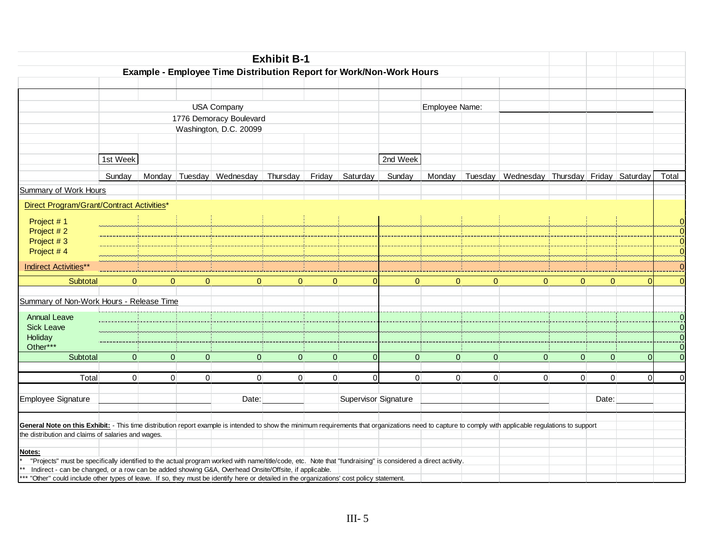|                                                                                                                                                                                                                                                                      |              |              |                |                                                                     | <b>Exhibit B-1</b> |          |                      |              |                |          |                                                             |          |                |          |              |
|----------------------------------------------------------------------------------------------------------------------------------------------------------------------------------------------------------------------------------------------------------------------|--------------|--------------|----------------|---------------------------------------------------------------------|--------------------|----------|----------------------|--------------|----------------|----------|-------------------------------------------------------------|----------|----------------|----------|--------------|
|                                                                                                                                                                                                                                                                      |              |              |                | Example - Employee Time Distribution Report for Work/Non-Work Hours |                    |          |                      |              |                |          |                                                             |          |                |          |              |
|                                                                                                                                                                                                                                                                      |              |              |                |                                                                     |                    |          |                      |              |                |          |                                                             |          |                |          |              |
|                                                                                                                                                                                                                                                                      |              |              |                | <b>USA Company</b>                                                  |                    |          |                      |              | Employee Name: |          |                                                             |          |                |          |              |
|                                                                                                                                                                                                                                                                      |              |              |                | 1776 Demoracy Boulevard                                             |                    |          |                      |              |                |          |                                                             |          |                |          |              |
|                                                                                                                                                                                                                                                                      |              |              |                | Washington, D.C. 20099                                              |                    |          |                      |              |                |          |                                                             |          |                |          |              |
|                                                                                                                                                                                                                                                                      |              |              |                |                                                                     |                    |          |                      |              |                |          |                                                             |          |                |          |              |
|                                                                                                                                                                                                                                                                      | 1st Week     |              |                |                                                                     |                    |          |                      | 2nd Week     |                |          |                                                             |          |                |          |              |
|                                                                                                                                                                                                                                                                      | Sunday       |              |                | Monday Tuesday Wednesday                                            | Thursday           | Friday   | Saturday             | Sunday       |                |          | Monday   Tuesday   Wednesday   Thursday   Friday   Saturday |          |                |          | Total        |
| <b>Summary of Work Hours</b>                                                                                                                                                                                                                                         |              |              |                |                                                                     |                    |          |                      |              |                |          |                                                             |          |                |          |              |
| Direct Program/Grant/Contract Activities*                                                                                                                                                                                                                            |              |              |                |                                                                     |                    |          |                      |              |                |          |                                                             |          |                |          |              |
| Project #1                                                                                                                                                                                                                                                           |              |              |                |                                                                     |                    |          |                      |              |                |          |                                                             |          |                |          |              |
| Project #2                                                                                                                                                                                                                                                           |              |              |                |                                                                     |                    |          |                      |              |                |          |                                                             |          |                |          | n            |
| Project #3                                                                                                                                                                                                                                                           |              |              |                |                                                                     |                    |          |                      |              |                |          |                                                             |          |                |          | $\Omega$     |
| Project #4                                                                                                                                                                                                                                                           |              |              |                |                                                                     |                    |          |                      |              |                |          |                                                             |          |                |          |              |
| <b>Indirect Activities**</b>                                                                                                                                                                                                                                         |              |              |                |                                                                     |                    |          |                      |              |                |          |                                                             |          |                |          |              |
| Subtotal                                                                                                                                                                                                                                                             | $\Omega$     | $\mathbf{0}$ | $\Omega$       | $\Omega$                                                            | $\Omega$           | $\Omega$ |                      | $\Omega$     | $\Omega$       | $\Omega$ | $\Omega$                                                    | $\Omega$ | $\Omega$       | n        |              |
| Summary of Non-Work Hours - Release Time                                                                                                                                                                                                                             |              |              |                |                                                                     |                    |          |                      |              |                |          |                                                             |          |                |          |              |
|                                                                                                                                                                                                                                                                      |              |              |                |                                                                     |                    |          |                      |              |                |          |                                                             |          |                |          |              |
| <b>Annual Leave</b>                                                                                                                                                                                                                                                  |              |              |                |                                                                     |                    |          |                      |              |                |          |                                                             |          |                |          | $\mathbf{0}$ |
| <b>Sick Leave</b><br>Holiday                                                                                                                                                                                                                                         |              |              |                |                                                                     |                    |          |                      |              |                |          |                                                             |          |                |          | $\Omega$     |
| Other***                                                                                                                                                                                                                                                             |              |              |                |                                                                     |                    |          |                      |              |                |          |                                                             |          |                |          | $\Omega$     |
| Subtotal                                                                                                                                                                                                                                                             | $\mathbf{0}$ | $\Omega$     | $\Omega$       | $\overline{0}$                                                      | $\Omega$           | $\Omega$ | $\Omega$             | $\mathbf{0}$ | $\Omega$       | $\Omega$ | $\Omega$                                                    | $\Omega$ | $\Omega$       | $\Omega$ | $\Omega$     |
|                                                                                                                                                                                                                                                                      |              |              |                |                                                                     |                    |          |                      |              |                |          |                                                             |          |                |          |              |
| Total                                                                                                                                                                                                                                                                | $\Omega$     | $\Omega$     | $\overline{0}$ | $\Omega$                                                            | $\Omega$           | $\Omega$ | $\Omega$             | $\Omega$     | $\Omega$       | $\Omega$ | $\Omega$                                                    | $\Omega$ | $\overline{0}$ | $\Omega$ | $\Omega$     |
| <b>Employee Signature</b>                                                                                                                                                                                                                                            |              |              |                | Date:                                                               |                    |          | Supervisor Signature |              |                |          |                                                             |          | Date:          |          |              |
|                                                                                                                                                                                                                                                                      |              |              |                |                                                                     |                    |          |                      |              |                |          |                                                             |          |                |          |              |
| General Note on this Exhibit: - This time distribution report example is intended to show the minimum requirements that organizations need to capture to comply with applicable regulations to support<br>the distribution and claims of salaries and wages.         |              |              |                |                                                                     |                    |          |                      |              |                |          |                                                             |          |                |          |              |
|                                                                                                                                                                                                                                                                      |              |              |                |                                                                     |                    |          |                      |              |                |          |                                                             |          |                |          |              |
| Notes:                                                                                                                                                                                                                                                               |              |              |                |                                                                     |                    |          |                      |              |                |          |                                                             |          |                |          |              |
| "Projects" must be specifically identified to the actual program worked with name/title/code, etc. Note that "fundraising" is considered a direct activity.<br>Indirect - can be changed, or a row can be added showing G&A, Overhead Onsite/Offsite, if applicable. |              |              |                |                                                                     |                    |          |                      |              |                |          |                                                             |          |                |          |              |
| *** "Other" could include other types of leave. If so, they must be identify here or detailed in the organizations' cost policy statement.                                                                                                                           |              |              |                |                                                                     |                    |          |                      |              |                |          |                                                             |          |                |          |              |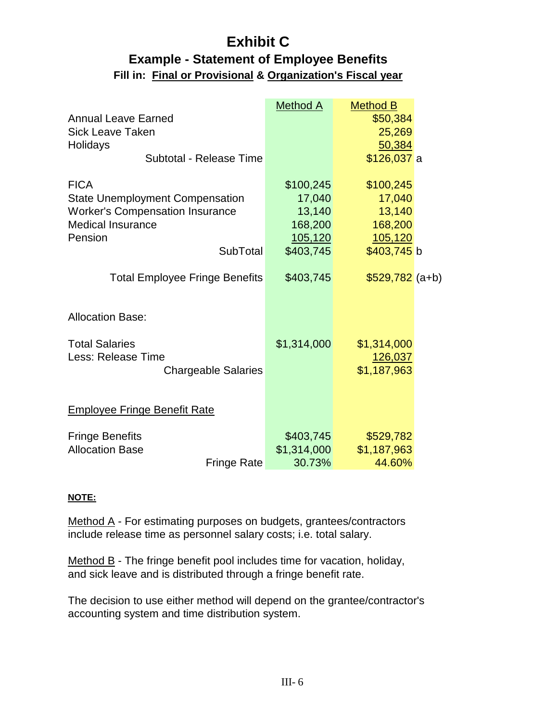## **Exhibit C Example - Statement of Employee Benefits Fill in: Final or Provisional & Organization's Fiscal year**

|                                        | <b>Method A</b> | <b>Method B</b>  |  |
|----------------------------------------|-----------------|------------------|--|
| <b>Annual Leave Earned</b>             |                 | \$50,384         |  |
| <b>Sick Leave Taken</b>                |                 | 25,269           |  |
| Holidays                               |                 | 50,384           |  |
| Subtotal - Release Time                |                 | \$126,037 a      |  |
| <b>FICA</b>                            | \$100,245       | \$100,245        |  |
| <b>State Unemployment Compensation</b> | 17,040          | 17,040           |  |
| <b>Worker's Compensation Insurance</b> | 13,140          | 13,140           |  |
| <b>Medical Insurance</b>               | 168,200         | 168,200          |  |
| Pension                                | 105, 120        | 105,120          |  |
| <b>SubTotal</b>                        | \$403,745       | \$403,745 b      |  |
| <b>Total Employee Fringe Benefits</b>  | \$403,745       | $$529,782$ (a+b) |  |
| <b>Allocation Base:</b>                |                 |                  |  |
| <b>Total Salaries</b>                  | \$1,314,000     | \$1,314,000      |  |
| Less: Release Time                     |                 | 126,037          |  |
| <b>Chargeable Salaries</b>             |                 | \$1,187,963      |  |
| <b>Employee Fringe Benefit Rate</b>    |                 |                  |  |
|                                        |                 |                  |  |
| <b>Fringe Benefits</b>                 | \$403,745       | \$529,782        |  |
| <b>Allocation Base</b>                 | \$1,314,000     | \$1,187,963      |  |
| <b>Fringe Rate</b>                     | 30.73%          | 44.60%           |  |

### **NOTE:**

Method A - For estimating purposes on budgets, grantees/contractors include release time as personnel salary costs; i.e. total salary.

Method B - The fringe benefit pool includes time for vacation, holiday, and sick leave and is distributed through a fringe benefit rate.

The decision to use either method will depend on the grantee/contractor's accounting system and time distribution system.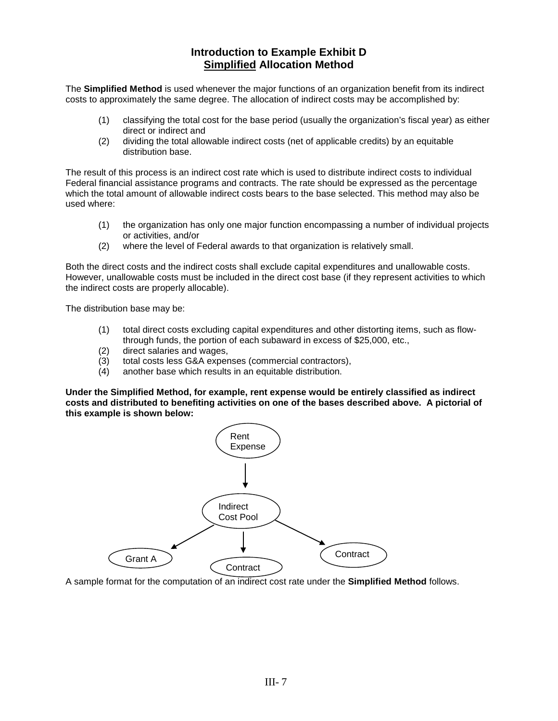### **Introduction to Example Exhibit D Simplified Allocation Method**

The **Simplified Method** is used whenever the major functions of an organization benefit from its indirect costs to approximately the same degree. The allocation of indirect costs may be accomplished by:

- (1) classifying the total cost for the base period (usually the organization's fiscal year) as either direct or indirect and
- (2) dividing the total allowable indirect costs (net of applicable credits) by an equitable distribution base.

The result of this process is an indirect cost rate which is used to distribute indirect costs to individual Federal financial assistance programs and contracts. The rate should be expressed as the percentage which the total amount of allowable indirect costs bears to the base selected. This method may also be used where:

- (1) the organization has only one major function encompassing a number of individual projects or activities, and/or
- (2) where the level of Federal awards to that organization is relatively small.

Both the direct costs and the indirect costs shall exclude capital expenditures and unallowable costs. However, unallowable costs must be included in the direct cost base (if they represent activities to which the indirect costs are properly allocable).

The distribution base may be:

- (1) total direct costs excluding capital expenditures and other distorting items, such as flowthrough funds, the portion of each subaward in excess of \$25,000, etc.,
- (2) direct salaries and wages,<br>(3) total costs less G&A exper
- total costs less G&A expenses (commercial contractors),
- (4) another base which results in an equitable distribution.

**Under the Simplified Method, for example, rent expense would be entirely classified as indirect costs and distributed to benefiting activities on one of the bases described above. A pictorial of this example is shown below:**



A sample format for the computation of an indirect cost rate under the **Simplified Method** follows.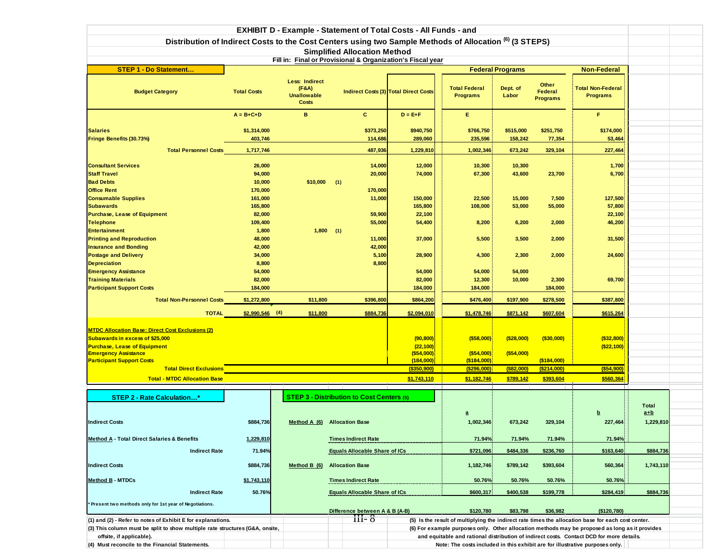|                                                                                                         |                    |                                             | <b>EXHIBIT D - Example - Statement of Total Costs - All Funds - and</b> |                                              |                                                                              |                         |                                     |                                                                                                    |              |
|---------------------------------------------------------------------------------------------------------|--------------------|---------------------------------------------|-------------------------------------------------------------------------|----------------------------------------------|------------------------------------------------------------------------------|-------------------------|-------------------------------------|----------------------------------------------------------------------------------------------------|--------------|
| Distribution of Indirect Costs to the Cost Centers using two Sample Methods of Allocation (6) (3 STEPS) |                    |                                             |                                                                         |                                              |                                                                              |                         |                                     |                                                                                                    |              |
|                                                                                                         |                    |                                             | <b>Simplified Allocation Method</b>                                     |                                              |                                                                              |                         |                                     |                                                                                                    |              |
|                                                                                                         |                    |                                             | Fill in: Final or Provisional & Organization's Fiscal year              |                                              |                                                                              |                         |                                     |                                                                                                    |              |
| <b>STEP 1 - Do Statement</b>                                                                            |                    |                                             |                                                                         |                                              |                                                                              | <b>Federal Programs</b> |                                     | <b>Non-Federal</b>                                                                                 |              |
|                                                                                                         |                    | <b>Less: Indirect</b>                       |                                                                         |                                              |                                                                              |                         |                                     |                                                                                                    |              |
| <b>Budget Category</b>                                                                                  | <b>Total Costs</b> | (F&A)<br><b>Unallowable</b><br><b>Costs</b> |                                                                         | <b>Indirect Costs (3) Total Direct Costs</b> | <b>Total Federal</b><br><b>Programs</b>                                      | Dept. of<br>Labor       | Other<br>Federal<br><b>Programs</b> | <b>Total Non-Federal</b><br><b>Programs</b>                                                        |              |
|                                                                                                         | $A = B + C + D$    | B                                           | $\mathbf{c}$                                                            | $D = E + F$                                  | E.                                                                           |                         |                                     | F.                                                                                                 |              |
| <b>Salaries</b>                                                                                         | \$1,314,000        |                                             | \$373,250                                                               | \$940,750                                    | \$766,750                                                                    | \$515,000               | \$251,750                           | \$174,000                                                                                          |              |
| Fringe Benefits (30.73%)                                                                                | 403,746            |                                             | 114,686                                                                 | 289,060                                      | 235,596                                                                      | 158,242                 | 77,354                              | 53,464                                                                                             |              |
| <b>Total Personnel Costs</b>                                                                            | 1,717,746          |                                             | 487,936                                                                 | 1,229,810                                    | 1,002,346                                                                    | 673,242                 | 329,104                             | 227,464                                                                                            |              |
|                                                                                                         |                    |                                             |                                                                         |                                              |                                                                              |                         |                                     |                                                                                                    |              |
| <b>Consultant Services</b><br><b>Staff Travel</b>                                                       | 26,000<br>94,000   |                                             | 14,000<br>20,000                                                        | 12,000<br>74,000                             | 10,300<br>67,300                                                             | 10,300<br>43,600        | 23,700                              | 1,700<br>6,700                                                                                     |              |
| <b>Bad Debts</b>                                                                                        | 10,000             | \$10,000                                    | (1)                                                                     |                                              |                                                                              |                         |                                     |                                                                                                    |              |
| <b>Office Rent</b>                                                                                      | 170,000            |                                             | 170,000                                                                 |                                              |                                                                              |                         |                                     |                                                                                                    |              |
| <b>Consumable Supplies</b>                                                                              | 161,000            |                                             | 11,000                                                                  | 150,000                                      | 22,500                                                                       | 15,000                  | 7,500                               | 127,500                                                                                            |              |
| <b>Subawards</b>                                                                                        | 165,800            |                                             |                                                                         | 165,800                                      | 108,000                                                                      | 53,000                  | 55,000                              | 57,800                                                                                             |              |
| <b>Purchase, Lease of Equipment</b>                                                                     | 82,000             |                                             | 59,900                                                                  | 22,100                                       |                                                                              |                         |                                     | 22,100                                                                                             |              |
| <b>Telephone</b>                                                                                        | 109,400            |                                             | 55,000                                                                  | 54,400                                       | 8,200                                                                        | 6,200                   | 2,000                               | 46,200                                                                                             |              |
| <b>Entertainment</b>                                                                                    | 1,800              | 1,800                                       | (1)                                                                     |                                              |                                                                              |                         |                                     |                                                                                                    |              |
| <b>Printing and Reproduction</b>                                                                        | 48,000             |                                             | 11,000                                                                  | 37,000                                       | 5,500                                                                        | 3,500                   | 2,000                               | 31,500                                                                                             |              |
| <b>Insurance and Bonding</b>                                                                            | 42,000             |                                             | 42,000                                                                  |                                              |                                                                              |                         |                                     |                                                                                                    |              |
| <b>Postage and Delivery</b>                                                                             | 34,000             |                                             | 5,100                                                                   | 28,900                                       | 4,300                                                                        | 2,300                   | 2,000                               | 24,600                                                                                             |              |
| <b>Depreciation</b>                                                                                     | 8,800              |                                             | 8,800                                                                   |                                              |                                                                              |                         |                                     |                                                                                                    |              |
| <b>Emergency Assistance</b><br><b>Training Materials</b>                                                | 54,000<br>82,000   |                                             |                                                                         | 54,000<br>82,000                             | 54,000<br>12,300                                                             | 54,000<br>10,000        | 2,300                               | 69,700                                                                                             |              |
| <b>Participant Support Costs</b>                                                                        | 184,000            |                                             |                                                                         | 184,000                                      | 184,000                                                                      |                         | 184,000                             |                                                                                                    |              |
| <b>Total Non-Personnel Costs</b>                                                                        | \$1,272,800        | \$11,800                                    | \$396,800                                                               | \$864,200                                    | \$476,400                                                                    | \$197,900               | \$278,500                           | \$387,800                                                                                          |              |
|                                                                                                         |                    |                                             |                                                                         |                                              |                                                                              |                         |                                     |                                                                                                    |              |
| <b>TOTAL</b>                                                                                            | $$2,990,546$ (4)   | \$11,800                                    | \$884,736                                                               | \$2,094,010                                  | \$1,478,746                                                                  | \$871,142               | \$607,604                           | \$615,264                                                                                          |              |
|                                                                                                         |                    |                                             |                                                                         |                                              |                                                                              |                         |                                     |                                                                                                    |              |
| <b>MTDC Allocation Base: Direct Cost Exclusions (2)</b>                                                 |                    |                                             |                                                                         |                                              |                                                                              |                         |                                     |                                                                                                    |              |
| Subawards in excess of \$25,000<br><b>Purchase, Lease of Equipment</b>                                  |                    |                                             |                                                                         | (90, 800)<br>(22, 100)                       | ( \$58,000)                                                                  | ( \$28,000)             | $($ \$30,000)                       | ( \$32, 800)<br>(\$22,100)                                                                         |              |
| <b>Emergency Assistance</b>                                                                             |                    |                                             |                                                                         | ( \$54,000)                                  | ( \$54,000)                                                                  | ( \$54,000)             |                                     |                                                                                                    |              |
| <b>Participant Support Costs</b>                                                                        |                    |                                             |                                                                         | (184,000)                                    | (\$184,000)                                                                  |                         | (\$184,000)                         |                                                                                                    |              |
| <b>Total Direct Exclusions</b>                                                                          |                    |                                             |                                                                         | $($ \$350,900)                               | (\$296,000)                                                                  | $($ \$82,000)           | ( \$214,000)                        | ( \$54, 900)                                                                                       |              |
| <b>Total - MTDC Allocation Base</b>                                                                     |                    |                                             |                                                                         | \$1,743,110                                  | \$1,182,746                                                                  | \$789,142               | \$393,604                           | \$560,364                                                                                          |              |
|                                                                                                         |                    |                                             |                                                                         |                                              |                                                                              |                         |                                     |                                                                                                    |              |
| <b>STEP 2 - Rate Calculation*</b>                                                                       |                    |                                             | <b>STEP 3 - Distribution to Cost Centers (5)</b>                        |                                              |                                                                              |                         |                                     |                                                                                                    |              |
|                                                                                                         |                    |                                             |                                                                         |                                              |                                                                              |                         |                                     |                                                                                                    | <b>Total</b> |
|                                                                                                         |                    |                                             |                                                                         |                                              | $\overline{a}$                                                               |                         |                                     | b                                                                                                  | $a+b$        |
| <b>Indirect Costs</b>                                                                                   | \$884,736          |                                             | Method A (6) Allocation Base                                            |                                              | 1,002,346                                                                    | 673,242                 | 329,104                             | 227,464                                                                                            | 1,229,810    |
| <b>Method A - Total Direct Salaries &amp; Benefits</b>                                                  | 1,229,810          |                                             | <b>Times Indirect Rate</b>                                              |                                              | 71.94%                                                                       | 71.94%                  | 71.94%                              | 71.94%                                                                                             |              |
| <b>Indirect Rate</b>                                                                                    | 71.94%             |                                             | <b>Equals Allocable Share of ICs</b>                                    |                                              | \$721,096                                                                    | \$484,336               | \$236,760                           | \$163,640                                                                                          | \$884,736    |
|                                                                                                         |                    |                                             |                                                                         |                                              |                                                                              |                         |                                     |                                                                                                    |              |
| <b>Indirect Costs</b>                                                                                   | \$884,736          | Method B (6)                                | <b>Allocation Base</b>                                                  |                                              | 1,182,746                                                                    | \$789,142               | \$393,604                           | 560,364                                                                                            | 1,743,110    |
| Method B - MTDCs                                                                                        | \$1,743,110        |                                             | <b>Times Indirect Rate</b>                                              |                                              | 50.76%                                                                       | 50.76%                  | 50.76%                              | 50.76%                                                                                             |              |
| <b>Indirect Rate</b>                                                                                    | 50.76%             |                                             | <b>Equals Allocable Share of ICs</b>                                    |                                              | \$600,317                                                                    | \$400,538               | \$199,778                           | \$284,419                                                                                          | \$884,736    |
| Present two methods only for 1st year of Negotiations.                                                  |                    |                                             |                                                                         |                                              |                                                                              |                         |                                     |                                                                                                    |              |
|                                                                                                         |                    |                                             | Difference between A & B (A-B)                                          |                                              | \$120,780                                                                    | \$83,798                | \$36,982                            | (\$120,780)                                                                                        |              |
| (1) and (2) - Refer to notes of Exhibit E for explanations.                                             |                    |                                             | $III-8$                                                                 |                                              |                                                                              |                         |                                     | (5) Is the result of multiplying the indirect rate times the allocation base for each cost center. |              |
| (3) This column must be split to show multiple rate structures (G&A, onsite,                            |                    |                                             |                                                                         |                                              |                                                                              |                         |                                     | (6) For example purposes only. Other allocation methods may be proposed as long as it provides     |              |
| offsite, if applicable).                                                                                |                    |                                             |                                                                         |                                              |                                                                              |                         |                                     | and equitable and rational distribution of indirect costs. Contact DCD for more details.           |              |
| (4) Must reconcile to the Financial Statements.                                                         |                    |                                             |                                                                         |                                              | Note: The costs included in this exhibit are for illustrative purposes only. |                         |                                     |                                                                                                    |              |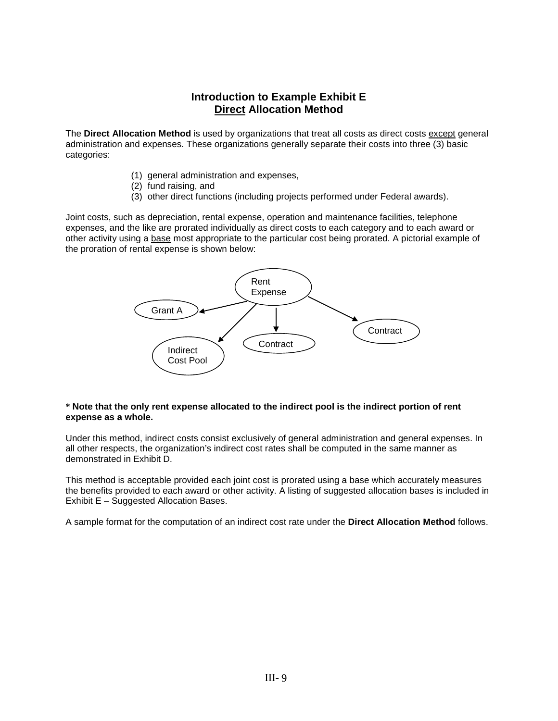### **Introduction to Example Exhibit E Direct Allocation Method**

The **Direct Allocation Method** is used by organizations that treat all costs as direct costs except general administration and expenses. These organizations generally separate their costs into three (3) basic categories:

- (1) general administration and expenses,
- (2) fund raising, and
- (3) other direct functions (including projects performed under Federal awards).

Joint costs, such as depreciation, rental expense, operation and maintenance facilities, telephone expenses, and the like are prorated individually as direct costs to each category and to each award or other activity using a base most appropriate to the particular cost being prorated. A pictorial example of the proration of rental expense is shown below:



#### **\* Note that the only rent expense allocated to the indirect pool is the indirect portion of rent expense as a whole.**

Under this method, indirect costs consist exclusively of general administration and general expenses. In all other respects, the organization's indirect cost rates shall be computed in the same manner as demonstrated in Exhibit D.

This method is acceptable provided each joint cost is prorated using a base which accurately measures the benefits provided to each award or other activity. A listing of suggested allocation bases is included in Exhibit E – Suggested Allocation Bases.

A sample format for the computation of an indirect cost rate under the **Direct Allocation Method** follows.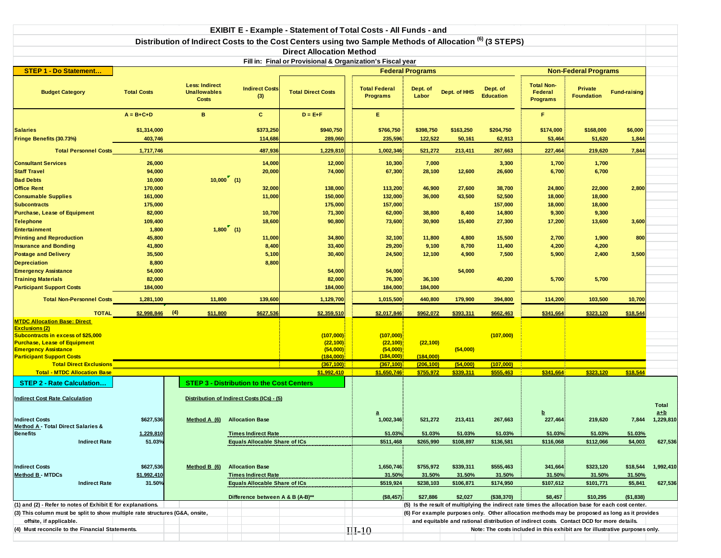| <b>EXIBIT E - Example - Statement of Total Costs - All Funds - and</b>                                                                                                                                              |                       |                                                       |                                                                      |                                                                                                                    |                                                 |                         |                     |                              |                                                                                                    |                                     |                     |                             |
|---------------------------------------------------------------------------------------------------------------------------------------------------------------------------------------------------------------------|-----------------------|-------------------------------------------------------|----------------------------------------------------------------------|--------------------------------------------------------------------------------------------------------------------|-------------------------------------------------|-------------------------|---------------------|------------------------------|----------------------------------------------------------------------------------------------------|-------------------------------------|---------------------|-----------------------------|
|                                                                                                                                                                                                                     |                       |                                                       |                                                                      | Distribution of Indirect Costs to the Cost Centers using two Sample Methods of Allocation <sup>(6)</sup> (3 STEPS) |                                                 |                         |                     |                              |                                                                                                    |                                     |                     |                             |
|                                                                                                                                                                                                                     |                       |                                                       |                                                                      | <b>Direct Allocation Method</b>                                                                                    |                                                 |                         |                     |                              |                                                                                                    |                                     |                     |                             |
|                                                                                                                                                                                                                     |                       |                                                       |                                                                      | Fill in: Final or Provisional & Organization's Fiscal year                                                         |                                                 |                         |                     |                              |                                                                                                    |                                     |                     |                             |
| <b>STEP 1 - Do Statement</b>                                                                                                                                                                                        |                       |                                                       |                                                                      |                                                                                                                    |                                                 | <b>Federal Programs</b> |                     |                              |                                                                                                    | <b>Non-Federal Programs</b>         |                     |                             |
| <b>Budget Category</b>                                                                                                                                                                                              | <b>Total Costs</b>    | <b>Less: Indirect</b><br><b>Unallowables</b><br>Costs | <b>Indirect Costs</b><br>(3)                                         | <b>Total Direct Costs</b>                                                                                          | <b>Total Federal</b><br><b>Programs</b>         | Dept. of<br>Labor       | Dept. of HHS        | Dept. of<br><b>Education</b> | <b>Total Non-</b><br>Federal<br><b>Programs</b>                                                    | <b>Private</b><br><b>Foundation</b> | <b>Fund-raising</b> |                             |
|                                                                                                                                                                                                                     | $A = B + C + D$       | $\mathbf{B}$                                          | $\mathbf{C}$                                                         | $D = E + F$                                                                                                        | E.                                              |                         |                     |                              | F                                                                                                  |                                     |                     |                             |
| <b>Salaries</b>                                                                                                                                                                                                     | \$1,314,000           |                                                       | \$373,250                                                            | \$940,750                                                                                                          | \$766,750                                       | \$398,750               | \$163,250           | \$204,750                    | \$174,000                                                                                          | \$168,000                           | \$6,000             |                             |
| Fringe Benefits (30.73%)                                                                                                                                                                                            | 403,746               |                                                       | 114,686                                                              | 289,060                                                                                                            | 235,596                                         | 122,522                 | 50,161              | 62,913                       | 53,464                                                                                             | 51,620                              | 1,844               |                             |
| <b>Total Personnel Costs</b>                                                                                                                                                                                        | 1,717,746             |                                                       | 487,936                                                              | 1,229,810                                                                                                          | 1,002,346                                       | 521,272                 | 213,411             | 267,663                      | 227,464                                                                                            | 219,620                             | 7,844               |                             |
| <b>Consultant Services</b>                                                                                                                                                                                          | 26,000                |                                                       | 14,000                                                               | 12,000                                                                                                             | 10,300                                          | 7,000                   |                     | 3,300                        | 1,700                                                                                              | 1,700                               |                     |                             |
| <b>Staff Travel</b>                                                                                                                                                                                                 | 94,000                |                                                       | 20,000                                                               | 74,000                                                                                                             | 67,300                                          | 28,100                  | 12,600              | 26,600                       | 6,700                                                                                              | 6,700                               |                     |                             |
| <b>Bad Debts</b>                                                                                                                                                                                                    | 10,000                |                                                       | $10,000$ (1)                                                         |                                                                                                                    |                                                 |                         |                     |                              |                                                                                                    |                                     |                     |                             |
| <b>Office Rent</b>                                                                                                                                                                                                  | 170,000               |                                                       | 32,000                                                               | 138,000                                                                                                            | 113,200                                         | 46,900                  | 27,600              | 38,700                       | 24,800                                                                                             | 22,000                              | 2,800               |                             |
| <b>Consumable Supplies</b>                                                                                                                                                                                          | 161,000               |                                                       | 11,000                                                               | 150,000                                                                                                            | 132,000                                         | 36,000                  | 43,500              | 52,500                       | 18,000                                                                                             | 18,000                              |                     |                             |
| <b>Subcontracts</b>                                                                                                                                                                                                 | 175,000               |                                                       |                                                                      | 175,000                                                                                                            | 157,000                                         |                         |                     | 157,000                      | 18,000                                                                                             | 18,000                              |                     |                             |
| <b>Purchase, Lease of Equipment</b><br><b>Telephone</b>                                                                                                                                                             | 82,000<br>109,400     |                                                       | 10,700<br>18,600                                                     | 71,300<br>90,800                                                                                                   | 62,000<br>73,600                                | 38,800<br>30,900        | 8,400<br>15,400     | 14,800<br>27,300             | 9,300<br>17,200                                                                                    | 9,300<br>13,600                     | 3,600               |                             |
| <b>Entertainment</b>                                                                                                                                                                                                | 1,800                 |                                                       | $1,800$ (1)                                                          |                                                                                                                    |                                                 |                         |                     |                              |                                                                                                    |                                     |                     |                             |
| <b>Printing and Reproduction</b>                                                                                                                                                                                    | 45,800                |                                                       | 11,000                                                               | 34,800                                                                                                             | 32,100                                          | 11,800                  | 4,800               | 15,500                       | 2,700                                                                                              | 1,900                               | 800                 |                             |
| <b>Insurance and Bonding</b>                                                                                                                                                                                        | 41,800                |                                                       | 8,400                                                                | 33,400                                                                                                             | 29,200                                          | 9,100                   | 8,700               | 11,400                       | 4,200                                                                                              | 4,200                               |                     |                             |
| <b>Postage and Delivery</b>                                                                                                                                                                                         | 35,500                |                                                       | 5,100                                                                | 30,400                                                                                                             | 24,500                                          | 12,100                  | 4,900               | 7,500                        | 5,900                                                                                              | 2,400                               | 3,500               |                             |
| <b>Depreciation</b>                                                                                                                                                                                                 | 8,800                 |                                                       | 8,800                                                                |                                                                                                                    |                                                 |                         |                     |                              |                                                                                                    |                                     |                     |                             |
| <b>Emergency Assistance</b>                                                                                                                                                                                         | 54,000                |                                                       |                                                                      | 54,000                                                                                                             | 54,000                                          |                         | 54,000              |                              |                                                                                                    |                                     |                     |                             |
| <b>Training Materials</b>                                                                                                                                                                                           | 82,000                |                                                       |                                                                      | 82,000                                                                                                             | 76,300                                          | 36,100                  |                     | 40,200                       | 5,700                                                                                              | 5,700                               |                     |                             |
| <b>Participant Support Costs</b>                                                                                                                                                                                    | 184,000               |                                                       |                                                                      | 184,000                                                                                                            | 184,000                                         | 184,000                 |                     |                              |                                                                                                    |                                     |                     |                             |
| <b>Total Non-Personnel Costs</b>                                                                                                                                                                                    | 1,281,100             | 11,800                                                | 139,600                                                              | 1,129,700                                                                                                          | 1,015,500                                       | 440,800                 | 179,900             | 394,800                      | 114,200                                                                                            | 103,500                             | 10,700              |                             |
| <b>TOTAL</b>                                                                                                                                                                                                        | \$2,998,846           | (4)<br>\$11,800                                       | \$627,536                                                            | \$2,359,510                                                                                                        | \$2,017,846                                     | \$962,072               | \$393,311           | \$662,463                    | \$341,664                                                                                          | \$323,120                           | \$18,544            |                             |
| <b>MTDC Allocation Base: Direct</b><br><b>Exclusions (2)</b><br><b>Subcontracts in excess of \$25,000</b><br><b>Purchase, Lease of Equipment</b><br><b>Emergency Assistance</b><br><b>Participant Support Costs</b> |                       |                                                       |                                                                      | (107,000)<br>(22, 100)<br>(54,000)<br>(184,000)                                                                    | (107,000)<br>(22, 100)<br>(54,000)<br>(184,000) | (22, 100)<br>(184,000)  | (54,000)            | (107,000)                    |                                                                                                    |                                     |                     |                             |
| <b>Total Direct Exclusions</b>                                                                                                                                                                                      |                       |                                                       |                                                                      | (367.100)                                                                                                          | (367.100)                                       | (206.100)               | (54.000)            | (107.000)                    |                                                                                                    |                                     |                     |                             |
| <b>Total - MTDC Allocation Base</b>                                                                                                                                                                                 |                       |                                                       |                                                                      | \$1,992,410                                                                                                        | \$1.650.746                                     | \$755,972               | \$339,311           | \$555.463                    | \$341.664                                                                                          | \$323.120                           | \$18.544            |                             |
| <b>STEP 2 - Rate Calculation</b>                                                                                                                                                                                    |                       |                                                       | <b>STEP 3 - Distribution to the Cost Centers</b>                     |                                                                                                                    |                                                 |                         |                     |                              |                                                                                                    |                                     |                     |                             |
| <b>Indirect Cost Rate Calculation</b><br><b>Indirect Costs</b>                                                                                                                                                      | \$627,536             | Method $A(6)$                                         | Distribution of Indirect Costs (ICs) - (5)<br><b>Allocation Base</b> |                                                                                                                    | a<br>1,002,346                                  | 521,272                 | 213,411             | 267,663                      | 227,464                                                                                            | 219,620                             | 7,844               | Total<br>$a+b$<br>1,229,810 |
| <b>Method A - Total Direct Salaries &amp;</b>                                                                                                                                                                       |                       |                                                       |                                                                      |                                                                                                                    |                                                 |                         |                     |                              |                                                                                                    |                                     |                     |                             |
| Benefits<br><b>Indirect Rate</b>                                                                                                                                                                                    | 1,229,810<br>51.03%   |                                                       | <b>Times Indirect Rate</b><br><b>Equals Allocable Share of ICs</b>   |                                                                                                                    | 51.03%<br>\$511,468                             | 51.03%<br>\$265,990     | 51.03%<br>\$108,897 | 51.03%<br>\$136,581          | 51.03%<br>\$116,068                                                                                | 51.03%<br>\$112,066                 | 51.03%<br>\$4,003   | 627,536                     |
|                                                                                                                                                                                                                     |                       |                                                       |                                                                      |                                                                                                                    |                                                 |                         |                     |                              |                                                                                                    |                                     |                     |                             |
|                                                                                                                                                                                                                     |                       |                                                       |                                                                      |                                                                                                                    |                                                 |                         |                     |                              |                                                                                                    |                                     |                     |                             |
| <b>Indirect Costs</b>                                                                                                                                                                                               | \$627,536             | Method B (6)                                          | <b>Allocation Base</b><br><b>Times Indirect Rate</b>                 |                                                                                                                    | 1,650,746<br>31.50%                             | \$755,972               | \$339,311           | \$555,463                    | 341,664                                                                                            | \$323,120                           | \$18,544            | 1,992,410                   |
| <b>Method B - MTDCs</b><br><b>Indirect Rate</b>                                                                                                                                                                     | \$1,992,410<br>31.50% |                                                       | <b>Equals Allocable Share of ICs</b>                                 |                                                                                                                    | \$519,924                                       | 31.50%<br>\$238,103     | 31.50%<br>\$106,871 | 31.50%<br>\$174,950          | 31.50%<br>\$107,612                                                                                | 31.50%<br>\$101,771                 | 31.50%<br>\$5,841   | 627,536                     |
|                                                                                                                                                                                                                     |                       |                                                       | Difference between A & B (A-B)**                                     |                                                                                                                    | (\$8,457)                                       | \$27,886                | \$2,027             | (\$38,370)                   | \$8,457                                                                                            | \$10,295                            | ( \$1,838)          |                             |
| (1) and (2) - Refer to notes of Exhibit E for explanations.                                                                                                                                                         |                       |                                                       |                                                                      |                                                                                                                    |                                                 |                         |                     |                              | (5) Is the result of multiplying the indirect rate times the allocation base for each cost center. |                                     |                     |                             |
| (3) This column must be split to show multiple rate structures (G&A, onsite,                                                                                                                                        |                       |                                                       |                                                                      |                                                                                                                    |                                                 |                         |                     |                              | (6) For example purposes only. Other allocation methods may be proposed as long as it provides     |                                     |                     |                             |
| offsite, if applicable.                                                                                                                                                                                             |                       |                                                       |                                                                      |                                                                                                                    |                                                 |                         |                     |                              | and equitable and rational distribution of indirect costs. Contact DCD for more details.           |                                     |                     |                             |
| (4) Must reconcile to the Financial Statements.                                                                                                                                                                     |                       |                                                       |                                                                      |                                                                                                                    | $III-10$                                        |                         |                     |                              | Note: The costs included in this exhibit are for illustrative purposes only.                       |                                     |                     |                             |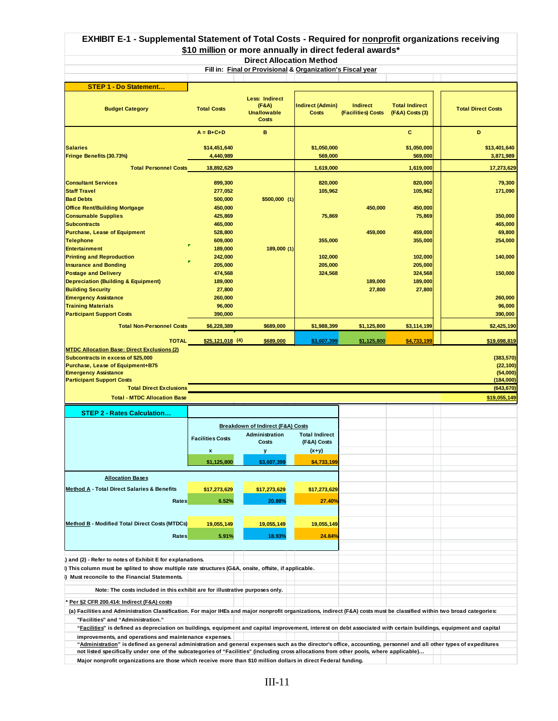### **EXHIBIT E-1 - Supplemental Statement of Total Costs - Required for nonprofit organizations receiving \$10 million or more annually in direct federal awards\***

**Direct Allocation Method**

**Fill in: Final or Provisional & Organization's Fiscal year**

| STEP 1 - Do Statement                                                                                                                                                    |                         |                                                                      |                                  |                                       |                                          |                                    |
|--------------------------------------------------------------------------------------------------------------------------------------------------------------------------|-------------------------|----------------------------------------------------------------------|----------------------------------|---------------------------------------|------------------------------------------|------------------------------------|
| <b>Budget Category</b>                                                                                                                                                   | <b>Total Costs</b>      | <b>Less: Indirect</b><br>(F&A)<br><b>Unallowable</b><br><b>Costs</b> | <b>Indirect (Admin)</b><br>Costs | <b>Indirect</b><br>(Facilities) Costs | <b>Total Indirect</b><br>(F&A) Costs (3) | <b>Total Direct Costs</b>          |
|                                                                                                                                                                          | $A = B + C + D$         | в                                                                    |                                  |                                       | с                                        | D                                  |
|                                                                                                                                                                          |                         |                                                                      |                                  |                                       |                                          |                                    |
| <b>Salaries</b>                                                                                                                                                          | \$14,451,640            |                                                                      | \$1,050,000                      |                                       | \$1,050,000                              | \$13,401,640                       |
| Fringe Benefits (30.73%)                                                                                                                                                 | 4,440,989               |                                                                      | 569,000                          |                                       | 569,000                                  | 3,871,989                          |
|                                                                                                                                                                          |                         |                                                                      |                                  |                                       |                                          |                                    |
| <b>Total Personnel Costs</b>                                                                                                                                             | 18.892.629              |                                                                      | 1.619.000                        |                                       | 1,619,000                                | 17,273,629                         |
|                                                                                                                                                                          |                         |                                                                      |                                  |                                       |                                          |                                    |
| <b>Consultant Services</b>                                                                                                                                               | 899,300                 |                                                                      | 820,000                          |                                       | 820,000                                  | 79,300                             |
| <b>Staff Travel</b>                                                                                                                                                      | 277,052                 |                                                                      | 105,962                          |                                       | 105,962                                  | 171,090                            |
| <b>Bad Debts</b>                                                                                                                                                         | 500,000                 | $$500,000$ (1)                                                       |                                  |                                       |                                          |                                    |
| <b>Office Rent/Building Mortgage</b>                                                                                                                                     | 450,000                 |                                                                      |                                  | 450,000                               | 450,000                                  |                                    |
| <b>Consumable Supplies</b>                                                                                                                                               | 425,869                 |                                                                      | 75,869                           |                                       | 75,869                                   | 350,000                            |
| <b>Subcontracts</b>                                                                                                                                                      | 465,000                 |                                                                      |                                  |                                       |                                          | 465,000                            |
| <b>Purchase, Lease of Equipment</b>                                                                                                                                      | 528,800                 |                                                                      |                                  | 459,000                               | 459,000                                  | 69,800                             |
| <b>Telephone</b>                                                                                                                                                         | 609,000                 |                                                                      | 355,000                          |                                       | 355,000                                  | 254,000                            |
| <b>Entertainment</b>                                                                                                                                                     | 189,000                 | 189,000 (1)                                                          |                                  |                                       |                                          |                                    |
| <b>Printing and Reproduction</b>                                                                                                                                         | 242,000                 |                                                                      | 102,000                          |                                       | 102,000                                  | 140,000                            |
| <b>Insurance and Bonding</b>                                                                                                                                             | 205,000                 |                                                                      | 205,000                          |                                       | 205,000                                  |                                    |
| <b>Postage and Delivery</b>                                                                                                                                              | 474,568                 |                                                                      | 324,568                          |                                       | 324,568                                  | 150,000                            |
| <b>Depreciation (Building &amp; Equipment)</b>                                                                                                                           | 189,000                 |                                                                      |                                  | 189,000                               | 189,000                                  |                                    |
| <b>Building Security</b>                                                                                                                                                 | 27,800                  |                                                                      |                                  | 27,800                                | 27,800                                   |                                    |
| <b>Emergency Assistance</b>                                                                                                                                              | 260,000                 |                                                                      |                                  |                                       |                                          | 260,000                            |
| <b>Training Materials</b>                                                                                                                                                | 96,000                  |                                                                      |                                  |                                       |                                          | 96,000                             |
| <b>Participant Support Costs</b>                                                                                                                                         | 390,000                 |                                                                      |                                  |                                       |                                          | 390,000                            |
| <b>Total Non-Personnel Costs</b>                                                                                                                                         | \$6,228,389             | \$689,000                                                            | \$1,988,399                      | \$1,125,800                           | \$3,114,199                              | \$2,425,190                        |
|                                                                                                                                                                          |                         |                                                                      |                                  |                                       |                                          |                                    |
| <b>TOTAL</b>                                                                                                                                                             | <u>\$25,121,018</u> (4) | \$689,000                                                            | \$3,607,399                      | \$1,125,800                           | \$4,733,199                              | \$19,698,819                       |
| Purchase, Lease of Equipment+B75<br><b>Emergency Assistance</b><br><b>Participant Support Costs</b>                                                                      |                         |                                                                      |                                  |                                       |                                          | (22, 100)<br>(54,000)<br>(184,000) |
| <b>Total Direct Exclusions</b>                                                                                                                                           |                         |                                                                      |                                  |                                       |                                          | (643, 670)                         |
|                                                                                                                                                                          |                         |                                                                      |                                  |                                       |                                          |                                    |
| <b>Total - MTDC Allocation Base</b>                                                                                                                                      |                         |                                                                      |                                  |                                       |                                          | \$19,055,149                       |
| <b>STEP 2 - Rates Calculation</b>                                                                                                                                        |                         |                                                                      |                                  |                                       |                                          |                                    |
|                                                                                                                                                                          |                         |                                                                      |                                  |                                       |                                          |                                    |
|                                                                                                                                                                          |                         | Breakdown of Indirect (F&A) Costs                                    |                                  |                                       |                                          |                                    |
|                                                                                                                                                                          | <b>Facilities Costs</b> | <b>Administration</b>                                                | <b>Total Indirect</b>            |                                       |                                          |                                    |
|                                                                                                                                                                          |                         | Costs                                                                | (F&A) Costs                      |                                       |                                          |                                    |
|                                                                                                                                                                          | x                       | у                                                                    | $(x+y)$                          |                                       |                                          |                                    |
|                                                                                                                                                                          | \$1,125,800             | \$3,607,399                                                          | \$4,733,199                      |                                       |                                          |                                    |
|                                                                                                                                                                          |                         |                                                                      |                                  |                                       |                                          |                                    |
| <b>Allocation Bases</b>                                                                                                                                                  |                         |                                                                      |                                  |                                       |                                          |                                    |
|                                                                                                                                                                          |                         |                                                                      |                                  |                                       |                                          |                                    |
| <b>Method A - Total Direct Salaries &amp; Benefits</b>                                                                                                                   | \$17,273,629            | \$17,273,629                                                         | \$17,273,629                     |                                       |                                          |                                    |
| Rates                                                                                                                                                                    | 6.52%                   | 20.88%                                                               | 27.40%                           |                                       |                                          |                                    |
|                                                                                                                                                                          |                         |                                                                      |                                  |                                       |                                          |                                    |
|                                                                                                                                                                          |                         |                                                                      |                                  |                                       |                                          |                                    |
| <b>Method B - Modified Total Direct Costs (MTDCs)</b>                                                                                                                    | 19,055,149              | 19,055,149                                                           | 19,055,149                       |                                       |                                          |                                    |
| Rates                                                                                                                                                                    | 5.91%                   | 18.93%                                                               | 24.84%                           |                                       |                                          |                                    |
|                                                                                                                                                                          |                         |                                                                      |                                  |                                       |                                          |                                    |
|                                                                                                                                                                          |                         |                                                                      |                                  |                                       |                                          |                                    |
| ) and (2) - Refer to notes of Exhibit E for explanations.                                                                                                                |                         |                                                                      |                                  |                                       |                                          |                                    |
| .) This column must be splited to show multiple rate structures (G&A, onsite, offsite, if applicable.                                                                    |                         |                                                                      |                                  |                                       |                                          |                                    |
| ) Must reconcile to the Financial Statements.                                                                                                                            |                         |                                                                      |                                  |                                       |                                          |                                    |
|                                                                                                                                                                          |                         |                                                                      |                                  |                                       |                                          |                                    |
| Note: The costs included in this exhibit are for illustrative purposes only.                                                                                             |                         |                                                                      |                                  |                                       |                                          |                                    |
| Per §2 CFR 200.414: Indirect (F&A) costs                                                                                                                                 |                         |                                                                      |                                  |                                       |                                          |                                    |
| (a) Facilities and Administration Classification. For major IHEs and major nonprofit organizations, indirect (F&A) costs must be classified within two broad categories: |                         |                                                                      |                                  |                                       |                                          |                                    |
| "Facilities" and "Administration."                                                                                                                                       |                         |                                                                      |                                  |                                       |                                          |                                    |
| "Facilities" is defined as depreciation on buildings, equipment and capital improvement, interest on debt associated with certain buildings, equipment and capital       |                         |                                                                      |                                  |                                       |                                          |                                    |
| improvements, and operations and maintenance expenses.                                                                                                                   |                         |                                                                      |                                  |                                       |                                          |                                    |
| "Administration" is defined as general administration and general expenses such as the director's office, accounting, personnel and all other types of expeditures       |                         |                                                                      |                                  |                                       |                                          |                                    |
| not listed specifically under one of the subcategories of "Facilities" (including cross allocations from other pools, where applicable)                                  |                         |                                                                      |                                  |                                       |                                          |                                    |

 **Major nonprofit organizations are those which receive more than \$10 million dollars in direct Federal funding.**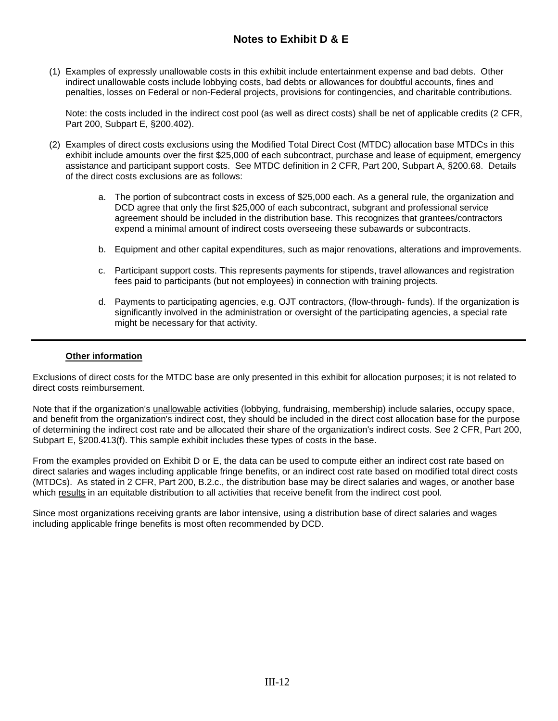### **Notes to Exhibit D & E**

(1) Examples of expressly unallowable costs in this exhibit include entertainment expense and bad debts. Other indirect unallowable costs include lobbying costs, bad debts or allowances for doubtful accounts, fines and penalties, losses on Federal or non-Federal projects, provisions for contingencies, and charitable contributions.

Note: the costs included in the indirect cost pool (as well as direct costs) shall be net of applicable credits (2 CFR, Part 200, Subpart E, §200.402).

- (2) Examples of direct costs exclusions using the Modified Total Direct Cost (MTDC) allocation base MTDCs in this exhibit include amounts over the first \$25,000 of each subcontract, purchase and lease of equipment, emergency assistance and participant support costs. See MTDC definition in 2 CFR, Part 200, Subpart A, §200.68. Details of the direct costs exclusions are as follows:
	- a. The portion of subcontract costs in excess of \$25,000 each. As a general rule, the organization and DCD agree that only the first \$25,000 of each subcontract, subgrant and professional service agreement should be included in the distribution base. This recognizes that grantees/contractors expend a minimal amount of indirect costs overseeing these subawards or subcontracts.
	- b. Equipment and other capital expenditures, such as major renovations, alterations and improvements.
	- c. Participant support costs. This represents payments for stipends, travel allowances and registration fees paid to participants (but not employees) in connection with training projects.
	- d. Payments to participating agencies, e.g. OJT contractors, (flow-through- funds). If the organization is significantly involved in the administration or oversight of the participating agencies, a special rate might be necessary for that activity.

#### **Other information**

Exclusions of direct costs for the MTDC base are only presented in this exhibit for allocation purposes; it is not related to direct costs reimbursement.

Note that if the organization's unallowable activities (lobbying, fundraising, membership) include salaries, occupy space, and benefit from the organization's indirect cost, they should be included in the direct cost allocation base for the purpose of determining the indirect cost rate and be allocated their share of the organization's indirect costs. See 2 CFR, Part 200, Subpart E, §200.413(f). This sample exhibit includes these types of costs in the base.

From the examples provided on Exhibit D or E, the data can be used to compute either an indirect cost rate based on direct salaries and wages including applicable fringe benefits, or an indirect cost rate based on modified total direct costs (MTDCs). As stated in 2 CFR, Part 200, B.2.c., the distribution base may be direct salaries and wages, or another base which results in an equitable distribution to all activities that receive benefit from the indirect cost pool.

Since most organizations receiving grants are labor intensive, using a distribution base of direct salaries and wages including applicable fringe benefits is most often recommended by DCD.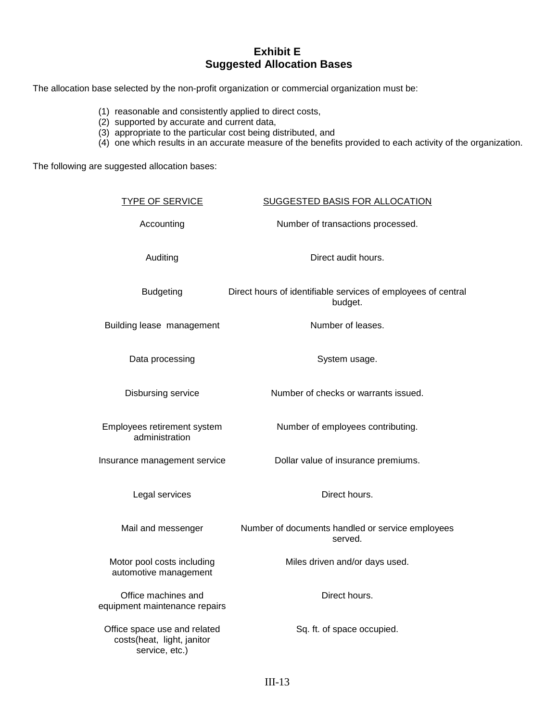### **Exhibit E Suggested Allocation Bases**

The allocation base selected by the non-profit organization or commercial organization must be:

- (1) reasonable and consistently applied to direct costs,
- (2) supported by accurate and current data,
- (3) appropriate to the particular cost being distributed, and
- (4) one which results in an accurate measure of the benefits provided to each activity of the organization.

The following are suggested allocation bases:

| <b>TYPE OF SERVICE</b>                                                       | SUGGESTED BASIS FOR ALLOCATION                                           |
|------------------------------------------------------------------------------|--------------------------------------------------------------------------|
| Accounting                                                                   | Number of transactions processed.                                        |
| Auditing                                                                     | Direct audit hours.                                                      |
| <b>Budgeting</b>                                                             | Direct hours of identifiable services of employees of central<br>budget. |
| Building lease management                                                    | Number of leases.                                                        |
| Data processing                                                              | System usage.                                                            |
| Disbursing service                                                           | Number of checks or warrants issued.                                     |
| Employees retirement system<br>administration                                | Number of employees contributing.                                        |
| Insurance management service                                                 | Dollar value of insurance premiums.                                      |
| Legal services                                                               | Direct hours.                                                            |
| Mail and messenger                                                           | Number of documents handled or service employees<br>served.              |
| Motor pool costs including<br>automotive management                          | Miles driven and/or days used.                                           |
| Office machines and<br>equipment maintenance repairs                         | Direct hours.                                                            |
| Office space use and related<br>costs(heat, light, janitor<br>service, etc.) | Sq. ft. of space occupied.                                               |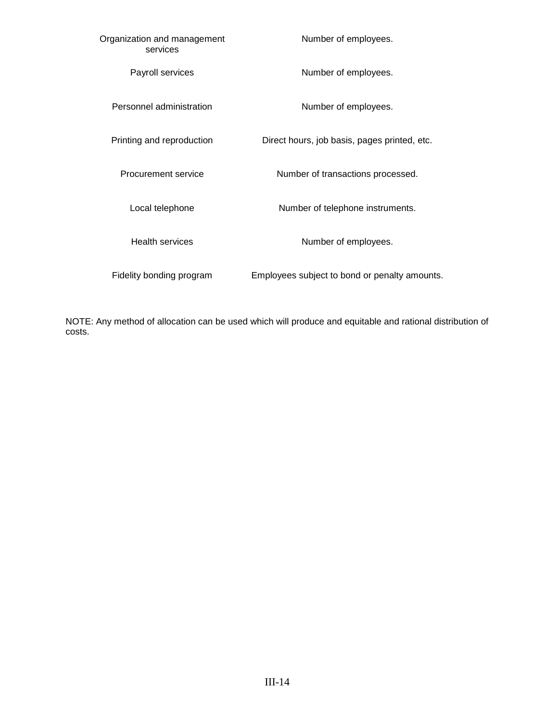| Organization and management<br>services | Number of employees.                          |
|-----------------------------------------|-----------------------------------------------|
| Payroll services                        | Number of employees.                          |
| Personnel administration                | Number of employees.                          |
| Printing and reproduction               | Direct hours, job basis, pages printed, etc.  |
| Procurement service                     | Number of transactions processed.             |
| Local telephone                         | Number of telephone instruments.              |
| <b>Health services</b>                  | Number of employees.                          |
| Fidelity bonding program                | Employees subject to bond or penalty amounts. |

NOTE: Any method of allocation can be used which will produce and equitable and rational distribution of costs.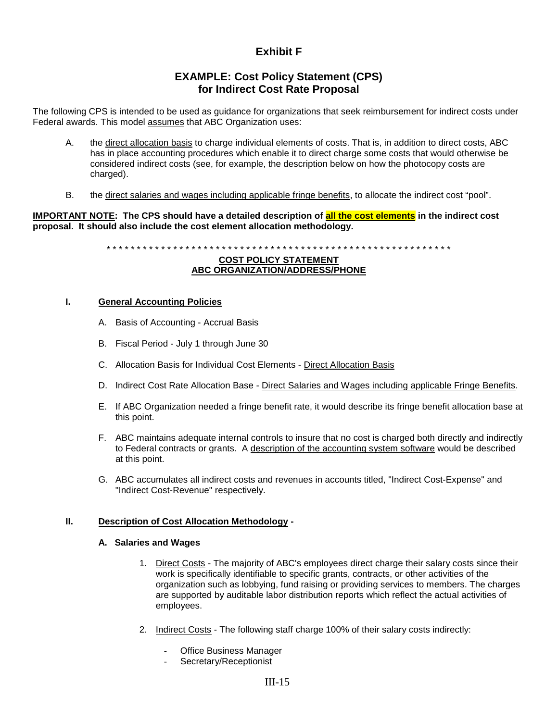### **Exhibit F**

### **EXAMPLE: Cost Policy Statement (CPS) for Indirect Cost Rate Proposal**

The following CPS is intended to be used as guidance for organizations that seek reimbursement for indirect costs under Federal awards. This model assumes that ABC Organization uses:

- A. the direct allocation basis to charge individual elements of costs. That is, in addition to direct costs, ABC has in place accounting procedures which enable it to direct charge some costs that would otherwise be considered indirect costs (see, for example, the description below on how the photocopy costs are charged).
- B. the direct salaries and wages including applicable fringe benefits, to allocate the indirect cost "pool".

**IMPORTANT NOTE: The CPS should have a detailed description of all the cost elements in the indirect cost proposal. It should also include the cost element allocation methodology.** 

\* \* \* \* \* \* \* \* \* \* \* \* \* \* \* \* \* \* \* \* \* \* \* \* \* \* \* \* \* \* \* \* \* \* \* \* \* \* \* \* \* \* \* \* \* \* \* \* \* \* \* \* \* \* \* \* \*

#### **COST POLICY STATEMENT ABC ORGANIZATION/ADDRESS/PHONE**

#### **I. General Accounting Policies**

- A. Basis of Accounting Accrual Basis
- B. Fiscal Period July 1 through June 30
- C. Allocation Basis for Individual Cost Elements Direct Allocation Basis
- D. Indirect Cost Rate Allocation Base Direct Salaries and Wages including applicable Fringe Benefits.
- E. If ABC Organization needed a fringe benefit rate, it would describe its fringe benefit allocation base at this point.
- F. ABC maintains adequate internal controls to insure that no cost is charged both directly and indirectly to Federal contracts or grants. A description of the accounting system software would be described at this point.
- G. ABC accumulates all indirect costs and revenues in accounts titled, "Indirect Cost-Expense" and "Indirect Cost-Revenue" respectively.

#### **II. Description of Cost Allocation Methodology -**

#### **A. Salaries and Wages**

- 1. Direct Costs The majority of ABC's employees direct charge their salary costs since their work is specifically identifiable to specific grants, contracts, or other activities of the organization such as lobbying, fund raising or providing services to members. The charges are supported by auditable labor distribution reports which reflect the actual activities of employees.
- 2. Indirect Costs The following staff charge 100% of their salary costs indirectly:
	- Office Business Manager
	- Secretary/Receptionist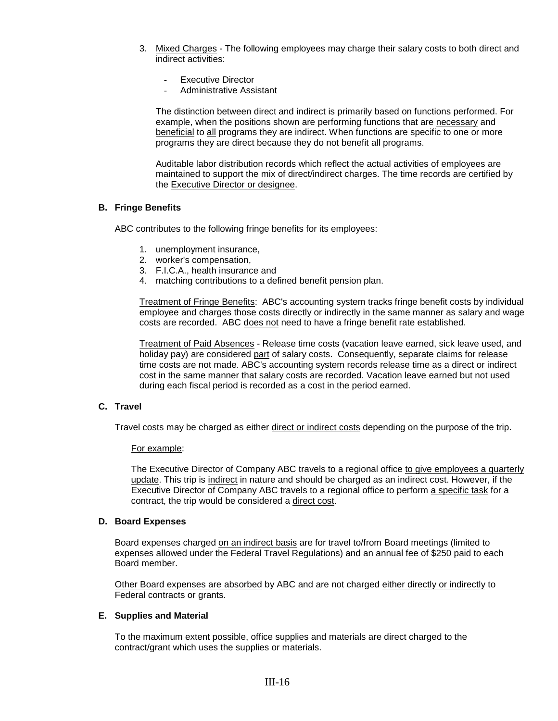- 3. Mixed Charges The following employees may charge their salary costs to both direct and indirect activities:
	- Executive Director
	- Administrative Assistant

The distinction between direct and indirect is primarily based on functions performed. For example, when the positions shown are performing functions that are necessary and beneficial to all programs they are indirect. When functions are specific to one or more programs they are direct because they do not benefit all programs.

Auditable labor distribution records which reflect the actual activities of employees are maintained to support the mix of direct/indirect charges. The time records are certified by the Executive Director or designee.

#### **B. Fringe Benefits**

ABC contributes to the following fringe benefits for its employees:

- 1. unemployment insurance,
- 2. worker's compensation,
- 3. F.I.C.A., health insurance and
- 4. matching contributions to a defined benefit pension plan.

Treatment of Fringe Benefits: ABC's accounting system tracks fringe benefit costs by individual employee and charges those costs directly or indirectly in the same manner as salary and wage costs are recorded. ABC does not need to have a fringe benefit rate established.

Treatment of Paid Absences - Release time costs (vacation leave earned, sick leave used, and holiday pay) are considered part of salary costs. Consequently, separate claims for release time costs are not made. ABC's accounting system records release time as a direct or indirect cost in the same manner that salary costs are recorded. Vacation leave earned but not used during each fiscal period is recorded as a cost in the period earned.

#### **C. Travel**

Travel costs may be charged as either direct or indirect costs depending on the purpose of the trip.

#### For example:

The Executive Director of Company ABC travels to a regional office to give employees a quarterly update. This trip is indirect in nature and should be charged as an indirect cost. However, if the Executive Director of Company ABC travels to a regional office to perform a specific task for a contract, the trip would be considered a direct cost.

#### **D. Board Expenses**

Board expenses charged on an indirect basis are for travel to/from Board meetings (limited to expenses allowed under the Federal Travel Regulations) and an annual fee of \$250 paid to each Board member.

Other Board expenses are absorbed by ABC and are not charged either directly or indirectly to Federal contracts or grants.

#### **E. Supplies and Material**

To the maximum extent possible, office supplies and materials are direct charged to the contract/grant which uses the supplies or materials.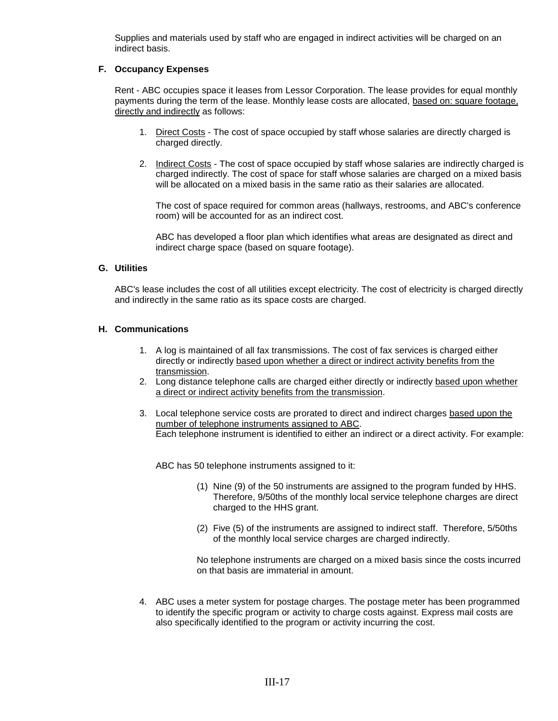Supplies and materials used by staff who are engaged in indirect activities will be charged on an indirect basis.

#### **F. Occupancy Expenses**

Rent - ABC occupies space it leases from Lessor Corporation. The lease provides for equal monthly payments during the term of the lease. Monthly lease costs are allocated, based on: square footage, directly and indirectly as follows:

- 1. Direct Costs The cost of space occupied by staff whose salaries are directly charged is charged directly.
- 2. Indirect Costs The cost of space occupied by staff whose salaries are indirectly charged is charged indirectly. The cost of space for staff whose salaries are charged on a mixed basis will be allocated on a mixed basis in the same ratio as their salaries are allocated.

The cost of space required for common areas (hallways, restrooms, and ABC's conference room) will be accounted for as an indirect cost.

ABC has developed a floor plan which identifies what areas are designated as direct and indirect charge space (based on square footage).

#### **G. Utilities**

ABC's lease includes the cost of all utilities except electricity. The cost of electricity is charged directly and indirectly in the same ratio as its space costs are charged.

#### **H. Communications**

- 1. A log is maintained of all fax transmissions. The cost of fax services is charged either directly or indirectly based upon whether a direct or indirect activity benefits from the transmission.
- 2. Long distance telephone calls are charged either directly or indirectly based upon whether a direct or indirect activity benefits from the transmission.
- 3. Local telephone service costs are prorated to direct and indirect charges based upon the number of telephone instruments assigned to ABC. Each telephone instrument is identified to either an indirect or a direct activity. For example:

ABC has 50 telephone instruments assigned to it:

- (1) Nine (9) of the 50 instruments are assigned to the program funded by HHS. Therefore, 9/50ths of the monthly local service telephone charges are direct charged to the HHS grant.
- (2) Five (5) of the instruments are assigned to indirect staff. Therefore, 5/50ths of the monthly local service charges are charged indirectly.

No telephone instruments are charged on a mixed basis since the costs incurred on that basis are immaterial in amount.

4. ABC uses a meter system for postage charges. The postage meter has been programmed to identify the specific program or activity to charge costs against. Express mail costs are also specifically identified to the program or activity incurring the cost.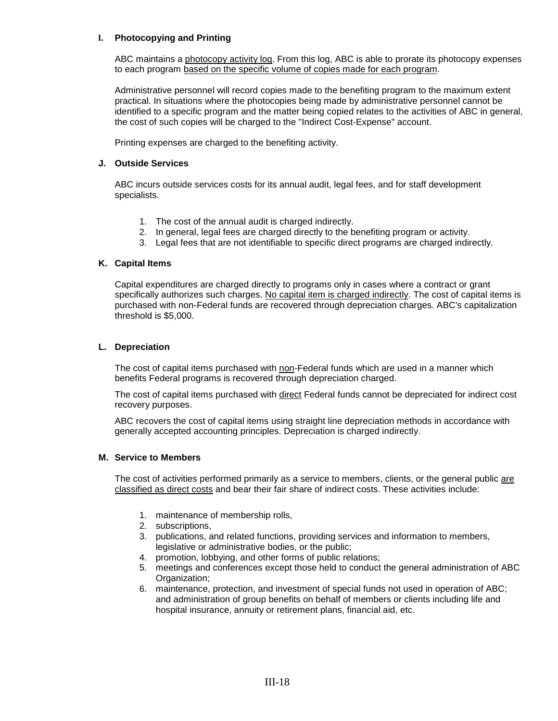#### **I. Photocopying and Printing**

ABC maintains a photocopy activity log. From this log, ABC is able to prorate its photocopy expenses to each program based on the specific volume of copies made for each program.

Administrative personnel will record copies made to the benefiting program to the maximum extent practical. In situations where the photocopies being made by administrative personnel cannot be identified to a specific program and the matter being copied relates to the activities of ABC in general, the cost of such copies will be charged to the "Indirect Cost-Expense" account.

Printing expenses are charged to the benefiting activity.

#### **J. Outside Services**

ABC incurs outside services costs for its annual audit, legal fees, and for staff development specialists.

- 1. The cost of the annual audit is charged indirectly.
- 2. In general, legal fees are charged directly to the benefiting program or activity.
- 3. Legal fees that are not identifiable to specific direct programs are charged indirectly.

#### **K. Capital Items**

Capital expenditures are charged directly to programs only in cases where a contract or grant specifically authorizes such charges. No capital item is charged indirectly. The cost of capital items is purchased with non-Federal funds are recovered through depreciation charges. ABC's capitalization threshold is \$5,000.

#### **L. Depreciation**

The cost of capital items purchased with non-Federal funds which are used in a manner which benefits Federal programs is recovered through depreciation charged.

The cost of capital items purchased with direct Federal funds cannot be depreciated for indirect cost recovery purposes.

ABC recovers the cost of capital items using straight line depreciation methods in accordance with generally accepted accounting principles. Depreciation is charged indirectly.

#### **M. Service to Members**

The cost of activities performed primarily as a service to members, clients, or the general public are classified as direct costs and bear their fair share of indirect costs. These activities include:

- 1. maintenance of membership rolls,
- 2. subscriptions,
- 3. publications, and related functions, providing services and information to members, legislative or administrative bodies, or the public;
- 4. promotion, lobbying, and other forms of public relations;
- 5. meetings and conferences except those held to conduct the general administration of ABC Organization;
- 6. maintenance, protection, and investment of special funds not used in operation of ABC; and administration of group benefits on behalf of members or clients including life and hospital insurance, annuity or retirement plans, financial aid, etc.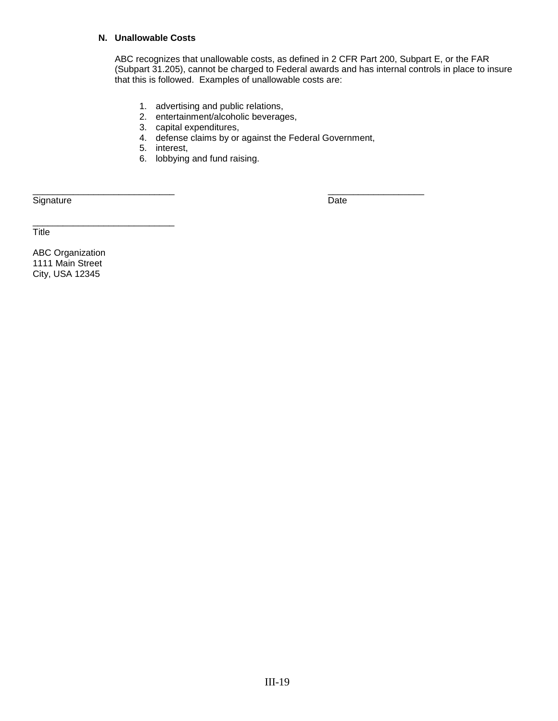#### **N. Unallowable Costs**

ABC recognizes that unallowable costs, as defined in 2 CFR Part 200, Subpart E, or the FAR (Subpart 31.205), cannot be charged to Federal awards and has internal controls in place to insure that this is followed. Examples of unallowable costs are:

- 1. advertising and public relations,
- 2. entertainment/alcoholic beverages,
- 3. capital expenditures,
- 4. defense claims by or against the Federal Government,
- 5. interest,
- 6. lobbying and fund raising.

Signature Date

\_\_\_\_\_\_\_\_\_\_\_\_\_\_\_\_\_\_\_\_\_\_\_\_\_\_\_\_ \_\_\_\_\_\_\_\_\_\_\_\_\_\_\_\_\_\_\_

**Title** 

ABC Organization 1111 Main Street City, USA 12345

\_\_\_\_\_\_\_\_\_\_\_\_\_\_\_\_\_\_\_\_\_\_\_\_\_\_\_\_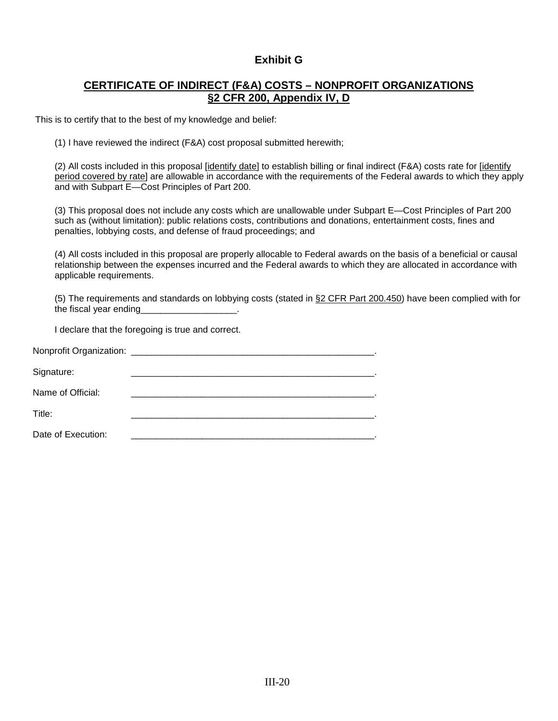### **Exhibit G**

### **CERTIFICATE OF INDIRECT (F&A) COSTS – NONPROFIT ORGANIZATIONS §2 CFR 200, Appendix IV, D**

This is to certify that to the best of my knowledge and belief:

(1) I have reviewed the indirect (F&A) cost proposal submitted herewith;

(2) All costs included in this proposal [identify date] to establish billing or final indirect (F&A) costs rate for [identify period covered by rate] are allowable in accordance with the requirements of the Federal awards to which they apply and with Subpart E—Cost Principles of Part 200.

(3) This proposal does not include any costs which are unallowable under Subpart E—Cost Principles of Part 200 such as (without limitation): public relations costs, contributions and donations, entertainment costs, fines and penalties, lobbying costs, and defense of fraud proceedings; and

(4) All costs included in this proposal are properly allocable to Federal awards on the basis of a beneficial or causal relationship between the expenses incurred and the Federal awards to which they are allocated in accordance with applicable requirements.

(5) The requirements and standards on lobbying costs (stated in §2 CFR Part 200.450) have been complied with for the fiscal year ending

I declare that the foregoing is true and correct.

| Signature:         |  |
|--------------------|--|
| Name of Official:  |  |
| Title:             |  |
| Date of Execution: |  |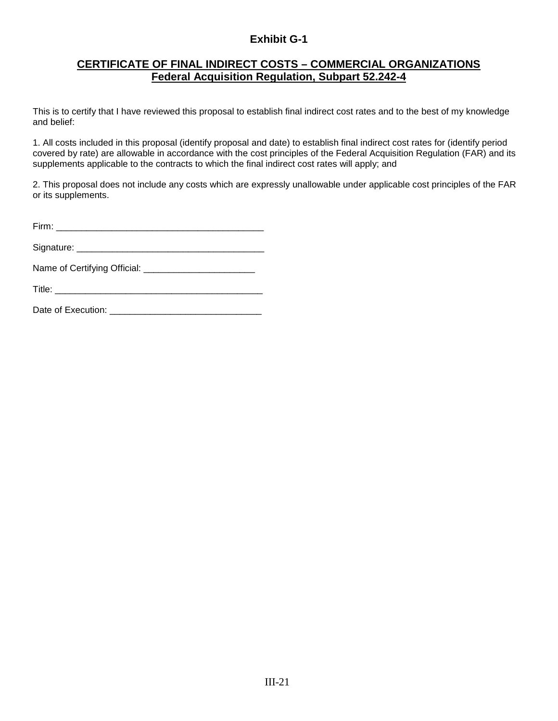### **Exhibit G-1**

### **CERTIFICATE OF FINAL INDIRECT COSTS – COMMERCIAL ORGANIZATIONS Federal Acquisition Regulation, Subpart 52.242-4**

This is to certify that I have reviewed this proposal to establish final indirect cost rates and to the best of my knowledge and belief:

1. All costs included in this proposal (identify proposal and date) to establish final indirect cost rates for (identify period covered by rate) are allowable in accordance with the cost principles of the Federal Acquisition Regulation (FAR) and its supplements applicable to the contracts to which the final indirect cost rates will apply; and

2. This proposal does not include any costs which are expressly unallowable under applicable cost principles of the FAR or its supplements.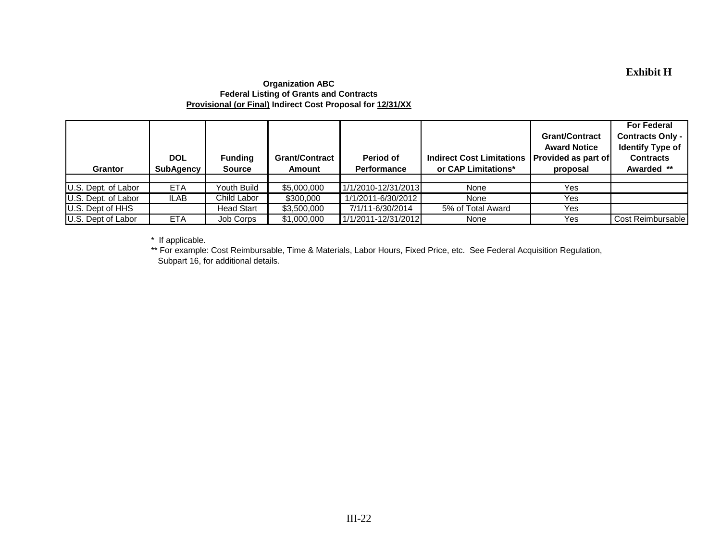### **Exhibit H**

#### **Organization ABC Federal Listing of Grants and Contracts Provisional (or Final) Indirect Cost Proposal for 12/31/XX**

| <b>Grantor</b>      | <b>DOL</b><br><b>SubAgency</b> | <b>Funding</b><br><b>Source</b> | <b>Grant/Contract</b><br>Amount | Period of<br><b>Performance</b> | <b>Indirect Cost Limitations</b><br>or CAP Limitations* | <b>Grant/Contract</b><br><b>Award Notice</b><br><b>Provided as part of</b><br>proposal | <b>For Federal</b><br><b>Contracts Only -</b><br><b>Identify Type of</b><br><b>Contracts</b><br>Awarded ** |
|---------------------|--------------------------------|---------------------------------|---------------------------------|---------------------------------|---------------------------------------------------------|----------------------------------------------------------------------------------------|------------------------------------------------------------------------------------------------------------|
|                     |                                |                                 |                                 |                                 |                                                         |                                                                                        |                                                                                                            |
| U.S. Dept. of Labor | <b>ETA</b>                     | Youth Build                     | \$5,000,000                     | 1/1/2010-12/31/2013             | None                                                    | <b>Yes</b>                                                                             |                                                                                                            |
| U.S. Dept. of Labor | ILAB                           | Child Labor                     | \$300,000                       | 1/1/2011-6/30/2012              | None                                                    | <b>Yes</b>                                                                             |                                                                                                            |
| U.S. Dept of HHS    |                                | <b>Head Start</b>               | \$3,500,000                     | 7/1/11-6/30/2014                | 5% of Total Award                                       | <b>Yes</b>                                                                             |                                                                                                            |
| U.S. Dept of Labor  | <b>ETA</b>                     | Job Corps                       | \$1,000,000                     | 1/1/2011-12/31/2012             | None                                                    | Yes                                                                                    | Cost Reimbursable                                                                                          |

\* If applicable.

 Subpart 16, for additional details. \*\* For example: Cost Reimbursable, Time & Materials, Labor Hours, Fixed Price, etc. See Federal Acquisition Regulation,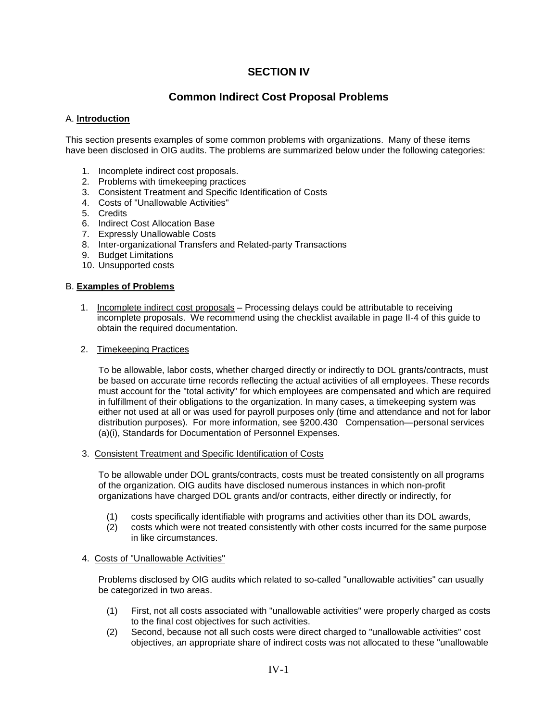### **SECTION IV**

### **Common Indirect Cost Proposal Problems**

#### A. **lntroduction**

This section presents examples of some common problems with organizations. Many of these items have been disclosed in OIG audits. The problems are summarized below under the following categories:

- 1. Incomplete indirect cost proposals.
- 2. Problems with timekeeping practices
- 3. Consistent Treatment and Specific Identification of Costs
- 4. Costs of "Unallowable Activities"
- 5. Credits
- 6. Indirect Cost Allocation Base
- 7. Expressly Unallowable Costs
- 8. Inter-organizational Transfers and Related-party Transactions
- 9. Budget Limitations
- 10. Unsupported costs

#### B. **Examples of Problems**

1. Incomplete indirect cost proposals – Processing delays could be attributable to receiving incomplete proposals. We recommend using the checklist available in page II-4 of this guide to obtain the required documentation.

#### 2. Timekeeping Practices

To be allowable, labor costs, whether charged directly or indirectly to DOL grants/contracts, must be based on accurate time records reflecting the actual activities of all employees. These records must account for the "total activity" for which employees are compensated and which are required in fulfillment of their obligations to the organization. In many cases, a timekeeping system was either not used at all or was used for payroll purposes only (time and attendance and not for labor distribution purposes). For more information, see §200.430 Compensation—personal services (a)(i), Standards for Documentation of Personnel Expenses.

3. Consistent Treatment and Specific Identification of Costs

To be allowable under DOL grants/contracts, costs must be treated consistently on all programs of the organization. OIG audits have disclosed numerous instances in which non-profit organizations have charged DOL grants and/or contracts, either directly or indirectly, for

- (1) costs specifically identifiable with programs and activities other than its DOL awards,
- (2) costs which were not treated consistently with other costs incurred for the same purpose in like circumstances.

#### 4. Costs of "Unallowable Activities"

Problems disclosed by OIG audits which related to so-called "unallowable activities" can usually be categorized in two areas.

- (1) First, not all costs associated with "unallowable activities" were properly charged as costs to the final cost objectives for such activities.
- (2) Second, because not all such costs were direct charged to "unallowable activities" cost objectives, an appropriate share of indirect costs was not allocated to these "unallowable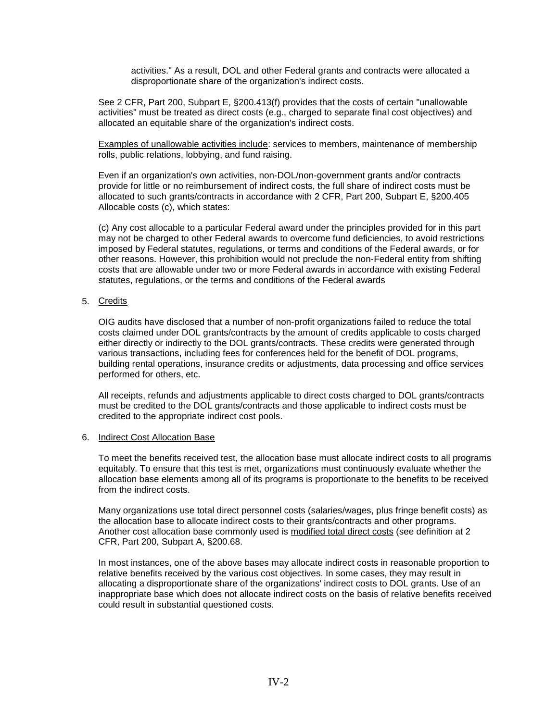activities." As a result, DOL and other Federal grants and contracts were allocated a disproportionate share of the organization's indirect costs.

See 2 CFR, Part 200, Subpart E, §200.413(f) provides that the costs of certain "unallowable activities" must be treated as direct costs (e.g., charged to separate final cost objectives) and allocated an equitable share of the organization's indirect costs.

Examples of unallowable activities include: services to members, maintenance of membership rolls, public relations, lobbying, and fund raising.

Even if an organization's own activities, non-DOL/non-government grants and/or contracts provide for little or no reimbursement of indirect costs, the full share of indirect costs must be allocated to such grants/contracts in accordance with 2 CFR, Part 200, Subpart E, §200.405 Allocable costs (c), which states:

(c) Any cost allocable to a particular Federal award under the principles provided for in this part may not be charged to other Federal awards to overcome fund deficiencies, to avoid restrictions imposed by Federal statutes, regulations, or terms and conditions of the Federal awards, or for other reasons. However, this prohibition would not preclude the non-Federal entity from shifting costs that are allowable under two or more Federal awards in accordance with existing Federal statutes, regulations, or the terms and conditions of the Federal awards

5. Credits

OIG audits have disclosed that a number of non-profit organizations failed to reduce the total costs claimed under DOL grants/contracts by the amount of credits applicable to costs charged either directly or indirectly to the DOL grants/contracts. These credits were generated through various transactions, including fees for conferences held for the benefit of DOL programs, building rental operations, insurance credits or adjustments, data processing and office services performed for others, etc.

All receipts, refunds and adjustments applicable to direct costs charged to DOL grants/contracts must be credited to the DOL grants/contracts and those applicable to indirect costs must be credited to the appropriate indirect cost pools.

#### 6. Indirect Cost Allocation Base

To meet the benefits received test, the allocation base must allocate indirect costs to all programs equitably. To ensure that this test is met, organizations must continuously evaluate whether the allocation base elements among all of its programs is proportionate to the benefits to be received from the indirect costs.

Many organizations use total direct personnel costs (salaries/wages, plus fringe benefit costs) as the allocation base to allocate indirect costs to their grants/contracts and other programs. Another cost allocation base commonly used is modified total direct costs (see definition at 2 CFR, Part 200, Subpart A, §200.68.

In most instances, one of the above bases may allocate indirect costs in reasonable proportion to relative benefits received by the various cost objectives. In some cases, they may result in allocating a disproportionate share of the organizations' indirect costs to DOL grants. Use of an inappropriate base which does not allocate indirect costs on the basis of relative benefits received could result in substantial questioned costs.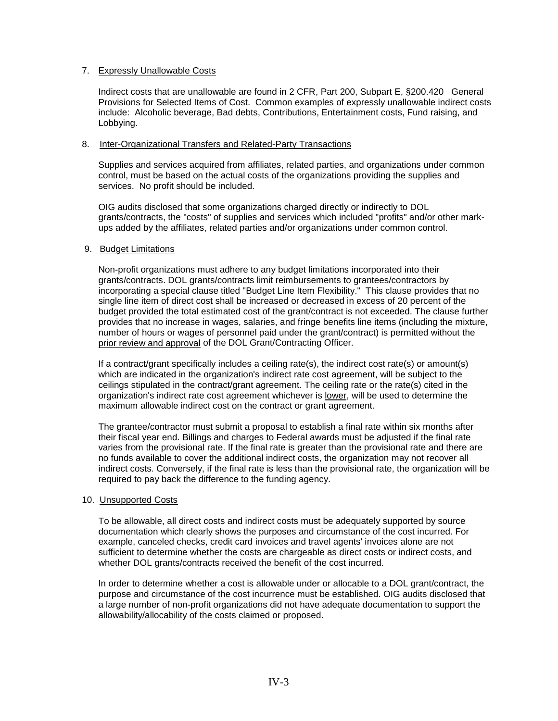#### 7. Expressly Unallowable Costs

Indirect costs that are unallowable are found in 2 CFR, Part 200, Subpart E, §200.420 General Provisions for Selected Items of Cost. Common examples of expressly unallowable indirect costs include: Alcoholic beverage, Bad debts, Contributions, Entertainment costs, Fund raising, and Lobbying.

#### 8. Inter-Organizational Transfers and Related-Party Transactions

Supplies and services acquired from affiliates, related parties, and organizations under common control, must be based on the actual costs of the organizations providing the supplies and services. No profit should be included.

OIG audits disclosed that some organizations charged directly or indirectly to DOL grants/contracts, the "costs" of supplies and services which included "profits" and/or other markups added by the affiliates, related parties and/or organizations under common control.

#### 9. Budget Limitations

Non-profit organizations must adhere to any budget limitations incorporated into their grants/contracts. DOL grants/contracts limit reimbursements to grantees/contractors by incorporating a special clause titled "Budget Line Item Flexibility." This clause provides that no single line item of direct cost shall be increased or decreased in excess of 20 percent of the budget provided the total estimated cost of the grant/contract is not exceeded. The clause further provides that no increase in wages, salaries, and fringe benefits line items (including the mixture, number of hours or wages of personnel paid under the grant/contract) is permitted without the prior review and approval of the DOL Grant/Contracting Officer.

If a contract/grant specifically includes a ceiling rate(s), the indirect cost rate(s) or amount(s) which are indicated in the organization's indirect rate cost agreement, will be subject to the ceilings stipulated in the contract/grant agreement. The ceiling rate or the rate(s) cited in the organization's indirect rate cost agreement whichever is lower, will be used to determine the maximum allowable indirect cost on the contract or grant agreement.

The grantee/contractor must submit a proposal to establish a final rate within six months after their fiscal year end. Billings and charges to Federal awards must be adjusted if the final rate varies from the provisional rate. If the final rate is greater than the provisional rate and there are no funds available to cover the additional indirect costs, the organization may not recover all indirect costs. Conversely, if the final rate is less than the provisional rate, the organization will be required to pay back the difference to the funding agency.

#### 10. Unsupported Costs

To be allowable, all direct costs and indirect costs must be adequately supported by source documentation which clearly shows the purposes and circumstance of the cost incurred. For example, canceled checks, credit card invoices and travel agents' invoices alone are not sufficient to determine whether the costs are chargeable as direct costs or indirect costs, and whether DOL grants/contracts received the benefit of the cost incurred.

In order to determine whether a cost is allowable under or allocable to a DOL grant/contract, the purpose and circumstance of the cost incurrence must be established. OIG audits disclosed that a large number of non-profit organizations did not have adequate documentation to support the allowability/allocability of the costs claimed or proposed.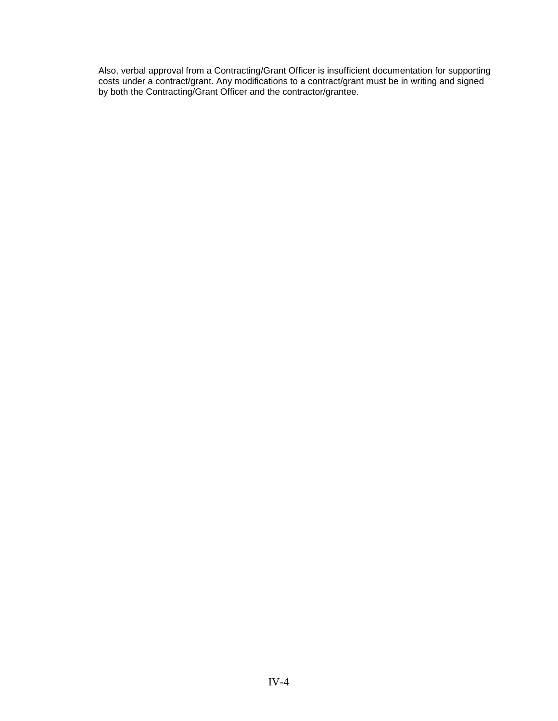Also, verbal approval from a Contracting/Grant Officer is insufficient documentation for supporting costs under a contract/grant. Any modifications to a contract/grant must be in writing and signed by both the Contracting/Grant Officer and the contractor/grantee.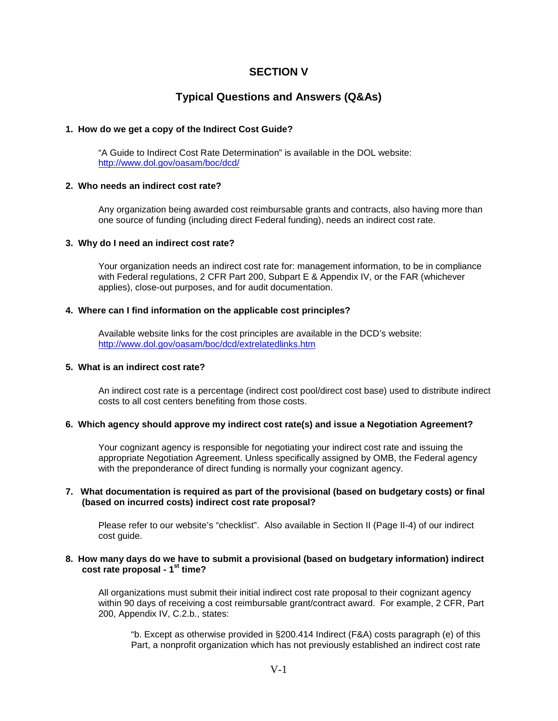### **SECTION V**

### **Typical Questions and Answers (Q&As)**

#### **1. How do we get a copy of the Indirect Cost Guide?**

"A Guide to Indirect Cost Rate Determination" is available in the DOL website: <http://www.dol.gov/oasam/boc/dcd/>

#### **2. Who needs an indirect cost rate?**

Any organization being awarded cost reimbursable grants and contracts, also having more than one source of funding (including direct Federal funding), needs an indirect cost rate.

#### **3. Why do I need an indirect cost rate?**

Your organization needs an indirect cost rate for: management information, to be in compliance with Federal regulations, 2 CFR Part 200, Subpart E & Appendix IV, or the FAR (whichever applies), close-out purposes, and for audit documentation.

#### **4. Where can I find information on the applicable cost principles?**

Available website links for the cost principles are available in the DCD's website: <http://www.dol.gov/oasam/boc/dcd/extrelatedlinks.htm>

#### **5. What is an indirect cost rate?**

An indirect cost rate is a percentage (indirect cost pool/direct cost base) used to distribute indirect costs to all cost centers benefiting from those costs.

#### **6. Which agency should approve my indirect cost rate(s) and issue a Negotiation Agreement?**

Your cognizant agency is responsible for negotiating your indirect cost rate and issuing the appropriate Negotiation Agreement. Unless specifically assigned by OMB, the Federal agency with the preponderance of direct funding is normally your cognizant agency.

#### **7. What documentation is required as part of the provisional (based on budgetary costs) or final (based on incurred costs) indirect cost rate proposal?**

Please refer to our website's "checklist". Also available in Section II (Page II-4) of our indirect cost guide.

#### **8. How many days do we have to submit a provisional (based on budgetary information) indirect cost rate proposal - 1st time?**

All organizations must submit their initial indirect cost rate proposal to their cognizant agency within 90 days of receiving a cost reimbursable grant/contract award. For example, 2 CFR, Part 200, Appendix IV, C.2.b., states:

"b. Except as otherwise provided in §200.414 Indirect (F&A) costs paragraph (e) of this Part, a nonprofit organization which has not previously established an indirect cost rate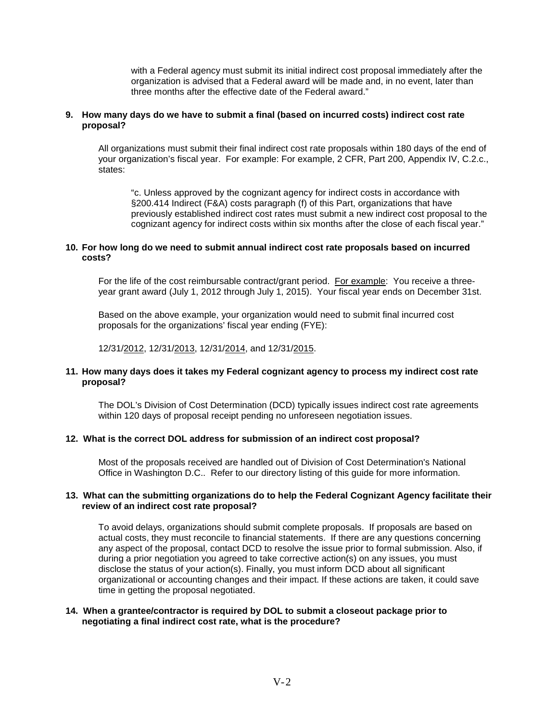with a Federal agency must submit its initial indirect cost proposal immediately after the organization is advised that a Federal award will be made and, in no event, later than three months after the effective date of the Federal award."

#### **9. How many days do we have to submit a final (based on incurred costs) indirect cost rate proposal?**

All organizations must submit their final indirect cost rate proposals within 180 days of the end of your organization's fiscal year. For example: For example, 2 CFR, Part 200, Appendix IV, C.2.c., states:

"c. Unless approved by the cognizant agency for indirect costs in accordance with §200.414 Indirect (F&A) costs paragraph (f) of this Part, organizations that have previously established indirect cost rates must submit a new indirect cost proposal to the cognizant agency for indirect costs within six months after the close of each fiscal year."

#### **10. For how long do we need to submit annual indirect cost rate proposals based on incurred costs?**

For the life of the cost reimbursable contract/grant period. For example: You receive a threeyear grant award (July 1, 2012 through July 1, 2015). Your fiscal year ends on December 31st.

Based on the above example, your organization would need to submit final incurred cost proposals for the organizations' fiscal year ending (FYE):

12/31/2012, 12/31/2013, 12/31/2014, and 12/31/2015.

#### **11. How many days does it takes my Federal cognizant agency to process my indirect cost rate proposal?**

The DOL's Division of Cost Determination (DCD) typically issues indirect cost rate agreements within 120 days of proposal receipt pending no unforeseen negotiation issues.

#### **12. What is the correct DOL address for submission of an indirect cost proposal?**

Most of the proposals received are handled out of Division of Cost Determination's National Office in Washington D.C.. Refer to our directory listing of this guide for more information.

#### **13. What can the submitting organizations do to help the Federal Cognizant Agency facilitate their review of an indirect cost rate proposal?**

To avoid delays, organizations should submit complete proposals. If proposals are based on actual costs, they must reconcile to financial statements. If there are any questions concerning any aspect of the proposal, contact DCD to resolve the issue prior to formal submission. Also, if during a prior negotiation you agreed to take corrective action(s) on any issues, you must disclose the status of your action(s). Finally, you must inform DCD about all significant organizational or accounting changes and their impact. If these actions are taken, it could save time in getting the proposal negotiated.

#### **14. When a grantee/contractor is required by DOL to submit a closeout package prior to negotiating a final indirect cost rate, what is the procedure?**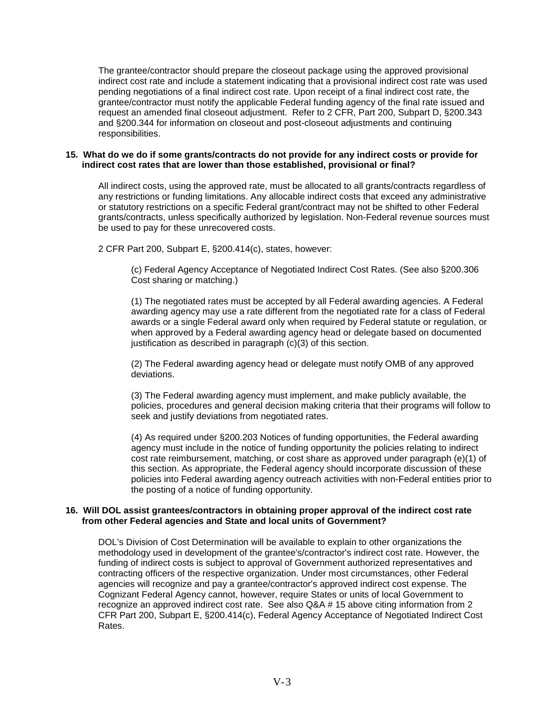The grantee/contractor should prepare the closeout package using the approved provisional indirect cost rate and include a statement indicating that a provisional indirect cost rate was used pending negotiations of a final indirect cost rate. Upon receipt of a final indirect cost rate, the grantee/contractor must notify the applicable Federal funding agency of the final rate issued and request an amended final closeout adjustment. Refer to 2 CFR, Part 200, Subpart D, §200.343 and §200.344 for information on closeout and post-closeout adjustments and continuing responsibilities.

#### **15. What do we do if some grants/contracts do not provide for any indirect costs or provide for indirect cost rates that are lower than those established, provisional or final?**

All indirect costs, using the approved rate, must be allocated to all grants/contracts regardless of any restrictions or funding limitations. Any allocable indirect costs that exceed any administrative or statutory restrictions on a specific Federal grant/contract may not be shifted to other Federal grants/contracts, unless specifically authorized by legislation. Non-Federal revenue sources must be used to pay for these unrecovered costs.

2 CFR Part 200, Subpart E, §200.414(c), states, however:

(c) Federal Agency Acceptance of Negotiated Indirect Cost Rates. (See also §200.306 Cost sharing or matching.)

(1) The negotiated rates must be accepted by all Federal awarding agencies. A Federal awarding agency may use a rate different from the negotiated rate for a class of Federal awards or a single Federal award only when required by Federal statute or regulation, or when approved by a Federal awarding agency head or delegate based on documented justification as described in paragraph (c)(3) of this section.

(2) The Federal awarding agency head or delegate must notify OMB of any approved deviations.

(3) The Federal awarding agency must implement, and make publicly available, the policies, procedures and general decision making criteria that their programs will follow to seek and justify deviations from negotiated rates.

(4) As required under §200.203 Notices of funding opportunities, the Federal awarding agency must include in the notice of funding opportunity the policies relating to indirect cost rate reimbursement, matching, or cost share as approved under paragraph (e)(1) of this section. As appropriate, the Federal agency should incorporate discussion of these policies into Federal awarding agency outreach activities with non-Federal entities prior to the posting of a notice of funding opportunity.

#### **16. Will DOL assist grantees/contractors in obtaining proper approval of the indirect cost rate from other Federal agencies and State and local units of Government?**

DOL's Division of Cost Determination will be available to explain to other organizations the methodology used in development of the grantee's/contractor's indirect cost rate. However, the funding of indirect costs is subject to approval of Government authorized representatives and contracting officers of the respective organization. Under most circumstances, other Federal agencies will recognize and pay a grantee/contractor's approved indirect cost expense. The Cognizant Federal Agency cannot, however, require States or units of local Government to recognize an approved indirect cost rate. See also Q&A # 15 above citing information from 2 CFR Part 200, Subpart E, §200.414(c), Federal Agency Acceptance of Negotiated Indirect Cost Rates.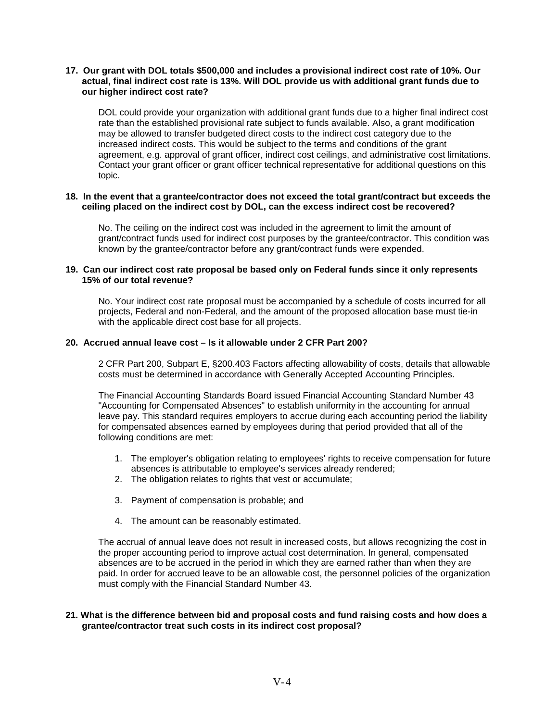#### **17. Our grant with DOL totals \$500,000 and includes a provisional indirect cost rate of 10%. Our actual, final indirect cost rate is 13%. Will DOL provide us with additional grant funds due to our higher indirect cost rate?**

DOL could provide your organization with additional grant funds due to a higher final indirect cost rate than the established provisional rate subject to funds available. Also, a grant modification may be allowed to transfer budgeted direct costs to the indirect cost category due to the increased indirect costs. This would be subject to the terms and conditions of the grant agreement, e.g. approval of grant officer, indirect cost ceilings, and administrative cost limitations. Contact your grant officer or grant officer technical representative for additional questions on this topic.

#### **18. In the event that a grantee/contractor does not exceed the total grant/contract but exceeds the ceiling placed on the indirect cost by DOL, can the excess indirect cost be recovered?**

No. The ceiling on the indirect cost was included in the agreement to limit the amount of grant/contract funds used for indirect cost purposes by the grantee/contractor. This condition was known by the grantee/contractor before any grant/contract funds were expended.

#### **19. Can our indirect cost rate proposal be based only on Federal funds since it only represents 15% of our total revenue?**

No. Your indirect cost rate proposal must be accompanied by a schedule of costs incurred for all projects, Federal and non-Federal, and the amount of the proposed allocation base must tie-in with the applicable direct cost base for all projects.

#### **20. Accrued annual leave cost – Is it allowable under 2 CFR Part 200?**

2 CFR Part 200, Subpart E, §200.403 Factors affecting allowability of costs, details that allowable costs must be determined in accordance with Generally Accepted Accounting Principles.

The Financial Accounting Standards Board issued Financial Accounting Standard Number 43 "Accounting for Compensated Absences" to establish uniformity in the accounting for annual leave pay. This standard requires employers to accrue during each accounting period the liability for compensated absences earned by employees during that period provided that all of the following conditions are met:

- 1. The employer's obligation relating to employees' rights to receive compensation for future absences is attributable to employee's services already rendered;
- 2. The obligation relates to rights that vest or accumulate;
- 3. Payment of compensation is probable; and
- 4. The amount can be reasonably estimated.

The accrual of annual leave does not result in increased costs, but allows recognizing the cost in the proper accounting period to improve actual cost determination. In general, compensated absences are to be accrued in the period in which they are earned rather than when they are paid. In order for accrued leave to be an allowable cost, the personnel policies of the organization must comply with the Financial Standard Number 43.

#### **21. What is the difference between bid and proposal costs and fund raising costs and how does a grantee/contractor treat such costs in its indirect cost proposal?**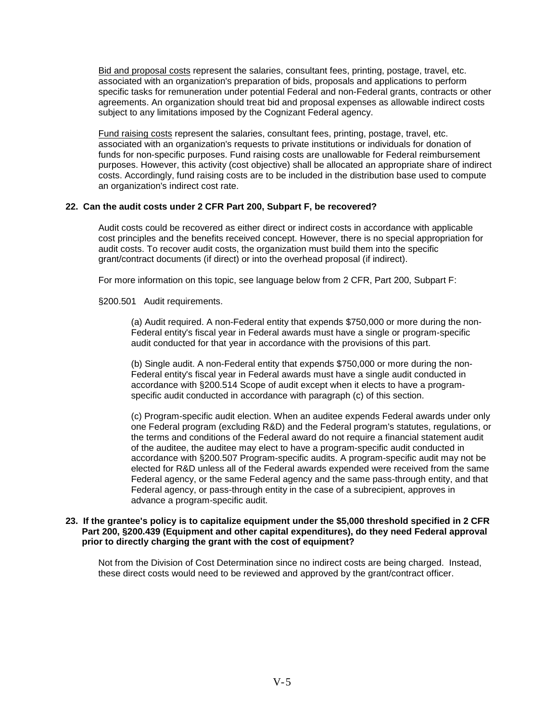Bid and proposal costs represent the salaries, consultant fees, printing, postage, travel, etc. associated with an organization's preparation of bids, proposals and applications to perform specific tasks for remuneration under potential Federal and non-Federal grants, contracts or other agreements. An organization should treat bid and proposal expenses as allowable indirect costs subject to any limitations imposed by the Cognizant Federal agency.

Fund raising costs represent the salaries, consultant fees, printing, postage, travel, etc. associated with an organization's requests to private institutions or individuals for donation of funds for non-specific purposes. Fund raising costs are unallowable for Federal reimbursement purposes. However, this activity (cost objective) shall be allocated an appropriate share of indirect costs. Accordingly, fund raising costs are to be included in the distribution base used to compute an organization's indirect cost rate.

#### **22. Can the audit costs under 2 CFR Part 200, Subpart F, be recovered?**

Audit costs could be recovered as either direct or indirect costs in accordance with applicable cost principles and the benefits received concept. However, there is no special appropriation for audit costs. To recover audit costs, the organization must build them into the specific grant/contract documents (if direct) or into the overhead proposal (if indirect).

For more information on this topic, see language below from 2 CFR, Part 200, Subpart F:

§200.501 Audit requirements.

(a) Audit required. A non-Federal entity that expends \$750,000 or more during the non-Federal entity's fiscal year in Federal awards must have a single or program-specific audit conducted for that year in accordance with the provisions of this part.

(b) Single audit. A non-Federal entity that expends \$750,000 or more during the non-Federal entity's fiscal year in Federal awards must have a single audit conducted in accordance with §200.514 Scope of audit except when it elects to have a programspecific audit conducted in accordance with paragraph (c) of this section.

(c) Program-specific audit election. When an auditee expends Federal awards under only one Federal program (excluding R&D) and the Federal program's statutes, regulations, or the terms and conditions of the Federal award do not require a financial statement audit of the auditee, the auditee may elect to have a program-specific audit conducted in accordance with §200.507 Program-specific audits. A program-specific audit may not be elected for R&D unless all of the Federal awards expended were received from the same Federal agency, or the same Federal agency and the same pass-through entity, and that Federal agency, or pass-through entity in the case of a subrecipient, approves in advance a program-specific audit.

#### **23. If the grantee's policy is to capitalize equipment under the \$5,000 threshold specified in 2 CFR Part 200, §200.439 (Equipment and other capital expenditures), do they need Federal approval prior to directly charging the grant with the cost of equipment?**

Not from the Division of Cost Determination since no indirect costs are being charged. Instead, these direct costs would need to be reviewed and approved by the grant/contract officer.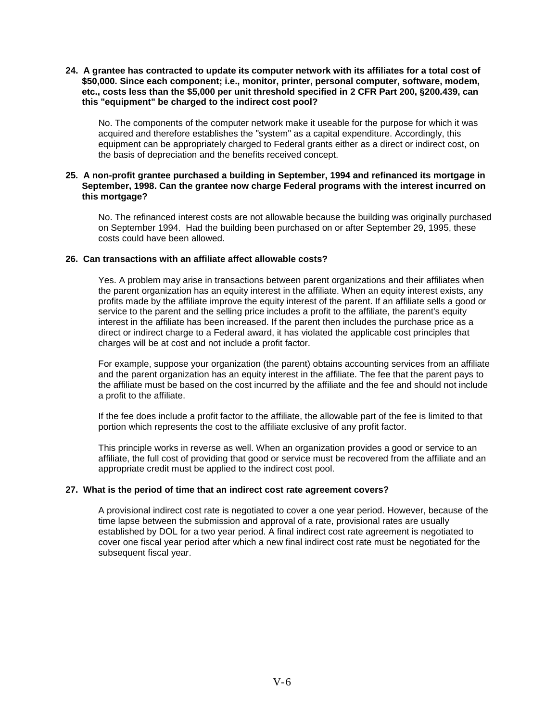#### **24. A grantee has contracted to update its computer network with its affiliates for a total cost of \$50,000. Since each component; i.e., monitor, printer, personal computer, software, modem, etc., costs less than the \$5,000 per unit threshold specified in 2 CFR Part 200, §200.439, can this "equipment" be charged to the indirect cost pool?**

No. The components of the computer network make it useable for the purpose for which it was acquired and therefore establishes the "system" as a capital expenditure. Accordingly, this equipment can be appropriately charged to Federal grants either as a direct or indirect cost, on the basis of depreciation and the benefits received concept.

#### **25. A non-profit grantee purchased a building in September, 1994 and refinanced its mortgage in September, 1998. Can the grantee now charge Federal programs with the interest incurred on this mortgage?**

No. The refinanced interest costs are not allowable because the building was originally purchased on September 1994. Had the building been purchased on or after September 29, 1995, these costs could have been allowed.

### **26. Can transactions with an affiliate affect allowable costs?**

Yes. A problem may arise in transactions between parent organizations and their affiliates when the parent organization has an equity interest in the affiliate. When an equity interest exists, any profits made by the affiliate improve the equity interest of the parent. If an affiliate sells a good or service to the parent and the selling price includes a profit to the affiliate, the parent's equity interest in the affiliate has been increased. If the parent then includes the purchase price as a direct or indirect charge to a Federal award, it has violated the applicable cost principles that charges will be at cost and not include a profit factor.

For example, suppose your organization (the parent) obtains accounting services from an affiliate and the parent organization has an equity interest in the affiliate. The fee that the parent pays to the affiliate must be based on the cost incurred by the affiliate and the fee and should not include a profit to the affiliate.

If the fee does include a profit factor to the affiliate, the allowable part of the fee is limited to that portion which represents the cost to the affiliate exclusive of any profit factor.

This principle works in reverse as well. When an organization provides a good or service to an affiliate, the full cost of providing that good or service must be recovered from the affiliate and an appropriate credit must be applied to the indirect cost pool.

#### **27. What is the period of time that an indirect cost rate agreement covers?**

A provisional indirect cost rate is negotiated to cover a one year period. However, because of the time lapse between the submission and approval of a rate, provisional rates are usually established by DOL for a two year period. A final indirect cost rate agreement is negotiated to cover one fiscal year period after which a new final indirect cost rate must be negotiated for the subsequent fiscal year.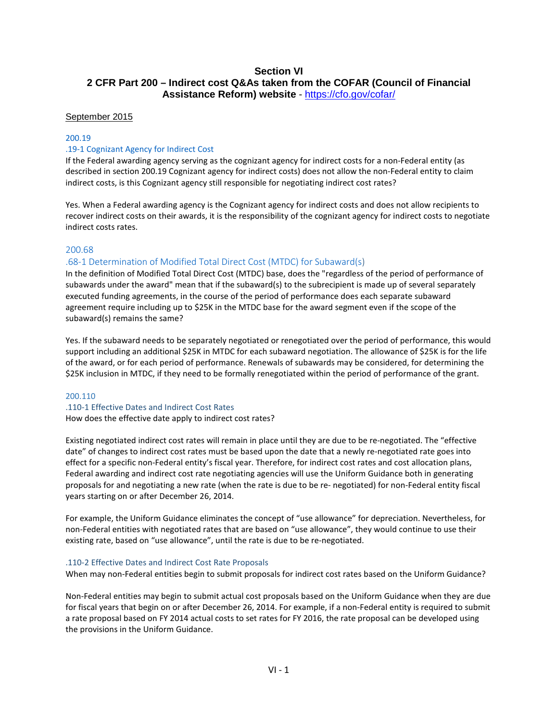#### **Section VI 2 CFR Part 200 – Indirect cost Q&As taken from the COFAR (Council of Financial Assistance Reform) website** - <https://cfo.gov/cofar/>

#### September 2015

#### 200.19

#### .19-1 Cognizant Agency for Indirect Cost

If the Federal awarding agency serving as the cognizant agency for indirect costs for a non-Federal entity (as described in section 200.19 Cognizant agency for indirect costs) does not allow the non-Federal entity to claim indirect costs, is this Cognizant agency still responsible for negotiating indirect cost rates?

Yes. When a Federal awarding agency is the Cognizant agency for indirect costs and does not allow recipients to recover indirect costs on their awards, it is the responsibility of the cognizant agency for indirect costs to negotiate indirect costs rates.

#### 200.68

#### .68-1 Determination of Modified Total Direct Cost (MTDC) for Subaward(s)

In the definition of Modified Total Direct Cost (MTDC) base, does the "regardless of the period of performance of subawards under the award" mean that if the subaward(s) to the subrecipient is made up of several separately executed funding agreements, in the course of the period of performance does each separate subaward agreement require including up to \$25K in the MTDC base for the award segment even if the scope of the subaward(s) remains the same?

Yes. If the subaward needs to be separately negotiated or renegotiated over the period of performance, this would support including an additional \$25K in MTDC for each subaward negotiation. The allowance of \$25K is for the life of the award, or for each period of performance. Renewals of subawards may be considered, for determining the \$25K inclusion in MTDC, if they need to be formally renegotiated within the period of performance of the grant.

#### 200.110

#### .110-1 Effective Dates and Indirect Cost Rates How does the effective date apply to indirect cost rates?

Existing negotiated indirect cost rates will remain in place until they are due to be re-negotiated. The "effective date" of changes to indirect cost rates must be based upon the date that a newly re-negotiated rate goes into effect for a specific non-Federal entity's fiscal year. Therefore, for indirect cost rates and cost allocation plans, Federal awarding and indirect cost rate negotiating agencies will use the Uniform Guidance both in generating proposals for and negotiating a new rate (when the rate is due to be re- negotiated) for non-Federal entity fiscal years starting on or after December 26, 2014.

For example, the Uniform Guidance eliminates the concept of "use allowance" for depreciation. Nevertheless, for non-Federal entities with negotiated rates that are based on "use allowance", they would continue to use their existing rate, based on "use allowance", until the rate is due to be re-negotiated.

#### .110-2 Effective Dates and Indirect Cost Rate Proposals

When may non-Federal entities begin to submit proposals for indirect cost rates based on the Uniform Guidance?

Non-Federal entities may begin to submit actual cost proposals based on the Uniform Guidance when they are due for fiscal years that begin on or after December 26, 2014. For example, if a non-Federal entity is required to submit a rate proposal based on FY 2014 actual costs to set rates for FY 2016, the rate proposal can be developed using the provisions in the Uniform Guidance.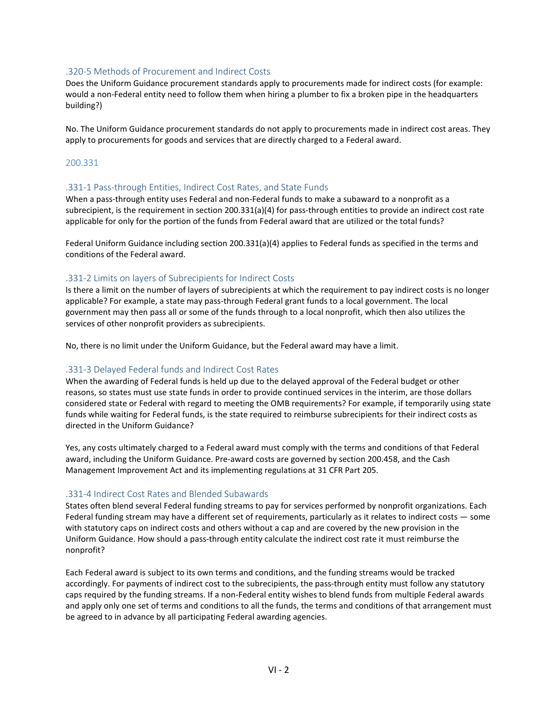#### .320-5 Methods of Procurement and Indirect Costs

Does the Uniform Guidance procurement standards apply to procurements made for indirect costs (for example: would a non-Federal entity need to follow them when hiring a plumber to fix a broken pipe in the headquarters building?)

No. The Uniform Guidance procurement standards do not apply to procurements made in indirect cost areas. They apply to procurements for goods and services that are directly charged to a Federal award.

#### 200.331

#### .331-1 Pass-through Entities, Indirect Cost Rates, and State Funds

When a pass-through entity uses Federal and non-Federal funds to make a subaward to a nonprofit as a subrecipient, is the requirement in section 200.331(a)(4) for pass-through entities to provide an indirect cost rate applicable for only for the portion of the funds from Federal award that are utilized or the total funds?

Federal Uniform Guidance including section 200.331(a)(4) applies to Federal funds as specified in the terms and conditions of the Federal award.

#### .331-2 Limits on layers of Subrecipients for Indirect Costs

Is there a limit on the number of layers of subrecipients at which the requirement to pay indirect costs is no longer applicable? For example, a state may pass-through Federal grant funds to a local government. The local government may then pass all or some of the funds through to a local nonprofit, which then also utilizes the services of other nonprofit providers as subrecipients.

No, there is no limit under the Uniform Guidance, but the Federal award may have a limit.

#### .331-3 Delayed Federal funds and Indirect Cost Rates

When the awarding of Federal funds is held up due to the delayed approval of the Federal budget or other reasons, so states must use state funds in order to provide continued services in the interim, are those dollars considered state or Federal with regard to meeting the OMB requirements? For example, if temporarily using state funds while waiting for Federal funds, is the state required to reimburse subrecipients for their indirect costs as directed in the Uniform Guidance?

Yes, any costs ultimately charged to a Federal award must comply with the terms and conditions of that Federal award, including the Uniform Guidance. Pre-award costs are governed by section 200.458, and the Cash Management Improvement Act and its implementing regulations at 31 CFR Part 205.

#### .331-4 Indirect Cost Rates and Blended Subawards

States often blend several Federal funding streams to pay for services performed by nonprofit organizations. Each Federal funding stream may have a different set of requirements, particularly as it relates to indirect costs — some with statutory caps on indirect costs and others without a cap and are covered by the new provision in the Uniform Guidance. How should a pass-through entity calculate the indirect cost rate it must reimburse the nonprofit?

Each Federal award is subject to its own terms and conditions, and the funding streams would be tracked accordingly. For payments of indirect cost to the subrecipients, the pass-through entity must follow any statutory caps required by the funding streams. If a non-Federal entity wishes to blend funds from multiple Federal awards and apply only one set of terms and conditions to all the funds, the terms and conditions of that arrangement must be agreed to in advance by all participating Federal awarding agencies.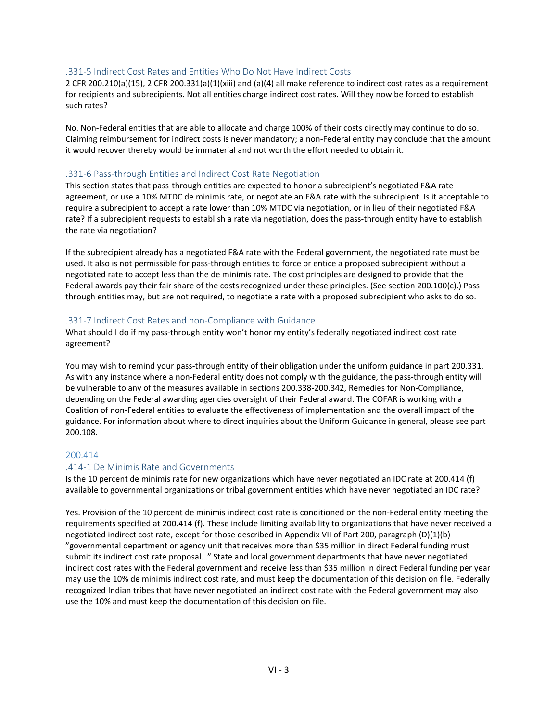#### .331-5 Indirect Cost Rates and Entities Who Do Not Have Indirect Costs

2 CFR 200.210(a)(15), 2 CFR 200.331(a)(1)(xiii) and (a)(4) all make reference to indirect cost rates as a requirement for recipients and subrecipients. Not all entities charge indirect cost rates. Will they now be forced to establish such rates?

No. Non-Federal entities that are able to allocate and charge 100% of their costs directly may continue to do so. Claiming reimbursement for indirect costs is never mandatory; a non-Federal entity may conclude that the amount it would recover thereby would be immaterial and not worth the effort needed to obtain it.

#### .331-6 Pass-through Entities and Indirect Cost Rate Negotiation

This section states that pass-through entities are expected to honor a subrecipient's negotiated F&A rate agreement, or use a 10% MTDC de minimis rate, or negotiate an F&A rate with the subrecipient. Is it acceptable to require a subrecipient to accept a rate lower than 10% MTDC via negotiation, or in lieu of their negotiated F&A rate? If a subrecipient requests to establish a rate via negotiation, does the pass-through entity have to establish the rate via negotiation?

If the subrecipient already has a negotiated F&A rate with the Federal government, the negotiated rate must be used. It also is not permissible for pass-through entities to force or entice a proposed subrecipient without a negotiated rate to accept less than the de minimis rate. The cost principles are designed to provide that the Federal awards pay their fair share of the costs recognized under these principles. (See section 200.100(c).) Passthrough entities may, but are not required, to negotiate a rate with a proposed subrecipient who asks to do so.

#### .331-7 Indirect Cost Rates and non-Compliance with Guidance

What should I do if my pass-through entity won't honor my entity's federally negotiated indirect cost rate agreement?

You may wish to remind your pass-through entity of their obligation under the uniform guidance in part 200.331. As with any instance where a non-Federal entity does not comply with the guidance, the pass-through entity will be vulnerable to any of the measures available in sections 200.338-200.342, Remedies for Non-Compliance, depending on the Federal awarding agencies oversight of their Federal award. The COFAR is working with a Coalition of non-Federal entities to evaluate the effectiveness of implementation and the overall impact of the guidance. For information about where to direct inquiries about the Uniform Guidance in general, please see part 200.108.

#### 200.414

#### .414-1 De Minimis Rate and Governments

Is the 10 percent de minimis rate for new organizations which have never negotiated an IDC rate at 200.414 (f) available to governmental organizations or tribal government entities which have never negotiated an IDC rate?

Yes. Provision of the 10 percent de minimis indirect cost rate is conditioned on the non-Federal entity meeting the requirements specified at 200.414 (f). These include limiting availability to organizations that have never received a negotiated indirect cost rate, except for those described in Appendix VII of Part 200, paragraph (D)(1)(b) "governmental department or agency unit that receives more than \$35 million in direct Federal funding must submit its indirect cost rate proposal…" State and local government departments that have never negotiated indirect cost rates with the Federal government and receive less than \$35 million in direct Federal funding per year may use the 10% de minimis indirect cost rate, and must keep the documentation of this decision on file. Federally recognized Indian tribes that have never negotiated an indirect cost rate with the Federal government may also use the 10% and must keep the documentation of this decision on file.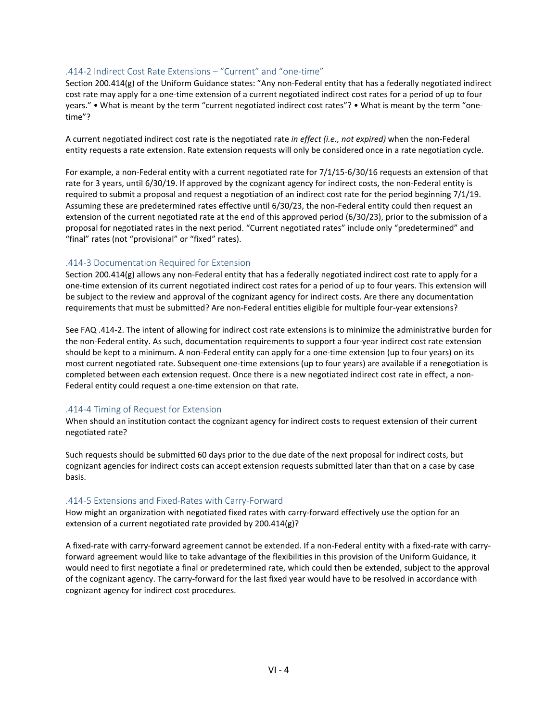#### .414-2 Indirect Cost Rate Extensions – "Current" and "one-time"

Section 200.414(g) of the Uniform Guidance states: "Any non-Federal entity that has a federally negotiated indirect cost rate may apply for a one-time extension of a current negotiated indirect cost rates for a period of up to four years." • What is meant by the term "current negotiated indirect cost rates"? • What is meant by the term "onetime"?

A current negotiated indirect cost rate is the negotiated rate *in effect (i.e., not expired)* when the non-Federal entity requests a rate extension. Rate extension requests will only be considered once in a rate negotiation cycle.

For example, a non-Federal entity with a current negotiated rate for 7/1/15-6/30/16 requests an extension of that rate for 3 years, until 6/30/19. If approved by the cognizant agency for indirect costs, the non-Federal entity is required to submit a proposal and request a negotiation of an indirect cost rate for the period beginning 7/1/19. Assuming these are predetermined rates effective until 6/30/23, the non-Federal entity could then request an extension of the current negotiated rate at the end of this approved period (6/30/23), prior to the submission of a proposal for negotiated rates in the next period. "Current negotiated rates" include only "predetermined" and "final" rates (not "provisional" or "fixed" rates).

#### .414-3 Documentation Required for Extension

Section 200.414(g) allows any non-Federal entity that has a federally negotiated indirect cost rate to apply for a one-time extension of its current negotiated indirect cost rates for a period of up to four years. This extension will be subject to the review and approval of the cognizant agency for indirect costs. Are there any documentation requirements that must be submitted? Are non-Federal entities eligible for multiple four-year extensions?

See FAQ .414-2. The intent of allowing for indirect cost rate extensions is to minimize the administrative burden for the non-Federal entity. As such, documentation requirements to support a four-year indirect cost rate extension should be kept to a minimum. A non-Federal entity can apply for a one-time extension (up to four years) on its most current negotiated rate. Subsequent one-time extensions (up to four years) are available if a renegotiation is completed between each extension request. Once there is a new negotiated indirect cost rate in effect, a non-Federal entity could request a one-time extension on that rate.

#### .414-4 Timing of Request for Extension

When should an institution contact the cognizant agency for indirect costs to request extension of their current negotiated rate?

Such requests should be submitted 60 days prior to the due date of the next proposal for indirect costs, but cognizant agencies for indirect costs can accept extension requests submitted later than that on a case by case basis.

#### .414-5 Extensions and Fixed-Rates with Carry-Forward

How might an organization with negotiated fixed rates with carry-forward effectively use the option for an extension of a current negotiated rate provided by 200.414(g)?

A fixed-rate with carry-forward agreement cannot be extended. If a non-Federal entity with a fixed-rate with carryforward agreement would like to take advantage of the flexibilities in this provision of the Uniform Guidance, it would need to first negotiate a final or predetermined rate, which could then be extended, subject to the approval of the cognizant agency. The carry-forward for the last fixed year would have to be resolved in accordance with cognizant agency for indirect cost procedures.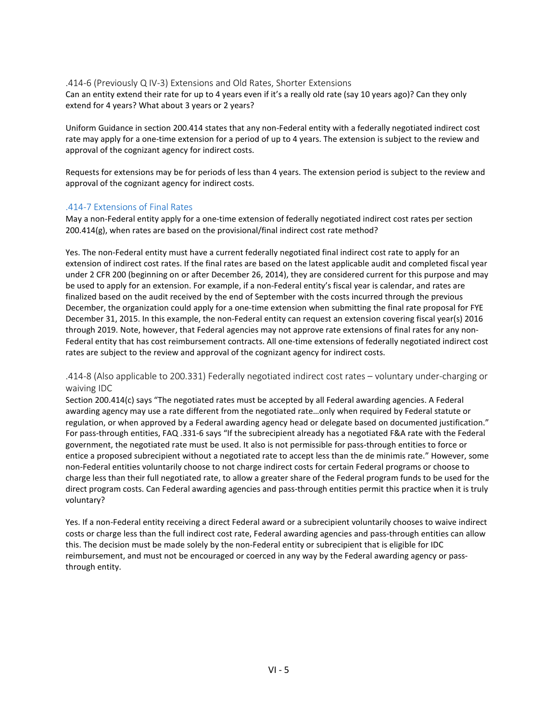.414-6 (Previously Q IV-3) Extensions and Old Rates, Shorter Extensions Can an entity extend their rate for up to 4 years even if it's a really old rate (say 10 years ago)? Can they only extend for 4 years? What about 3 years or 2 years?

Uniform Guidance in section 200.414 states that any non-Federal entity with a federally negotiated indirect cost rate may apply for a one-time extension for a period of up to 4 years. The extension is subject to the review and approval of the cognizant agency for indirect costs.

Requests for extensions may be for periods of less than 4 years. The extension period is subject to the review and approval of the cognizant agency for indirect costs.

#### .414-7 Extensions of Final Rates

May a non-Federal entity apply for a one-time extension of federally negotiated indirect cost rates per section 200.414(g), when rates are based on the provisional/final indirect cost rate method?

Yes. The non-Federal entity must have a current federally negotiated final indirect cost rate to apply for an extension of indirect cost rates. If the final rates are based on the latest applicable audit and completed fiscal year under 2 CFR 200 (beginning on or after December 26, 2014), they are considered current for this purpose and may be used to apply for an extension. For example, if a non-Federal entity's fiscal year is calendar, and rates are finalized based on the audit received by the end of September with the costs incurred through the previous December, the organization could apply for a one-time extension when submitting the final rate proposal for FYE December 31, 2015. In this example, the non-Federal entity can request an extension covering fiscal year(s) 2016 through 2019. Note, however, that Federal agencies may not approve rate extensions of final rates for any non-Federal entity that has cost reimbursement contracts. All one-time extensions of federally negotiated indirect cost rates are subject to the review and approval of the cognizant agency for indirect costs.

.414-8 (Also applicable to 200.331) Federally negotiated indirect cost rates – voluntary under-charging or waiving IDC

Section 200.414(c) says "The negotiated rates must be accepted by all Federal awarding agencies. A Federal awarding agency may use a rate different from the negotiated rate…only when required by Federal statute or regulation, or when approved by a Federal awarding agency head or delegate based on documented justification." For pass-through entities, FAQ .331-6 says "If the subrecipient already has a negotiated F&A rate with the Federal government, the negotiated rate must be used. It also is not permissible for pass-through entities to force or entice a proposed subrecipient without a negotiated rate to accept less than the de minimis rate." However, some non-Federal entities voluntarily choose to not charge indirect costs for certain Federal programs or choose to charge less than their full negotiated rate, to allow a greater share of the Federal program funds to be used for the direct program costs. Can Federal awarding agencies and pass-through entities permit this practice when it is truly voluntary?

Yes. If a non-Federal entity receiving a direct Federal award or a subrecipient voluntarily chooses to waive indirect costs or charge less than the full indirect cost rate, Federal awarding agencies and pass-through entities can allow this. The decision must be made solely by the non-Federal entity or subrecipient that is eligible for IDC reimbursement, and must not be encouraged or coerced in any way by the Federal awarding agency or passthrough entity.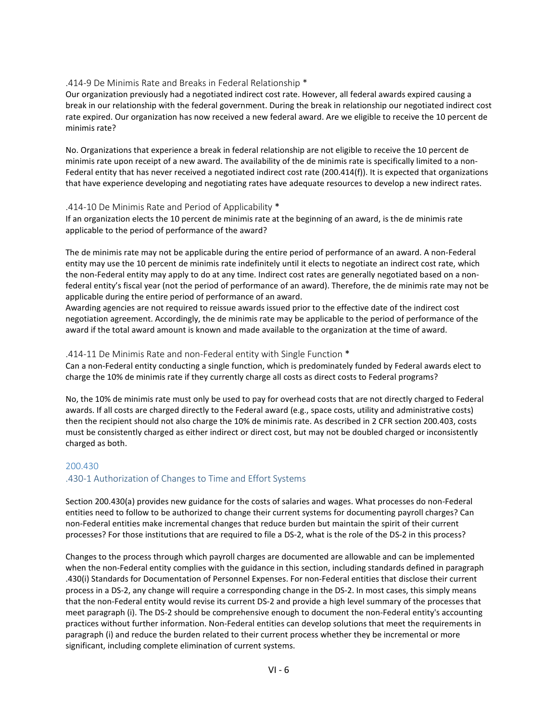#### .414-9 De Minimis Rate and Breaks in Federal Relationship \*

Our organization previously had a negotiated indirect cost rate. However, all federal awards expired causing a break in our relationship with the federal government. During the break in relationship our negotiated indirect cost rate expired. Our organization has now received a new federal award. Are we eligible to receive the 10 percent de minimis rate?

No. Organizations that experience a break in federal relationship are not eligible to receive the 10 percent de minimis rate upon receipt of a new award. The availability of the de minimis rate is specifically limited to a non-Federal entity that has never received a negotiated indirect cost rate (200.414(f)). It is expected that organizations that have experience developing and negotiating rates have adequate resources to develop a new indirect rates.

#### .414-10 De Minimis Rate and Period of Applicability \*

If an organization elects the 10 percent de minimis rate at the beginning of an award, is the de minimis rate applicable to the period of performance of the award?

The de minimis rate may not be applicable during the entire period of performance of an award. A non-Federal entity may use the 10 percent de minimis rate indefinitely until it elects to negotiate an indirect cost rate, which the non-Federal entity may apply to do at any time. Indirect cost rates are generally negotiated based on a nonfederal entity's fiscal year (not the period of performance of an award). Therefore, the de minimis rate may not be applicable during the entire period of performance of an award.

Awarding agencies are not required to reissue awards issued prior to the effective date of the indirect cost negotiation agreement. Accordingly, the de minimis rate may be applicable to the period of performance of the award if the total award amount is known and made available to the organization at the time of award.

#### .414-11 De Minimis Rate and non-Federal entity with Single Function \*

Can a non-Federal entity conducting a single function, which is predominately funded by Federal awards elect to charge the 10% de minimis rate if they currently charge all costs as direct costs to Federal programs?

No, the 10% de minimis rate must only be used to pay for overhead costs that are not directly charged to Federal awards. If all costs are charged directly to the Federal award (e.g., space costs, utility and administrative costs) then the recipient should not also charge the 10% de minimis rate. As described in 2 CFR section 200.403, costs must be consistently charged as either indirect or direct cost, but may not be doubled charged or inconsistently charged as both.

#### 200.430

#### .430-1 Authorization of Changes to Time and Effort Systems

Section 200.430(a) provides new guidance for the costs of salaries and wages. What processes do non-Federal entities need to follow to be authorized to change their current systems for documenting payroll charges? Can non-Federal entities make incremental changes that reduce burden but maintain the spirit of their current processes? For those institutions that are required to file a DS-2, what is the role of the DS-2 in this process?

Changes to the process through which payroll charges are documented are allowable and can be implemented when the non-Federal entity complies with the guidance in this section, including standards defined in paragraph .430(i) Standards for Documentation of Personnel Expenses. For non-Federal entities that disclose their current process in a DS-2, any change will require a corresponding change in the DS-2. In most cases, this simply means that the non-Federal entity would revise its current DS-2 and provide a high level summary of the processes that meet paragraph (i). The DS-2 should be comprehensive enough to document the non-Federal entity's accounting practices without further information. Non-Federal entities can develop solutions that meet the requirements in paragraph (i) and reduce the burden related to their current process whether they be incremental or more significant, including complete elimination of current systems.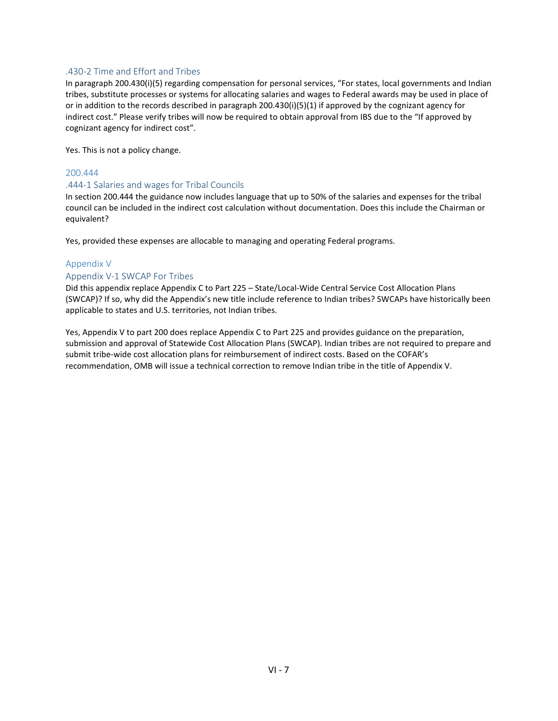#### .430-2 Time and Effort and Tribes

In paragraph 200.430(i)(5) regarding compensation for personal services, "For states, local governments and Indian tribes, substitute processes or systems for allocating salaries and wages to Federal awards may be used in place of or in addition to the records described in paragraph 200.430(i)(5)(1) if approved by the cognizant agency for indirect cost." Please verify tribes will now be required to obtain approval from IBS due to the "If approved by cognizant agency for indirect cost".

Yes. This is not a policy change.

#### 200.444

#### .444-1 Salaries and wages for Tribal Councils

In section 200.444 the guidance now includes language that up to 50% of the salaries and expenses for the tribal council can be included in the indirect cost calculation without documentation. Does this include the Chairman or equivalent?

Yes, provided these expenses are allocable to managing and operating Federal programs.

#### Appendix V

#### Appendix V-1 SWCAP For Tribes

Did this appendix replace Appendix C to Part 225 – State/Local-Wide Central Service Cost Allocation Plans (SWCAP)? If so, why did the Appendix's new title include reference to Indian tribes? SWCAPs have historically been applicable to states and U.S. territories, not Indian tribes.

Yes, Appendix V to part 200 does replace Appendix C to Part 225 and provides guidance on the preparation, submission and approval of Statewide Cost Allocation Plans (SWCAP). Indian tribes are not required to prepare and submit tribe-wide cost allocation plans for reimbursement of indirect costs. Based on the COFAR's recommendation, OMB will issue a technical correction to remove Indian tribe in the title of Appendix V.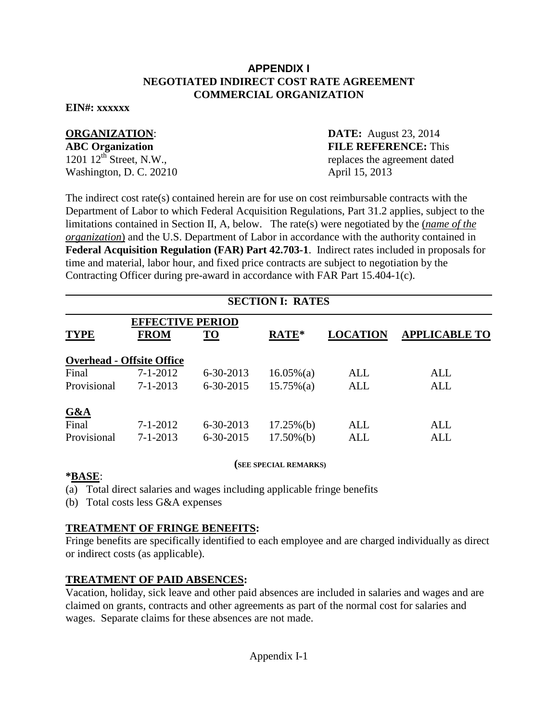### **APPENDIX I NEGOTIATED INDIRECT COST RATE AGREEMENT COMMERCIAL ORGANIZATION**

### **EIN#: xxxxxx**

Washington, D. C. 20210 April 15, 2013

**ORGANIZATION: DATE:** August 23, 2014 **ABC Organization**<br>1201 12<sup>th</sup> Street, N.W., replaces the agreement dated replaces the agreement dated

The indirect cost rate(s) contained herein are for use on cost reimbursable contracts with the Department of Labor to which Federal Acquisition Regulations, Part 31.2 applies, subject to the limitations contained in Section II, A, below. The rate(s) were negotiated by the (*name of the organization*) and the U.S. Department of Labor in accordance with the authority contained in **Federal Acquisition Regulation (FAR) Part 42.703-1**. Indirect rates included in proposals for time and material, labor hour, and fixed price contracts are subject to negotiation by the Contracting Officer during pre-award in accordance with FAR Part 15.404-1(c).

### **SECTION I: RATES**

| <b>EFFECTIVE PERIOD</b> |                                  |                 |               |                 |                      |  |
|-------------------------|----------------------------------|-----------------|---------------|-----------------|----------------------|--|
| <b>TYPE</b>             | <b>FROM</b>                      | <b>TO</b>       | RATE*         | <b>LOCATION</b> | <b>APPLICABLE TO</b> |  |
|                         | <b>Overhead - Offsite Office</b> |                 |               |                 |                      |  |
| Final                   | $7 - 1 - 2012$                   | $6 - 30 - 2013$ | $16.05\%$ (a) | ALL             | ALL                  |  |
| Provisional             | $7 - 1 - 2013$                   | $6 - 30 - 2015$ | $15.75\%(a)$  | <b>ALL</b>      | <b>ALL</b>           |  |
| G&A                     |                                  |                 |               |                 |                      |  |
| Final                   | $7 - 1 - 2012$                   | $6 - 30 - 2013$ | $17.25\%$ (b) | ALL             | ALL                  |  |
| Provisional             | $7 - 1 - 2013$                   | $6 - 30 - 2015$ | $17.50\%(b)$  | ALL             | ALL                  |  |

#### **(SEE SPECIAL REMARKS)**

### **\*BASE**:

(a) Total direct salaries and wages including applicable fringe benefits

(b) Total costs less G&A expenses

### **TREATMENT OF FRINGE BENEFITS:**

Fringe benefits are specifically identified to each employee and are charged individually as direct or indirect costs (as applicable).

### **TREATMENT OF PAID ABSENCES:**

Vacation, holiday, sick leave and other paid absences are included in salaries and wages and are claimed on grants, contracts and other agreements as part of the normal cost for salaries and wages. Separate claims for these absences are not made.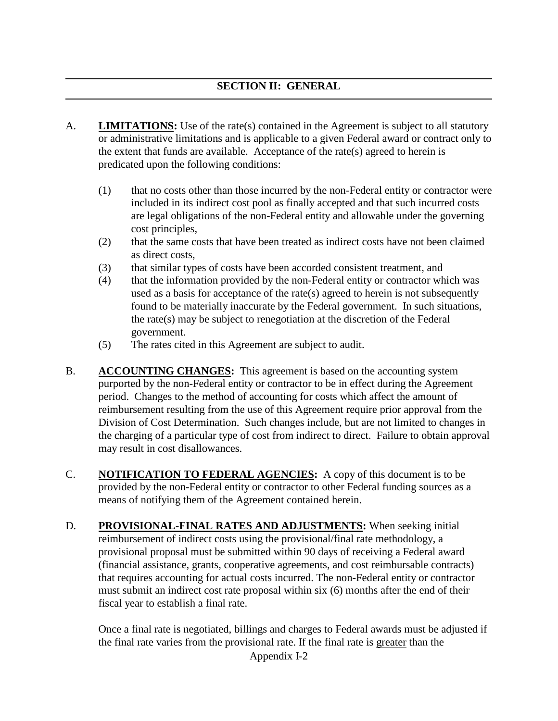- A. **LIMITATIONS:** Use of the rate(s) contained in the Agreement is subject to all statutory or administrative limitations and is applicable to a given Federal award or contract only to the extent that funds are available. Acceptance of the rate(s) agreed to herein is predicated upon the following conditions:
	- (1) that no costs other than those incurred by the non-Federal entity or contractor were included in its indirect cost pool as finally accepted and that such incurred costs are legal obligations of the non-Federal entity and allowable under the governing cost principles,
	- (2) that the same costs that have been treated as indirect costs have not been claimed as direct costs,
	- (3) that similar types of costs have been accorded consistent treatment, and
	- (4) that the information provided by the non-Federal entity or contractor which was used as a basis for acceptance of the rate(s) agreed to herein is not subsequently found to be materially inaccurate by the Federal government. In such situations, the rate(s) may be subject to renegotiation at the discretion of the Federal government.
	- (5) The rates cited in this Agreement are subject to audit.
- B. **ACCOUNTING CHANGES:** This agreement is based on the accounting system purported by the non-Federal entity or contractor to be in effect during the Agreement period. Changes to the method of accounting for costs which affect the amount of reimbursement resulting from the use of this Agreement require prior approval from the Division of Cost Determination. Such changes include, but are not limited to changes in the charging of a particular type of cost from indirect to direct. Failure to obtain approval may result in cost disallowances.
- C. **NOTIFICATION TO FEDERAL AGENCIES:** A copy of this document is to be provided by the non-Federal entity or contractor to other Federal funding sources as a means of notifying them of the Agreement contained herein.
- D. **PROVISIONAL-FINAL RATES AND ADJUSTMENTS:** When seeking initial reimbursement of indirect costs using the provisional/final rate methodology, a provisional proposal must be submitted within 90 days of receiving a Federal award (financial assistance, grants, cooperative agreements, and cost reimbursable contracts) that requires accounting for actual costs incurred. The non-Federal entity or contractor must submit an indirect cost rate proposal within six (6) months after the end of their fiscal year to establish a final rate.

Once a final rate is negotiated, billings and charges to Federal awards must be adjusted if the final rate varies from the provisional rate. If the final rate is greater than the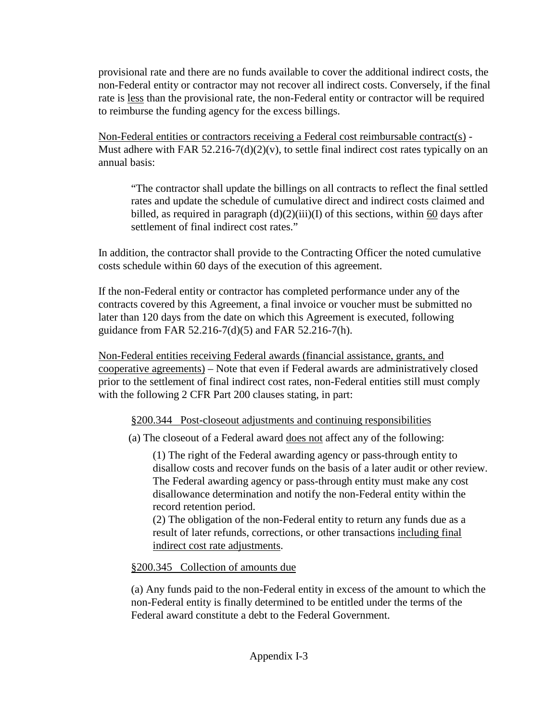provisional rate and there are no funds available to cover the additional indirect costs, the non-Federal entity or contractor may not recover all indirect costs. Conversely, if the final rate is less than the provisional rate, the non-Federal entity or contractor will be required to reimburse the funding agency for the excess billings.

Non-Federal entities or contractors receiving a Federal cost reimbursable contract(s) - Must adhere with FAR 52.216-7(d)(2)(v), to settle final indirect cost rates typically on an annual basis:

"The contractor shall update the billings on all contracts to reflect the final settled rates and update the schedule of cumulative direct and indirect costs claimed and billed, as required in paragraph  $(d)(2)(iii)(I)$  of this sections, within 60 days after settlement of final indirect cost rates."

In addition, the contractor shall provide to the Contracting Officer the noted cumulative costs schedule within 60 days of the execution of this agreement.

If the non-Federal entity or contractor has completed performance under any of the contracts covered by this Agreement, a final invoice or voucher must be submitted no later than 120 days from the date on which this Agreement is executed, following guidance from FAR 52.216-7(d)(5) and FAR 52.216-7(h).

Non-Federal entities receiving Federal awards (financial assistance, grants, and cooperative agreements) – Note that even if Federal awards are administratively closed prior to the settlement of final indirect cost rates, non-Federal entities still must comply with the following 2 CFR Part 200 clauses stating, in part:

§200.344 Post-closeout adjustments and continuing responsibilities

(a) The closeout of a Federal award does not affect any of the following:

(1) The right of the Federal awarding agency or pass-through entity to disallow costs and recover funds on the basis of a later audit or other review. The Federal awarding agency or pass-through entity must make any cost disallowance determination and notify the non-Federal entity within the record retention period.

(2) The obligation of the non-Federal entity to return any funds due as a result of later refunds, corrections, or other transactions including final indirect cost rate adjustments.

§200.345 Collection of amounts due

(a) Any funds paid to the non-Federal entity in excess of the amount to which the non-Federal entity is finally determined to be entitled under the terms of the Federal award constitute a debt to the Federal Government.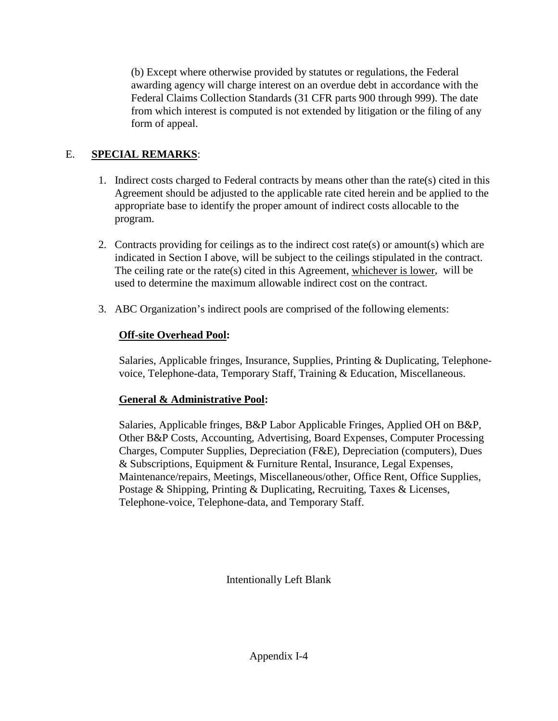(b) Except where otherwise provided by statutes or regulations, the Federal awarding agency will charge interest on an overdue debt in accordance with the Federal Claims Collection Standards (31 CFR parts 900 through 999). The date from which interest is computed is not extended by litigation or the filing of any form of appeal.

### E. **SPECIAL REMARKS**:

- 1. Indirect costs charged to Federal contracts by means other than the rate(s) cited in this Agreement should be adjusted to the applicable rate cited herein and be applied to the appropriate base to identify the proper amount of indirect costs allocable to the program.
- 2. Contracts providing for ceilings as to the indirect cost rate(s) or amount(s) which are indicated in Section I above, will be subject to the ceilings stipulated in the contract. The ceiling rate or the rate(s) cited in this Agreement, whichever is lower, will be used to determine the maximum allowable indirect cost on the contract.
- 3. ABC Organization's indirect pools are comprised of the following elements:

### **Off-site Overhead Pool:**

Salaries, Applicable fringes, Insurance, Supplies, Printing & Duplicating, Telephonevoice, Telephone-data, Temporary Staff, Training & Education, Miscellaneous.

### **General & Administrative Pool:**

Salaries, Applicable fringes, B&P Labor Applicable Fringes, Applied OH on B&P, Other B&P Costs, Accounting, Advertising, Board Expenses, Computer Processing Charges, Computer Supplies, Depreciation (F&E), Depreciation (computers), Dues & Subscriptions, Equipment & Furniture Rental, Insurance, Legal Expenses, Maintenance/repairs, Meetings, Miscellaneous/other, Office Rent, Office Supplies, Postage & Shipping, Printing & Duplicating, Recruiting, Taxes & Licenses, Telephone-voice, Telephone-data, and Temporary Staff.

Intentionally Left Blank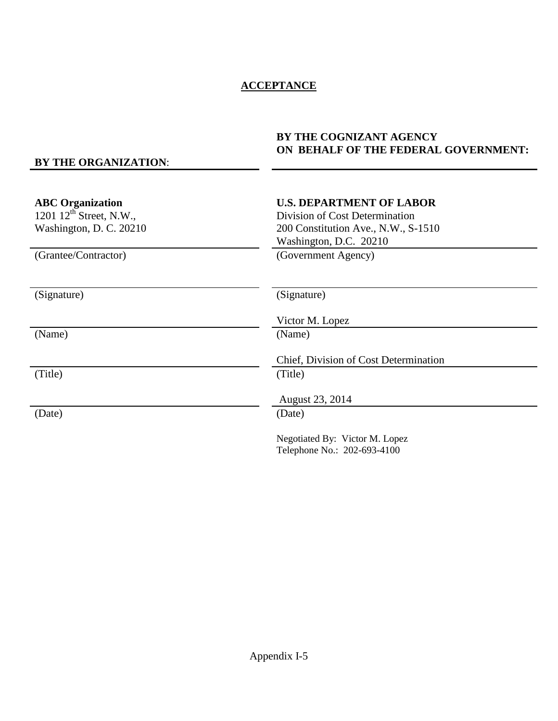### **ACCEPTANCE**

### **BY THE COGNIZANT AGENCY ON BEHALF OF THE FEDERAL GOVERNMENT:**

### **BY THE ORGANIZATION**:

| <b>ABC</b> Organization<br>1201 $12^{th}$ Street, N.W.,<br>Washington, D. C. 20210<br>(Grantee/Contractor) | <b>U.S. DEPARTMENT OF LABOR</b><br>Division of Cost Determination<br>200 Constitution Ave., N.W., S-1510<br>Washington, D.C. 20210<br>(Government Agency) |
|------------------------------------------------------------------------------------------------------------|-----------------------------------------------------------------------------------------------------------------------------------------------------------|
|                                                                                                            |                                                                                                                                                           |
| (Signature)                                                                                                | (Signature)                                                                                                                                               |
|                                                                                                            | Victor M. Lopez                                                                                                                                           |
| (Name)                                                                                                     | (Name)                                                                                                                                                    |
|                                                                                                            | Chief, Division of Cost Determination                                                                                                                     |
| (Title)                                                                                                    | (Title)                                                                                                                                                   |
|                                                                                                            | August 23, 2014                                                                                                                                           |
| (Date)                                                                                                     | (Date)                                                                                                                                                    |
|                                                                                                            | Negotiated By: Victor M. Lopez<br>Telephone No.: 202-693-4100                                                                                             |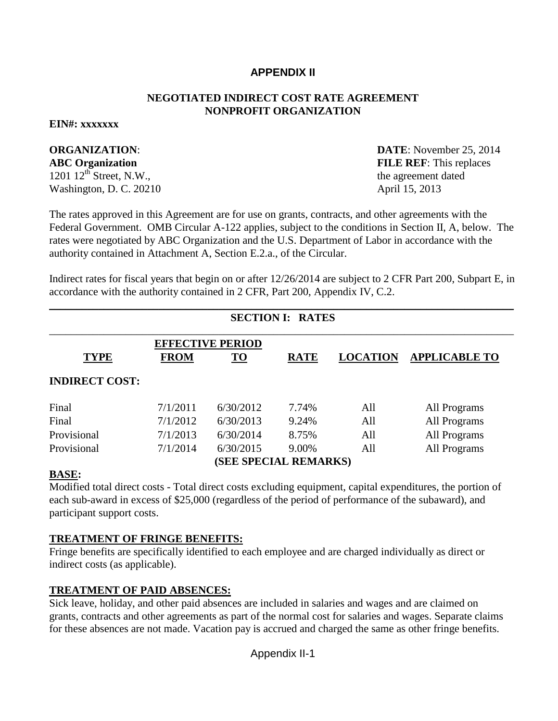### **APPENDIX II**

### **NEGOTIATED INDIRECT COST RATE AGREEMENT NONPROFIT ORGANIZATION**

#### **EIN#: xxxxxxx**

 $1201 \, 12^{th}$  Street, N.W., the agreement dated Washington, D. C. 20210 April 15, 2013

**ORGANIZATION**: **DATE**: November 25, 2014 **ABC Organization** FILE REF: This replaces

The rates approved in this Agreement are for use on grants, contracts, and other agreements with the Federal Government. OMB Circular A-122 applies, subject to the conditions in Section II, A, below. The rates were negotiated by ABC Organization and the U.S. Department of Labor in accordance with the authority contained in Attachment A, Section E.2.a., of the Circular.

Indirect rates for fiscal years that begin on or after 12/26/2014 are subject to 2 CFR Part 200, Subpart E, in accordance with the authority contained in 2 CFR, Part 200, Appendix IV, C.2.

|                       | <b>SECTION I: RATES</b> |                         |             |                 |                      |  |
|-----------------------|-------------------------|-------------------------|-------------|-----------------|----------------------|--|
|                       |                         |                         |             |                 |                      |  |
|                       |                         | <b>EFFECTIVE PERIOD</b> |             |                 |                      |  |
| <b>TYPE</b>           | <b>FROM</b>             | <u>TO</u>               | <b>RATE</b> | <b>LOCATION</b> | <b>APPLICABLE TO</b> |  |
| <b>INDIRECT COST:</b> |                         |                         |             |                 |                      |  |
| Final                 | 7/1/2011                | 6/30/2012               | 7.74%       | All             | All Programs         |  |
| Final                 | 7/1/2012                | 6/30/2013               | 9.24%       | All             | All Programs         |  |
| Provisional           | 7/1/2013                | 6/30/2014               | 8.75%       | All             | All Programs         |  |
| Provisional           | 7/1/2014                | 6/30/2015               | 9.00%       | All             | All Programs         |  |
| (SEE SPECIAL REMARKS) |                         |                         |             |                 |                      |  |
|                       |                         |                         |             |                 |                      |  |

**BASE:**

Modified total direct costs - Total direct costs excluding equipment, capital expenditures, the portion of each sub-award in excess of \$25,000 (regardless of the period of performance of the subaward), and participant support costs.

### **TREATMENT OF FRINGE BENEFITS:**

Fringe benefits are specifically identified to each employee and are charged individually as direct or indirect costs (as applicable).

### **TREATMENT OF PAID ABSENCES:**

Sick leave, holiday, and other paid absences are included in salaries and wages and are claimed on grants, contracts and other agreements as part of the normal cost for salaries and wages. Separate claims for these absences are not made. Vacation pay is accrued and charged the same as other fringe benefits.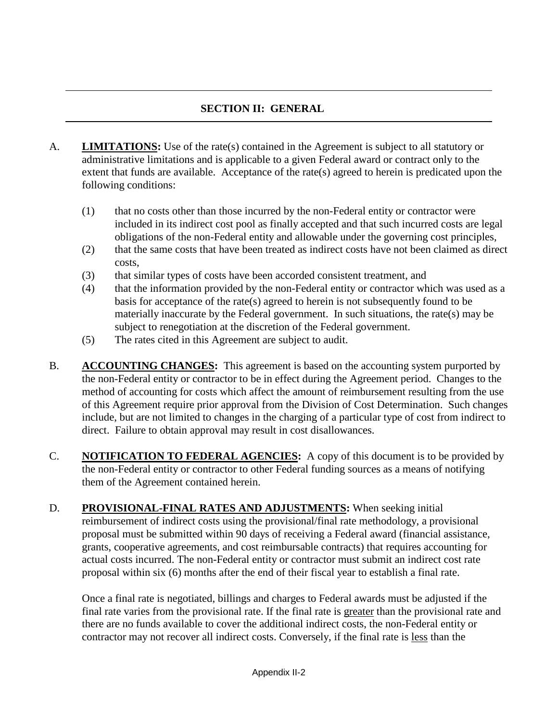### **SECTION II: GENERAL**

- A. **LIMITATIONS:** Use of the rate(s) contained in the Agreement is subject to all statutory or administrative limitations and is applicable to a given Federal award or contract only to the extent that funds are available. Acceptance of the rate(s) agreed to herein is predicated upon the following conditions:
	- (1) that no costs other than those incurred by the non-Federal entity or contractor were included in its indirect cost pool as finally accepted and that such incurred costs are legal obligations of the non-Federal entity and allowable under the governing cost principles,
	- (2) that the same costs that have been treated as indirect costs have not been claimed as direct costs,
	- (3) that similar types of costs have been accorded consistent treatment, and
	- (4) that the information provided by the non-Federal entity or contractor which was used as a basis for acceptance of the rate(s) agreed to herein is not subsequently found to be materially inaccurate by the Federal government. In such situations, the rate(s) may be subject to renegotiation at the discretion of the Federal government.
	- (5) The rates cited in this Agreement are subject to audit.
- B. **ACCOUNTING CHANGES:** This agreement is based on the accounting system purported by the non-Federal entity or contractor to be in effect during the Agreement period. Changes to the method of accounting for costs which affect the amount of reimbursement resulting from the use of this Agreement require prior approval from the Division of Cost Determination. Such changes include, but are not limited to changes in the charging of a particular type of cost from indirect to direct. Failure to obtain approval may result in cost disallowances.
- C. **NOTIFICATION TO FEDERAL AGENCIES:** A copy of this document is to be provided by the non-Federal entity or contractor to other Federal funding sources as a means of notifying them of the Agreement contained herein.
- D. **PROVISIONAL-FINAL RATES AND ADJUSTMENTS:** When seeking initial reimbursement of indirect costs using the provisional/final rate methodology, a provisional proposal must be submitted within 90 days of receiving a Federal award (financial assistance, grants, cooperative agreements, and cost reimbursable contracts) that requires accounting for actual costs incurred. The non-Federal entity or contractor must submit an indirect cost rate proposal within six (6) months after the end of their fiscal year to establish a final rate.

Once a final rate is negotiated, billings and charges to Federal awards must be adjusted if the final rate varies from the provisional rate. If the final rate is greater than the provisional rate and there are no funds available to cover the additional indirect costs, the non-Federal entity or contractor may not recover all indirect costs. Conversely, if the final rate is less than the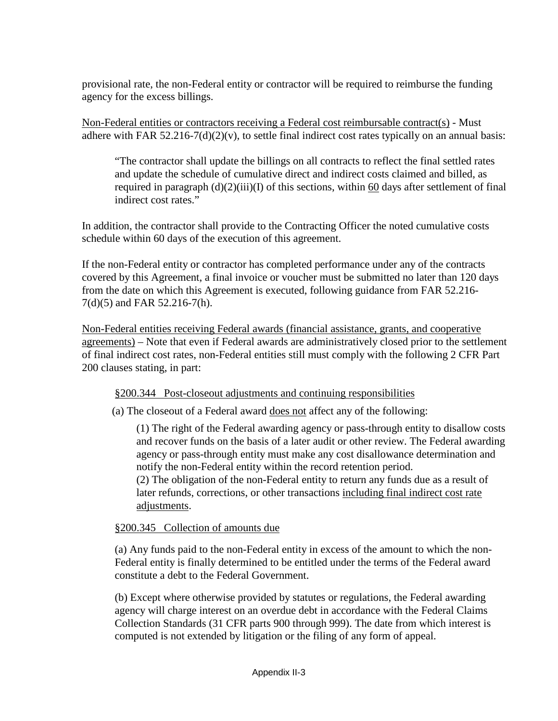provisional rate, the non-Federal entity or contractor will be required to reimburse the funding agency for the excess billings.

Non-Federal entities or contractors receiving a Federal cost reimbursable contract(s) - Must adhere with FAR  $52.216-7(d)(2)(v)$ , to settle final indirect cost rates typically on an annual basis:

"The contractor shall update the billings on all contracts to reflect the final settled rates and update the schedule of cumulative direct and indirect costs claimed and billed, as required in paragraph  $(d)(2)(iii)(I)$  of this sections, within 60 days after settlement of final indirect cost rates."

In addition, the contractor shall provide to the Contracting Officer the noted cumulative costs schedule within 60 days of the execution of this agreement.

If the non-Federal entity or contractor has completed performance under any of the contracts covered by this Agreement, a final invoice or voucher must be submitted no later than 120 days from the date on which this Agreement is executed, following guidance from FAR 52.216- 7(d)(5) and FAR 52.216-7(h).

Non-Federal entities receiving Federal awards (financial assistance, grants, and cooperative agreements) – Note that even if Federal awards are administratively closed prior to the settlement of final indirect cost rates, non-Federal entities still must comply with the following 2 CFR Part 200 clauses stating, in part:

§200.344 Post-closeout adjustments and continuing responsibilities

(a) The closeout of a Federal award does not affect any of the following:

(1) The right of the Federal awarding agency or pass-through entity to disallow costs and recover funds on the basis of a later audit or other review. The Federal awarding agency or pass-through entity must make any cost disallowance determination and notify the non-Federal entity within the record retention period.

(2) The obligation of the non-Federal entity to return any funds due as a result of later refunds, corrections, or other transactions including final indirect cost rate adjustments.

### §200.345 Collection of amounts due

(a) Any funds paid to the non-Federal entity in excess of the amount to which the non-Federal entity is finally determined to be entitled under the terms of the Federal award constitute a debt to the Federal Government.

(b) Except where otherwise provided by statutes or regulations, the Federal awarding agency will charge interest on an overdue debt in accordance with the Federal Claims Collection Standards (31 CFR parts 900 through 999). The date from which interest is computed is not extended by litigation or the filing of any form of appeal.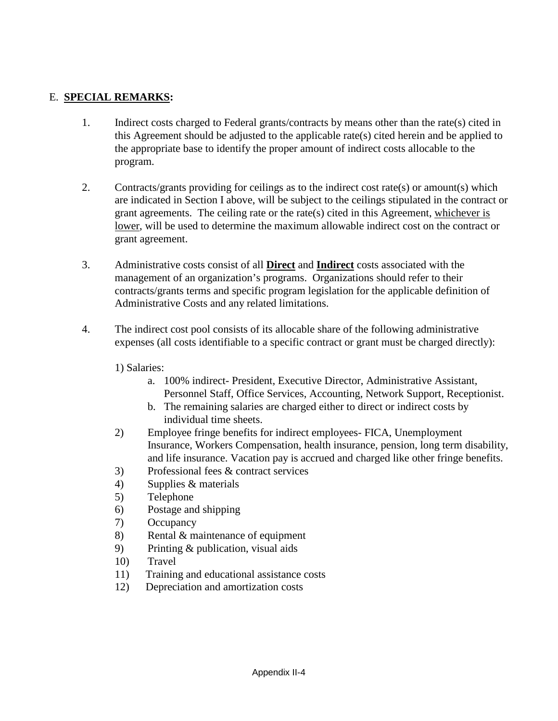### E. **SPECIAL REMARKS:**

- 1. Indirect costs charged to Federal grants/contracts by means other than the rate(s) cited in this Agreement should be adjusted to the applicable rate(s) cited herein and be applied to the appropriate base to identify the proper amount of indirect costs allocable to the program.
- 2. Contracts/grants providing for ceilings as to the indirect cost rate(s) or amount(s) which are indicated in Section I above, will be subject to the ceilings stipulated in the contract or grant agreements. The ceiling rate or the rate(s) cited in this Agreement, whichever is lower, will be used to determine the maximum allowable indirect cost on the contract or grant agreement.
- 3. Administrative costs consist of all **Direct** and **Indirect** costs associated with the management of an organization's programs. Organizations should refer to their contracts/grants terms and specific program legislation for the applicable definition of Administrative Costs and any related limitations.
- 4. The indirect cost pool consists of its allocable share of the following administrative expenses (all costs identifiable to a specific contract or grant must be charged directly):
	- 1) Salaries:
		- a. 100% indirect- President, Executive Director, Administrative Assistant, Personnel Staff, Office Services, Accounting, Network Support, Receptionist.
		- b. The remaining salaries are charged either to direct or indirect costs by individual time sheets.
	- 2) Employee fringe benefits for indirect employees- FICA, Unemployment Insurance, Workers Compensation, health insurance, pension, long term disability, and life insurance. Vacation pay is accrued and charged like other fringe benefits.
	- 3) Professional fees & contract services
	- 4) Supplies & materials
	- 5) Telephone
	- 6) Postage and shipping
	- 7) Occupancy
	- 8) Rental & maintenance of equipment
	- 9) Printing & publication, visual aids
	- 10) Travel
	- 11) Training and educational assistance costs
	- 12) Depreciation and amortization costs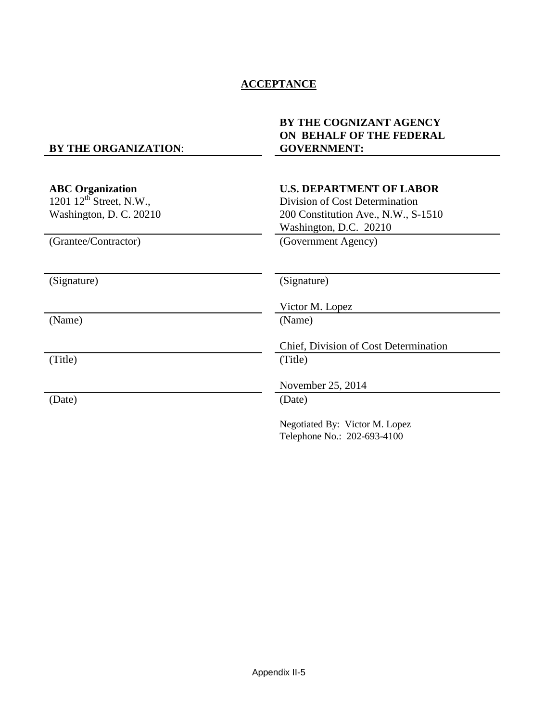### **ACCEPTANCE**

### **BY THE ORGANIZATION**:

### **BY THE COGNIZANT AGENCY ON BEHALF OF THE FEDERAL GOVERNMENT:**

| <b>ABC</b> Organization<br>1201 $12^{th}$ Street, N.W.,<br>Washington, D. C. 20210 | <b>U.S. DEPARTMENT OF LABOR</b><br>Division of Cost Determination<br>200 Constitution Ave., N.W., S-1510<br>Washington, D.C. 20210 |
|------------------------------------------------------------------------------------|------------------------------------------------------------------------------------------------------------------------------------|
| (Grantee/Contractor)                                                               | (Government Agency)                                                                                                                |
| (Signature)                                                                        | (Signature)                                                                                                                        |
|                                                                                    | Victor M. Lopez                                                                                                                    |
| (Name)                                                                             | (Name)                                                                                                                             |
|                                                                                    | Chief, Division of Cost Determination                                                                                              |
| (Title)                                                                            | (Title)                                                                                                                            |
|                                                                                    | November 25, 2014                                                                                                                  |
| (Date)                                                                             | (Date)                                                                                                                             |
|                                                                                    | Negotiated By: Victor M. Lopez<br>Telephone No.: 202-693-4100                                                                      |
|                                                                                    |                                                                                                                                    |